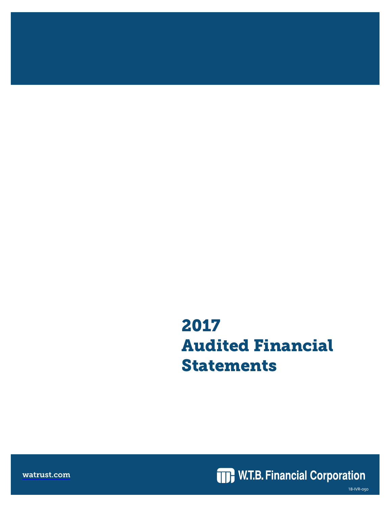# 2017 Audited Financial **Statements**

**TT:** W.T.B. Financial Corporation

[watrust.com](www.watrust.com)

18-IVR-050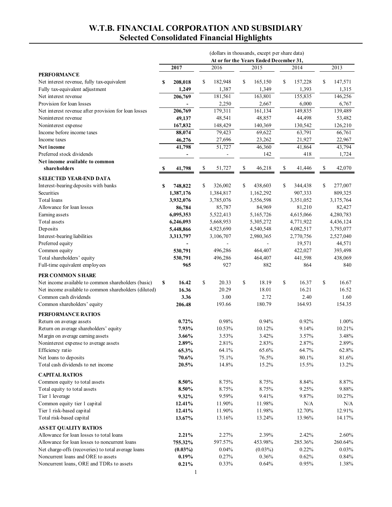# **W.T.B. FINANCIAL CORPORATION AND SUBSIDIARY Selected Consolidated Financial Highlights**

|                                                         |                                        |            |    |                  |    | (dollars in thousands, except per share data) |    |                  |    |                  |
|---------------------------------------------------------|----------------------------------------|------------|----|------------------|----|-----------------------------------------------|----|------------------|----|------------------|
|                                                         | At or for the Years Ended December 31, |            |    |                  |    |                                               |    |                  |    |                  |
|                                                         |                                        | 2017       |    | 2016             |    | 2015                                          |    | 2014             |    | 2013             |
| <b>PERFORMANCE</b>                                      |                                        |            |    |                  |    |                                               |    |                  |    |                  |
| Net interest revenue, fully tax-equivalent              | S                                      | 208,018    | \$ | 182,948          | \$ | 165,150                                       | \$ | 157,228          | \$ | 147,571          |
| Fully tax-equivalent adjustment<br>Net interest revenue |                                        | 1,249      |    | 1,387<br>181,561 |    | 1,349<br>163,801                              |    | 1,393<br>155,835 |    | 1,315<br>146,256 |
| Provision for loan losses                               |                                        | 206,769    |    | 2,250            |    | 2,667                                         |    | 6,000            |    | 6,767            |
| Net interest revenue after provision for loan losses    |                                        | 206,769    |    | 179,311          |    | 161,134                                       |    | 149,835          |    | 139,489          |
| Noninterest revenue                                     |                                        | 49,137     |    | 48,541           |    | 48,857                                        |    | 44,498           |    | 53,482           |
| Noninterest expense                                     |                                        | 167,832    |    | 148,429          |    | 140,369                                       |    | 130,542          |    | 126,210          |
| Income before income taxes                              |                                        | 88,074     |    | 79,423           |    | 69,622                                        |    | 63,791           |    | 66,761           |
| Income taxes                                            |                                        | 46,276     |    | 27,696           |    | 23,262                                        |    | 21,927           |    | 22,967           |
| Net income                                              |                                        | 41,798     |    | 51,727           |    | 46,360                                        |    | 41,864           |    | 43,794           |
| Preferred stock dividends                               |                                        |            |    |                  |    | 142                                           |    | 418              |    | 1,724            |
| Net income available to common                          |                                        |            |    |                  |    |                                               |    |                  |    |                  |
| shareholders                                            | S                                      | 41,798     | \$ | 51,727           | \$ | 46,218                                        | \$ | 41,446           | \$ | 42,070           |
| <b>SELECTED YEAR-END DATA</b>                           |                                        |            |    |                  |    |                                               |    |                  |    |                  |
| Interest-bearing deposits with banks                    | S                                      | 748,822    | \$ | 326,002          | \$ | 438,603                                       | \$ | 344,438          | \$ | 277,007          |
| Securities                                              |                                        | 1,387,176  |    | 1,384,817        |    | 1,162,292                                     |    | 907,333          |    | 809,325          |
| Total loans                                             |                                        | 3,932,076  |    | 3,785,076        |    | 3,556,598                                     |    | 3,351,052        |    | 3,175,764        |
| Allowance for loan losses                               |                                        | 86,784     |    | 85,787           |    | 84,969                                        |    | 81,210           |    | 82,427           |
| Earning assets                                          |                                        | 6,095,353  |    | 5,522,413        |    | 5,165,726                                     |    | 4,615,066        |    | 4,280,783        |
| Total assets                                            |                                        | 6,246,093  |    | 5,668,953        |    | 5,305,272                                     |    | 4,771,922        |    | 4,436,124        |
| Deposits                                                |                                        | 5,448,866  |    | 4,923,690        |    | 4,540,548                                     |    | 4,082,517        |    | 3,793,077        |
| Interest-bearing liabilities                            |                                        | 3,313,797  |    | 3,106,707        |    | 2,980,365                                     |    | 2,770,756        |    | 2,527,040        |
| Preferred equity                                        |                                        |            |    |                  |    |                                               |    | 19,571           |    | 44,571           |
| Common equity                                           |                                        | 530,791    |    | 496,286          |    | 464,407                                       |    | 422,027          |    | 393,498          |
| Total shareholders' equity                              |                                        | 530,791    |    | 496,286          |    | 464,407                                       |    | 441,598          |    | 438,069          |
| Full-time equivalent employees                          |                                        | 965        |    | 927              |    | 882                                           |    | 864              |    | 840              |
| PER COMMON SHARE                                        |                                        |            |    |                  |    |                                               |    |                  |    |                  |
| Net income available to common shareholders (basic)     | S                                      | 16.42      | \$ | 20.33            | \$ | 18.19                                         | \$ | 16.37            | \$ | 16.67            |
| Net income available to common shareholders (diluted)   |                                        | 16.36      |    | 20.29            |    | 18.01                                         |    | 16.21            |    | 16.52            |
| Common cash dividends                                   |                                        | 3.36       |    | 3.00             |    | 2.72                                          |    | 2.40             |    | 1.60             |
| Common shareholders' equity                             |                                        | 206.48     |    | 193.66           |    | 180.79                                        |    | 164.93           |    | 154.35           |
| PERFORMANCE RATIOS                                      |                                        |            |    |                  |    |                                               |    |                  |    |                  |
| Return on average assets                                |                                        | 0.72%      |    | 0.98%            |    | 0.94%                                         |    | 0.92%            |    | 1.00%            |
| Return on average shareholders' equity                  |                                        | 7.93%      |    | 10.53%           |    | 10.12%                                        |    | 9.14%            |    | 10.21%           |
| Margin on average earning assets                        |                                        | 3.66%      |    | 3.53%            |    | 3.42%                                         |    | 3.57%            |    | 3.48%            |
| Noninterest expense to average assets                   |                                        | 2.89%      |    | 2.81%            |    | 2.83%                                         |    | 2.87%            |    | 2.89%            |
| Efficiency ratio                                        |                                        | 65.3%      |    | 64.1%            |    | 65.6%                                         |    | 64.7%            |    | 62.8%            |
| Net loans to deposits                                   |                                        | 70.6%      |    | 75.1%            |    | 76.5%                                         |    | 80.1%            |    | 81.6%            |
| Total cash dividends to net income                      |                                        | 20.5%      |    | 14.8%            |    | 15.2%                                         |    | 15.5%            |    | 13.2%            |
| <b>CAPITAL RATIOS</b>                                   |                                        |            |    |                  |    |                                               |    |                  |    |                  |
| Common equity to total assets                           |                                        | 8.50%      |    | 8.75%            |    | 8.75%                                         |    | 8.84%            |    | 8.87%            |
| Total equity to total assets                            |                                        | 8.50%      |    | 8.75%            |    | 8.75%                                         |    | 9.25%            |    | 9.88%            |
| Tier 1 leverage                                         |                                        | 9.32%      |    | 9.59%            |    | 9.41%                                         |    | 9.87%            |    | 10.27%           |
| Common equity tier 1 capital                            |                                        | 12.41%     |    | 11.90%           |    | 11.98%                                        |    | N/A              |    | N/A              |
| Tier 1 risk-based capital                               |                                        | 12.41%     |    | $11.90\%$        |    | 11.98%                                        |    | 12.70%           |    | 12.91%           |
| Total risk-based capital                                |                                        | 13.67%     |    | 13.16%           |    | 13.24%                                        |    | 13.96%           |    | 14.17%           |
| <b>ASSET QUALITY RATIOS</b>                             |                                        |            |    |                  |    |                                               |    |                  |    |                  |
| Allowance for loan losses to total loans                |                                        | 2.21%      |    | 2.27%            |    | 2.39%                                         |    | 2.42%            |    | 2.60%            |
| Allowance for loan losses to noncurrent loans           |                                        | 755.32%    |    | 597.57%          |    | 453.98%                                       |    | 285.36%          |    | 260.64%          |
| Net charge-offs (recoveries) to total average loans     |                                        | $(0.03\%)$ |    | 0.04%            |    | $(0.03\%)$                                    |    | 0.22%            |    | 0.03%            |
| Noncurrent loans and ORE to assets                      |                                        | $0.19\%$   |    | 0.27%            |    | 0.36%                                         |    | 0.62%            |    | 0.84%            |
| Noncurrent loans, ORE and TDRs to assets                |                                        | 0.21%      |    | 0.33%            |    | 0.64%                                         |    | 0.95%            |    | $1.38\%$         |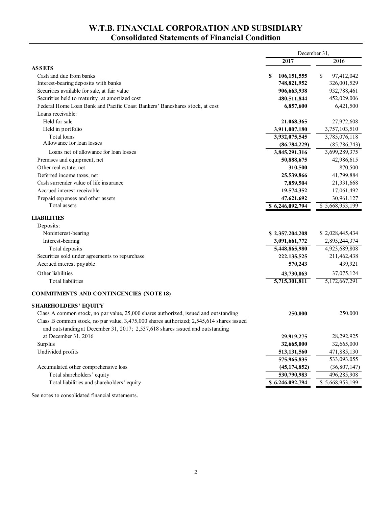# **W.T.B. FINANCIAL CORPORATION AND SUBSIDIARY Consolidated Statements of Financial Condition**

|                                                                                          | December 31,        |                  |
|------------------------------------------------------------------------------------------|---------------------|------------------|
|                                                                                          | 2017                | 2016             |
| <b>ASSETS</b>                                                                            |                     |                  |
| Cash and due from banks                                                                  | \$<br>106, 151, 555 | \$<br>97,412,042 |
| Interest-bearing deposits with banks                                                     | 748,821,952         | 326,001,529      |
| Securities available for sale, at fair value                                             | 906,663,938         | 932,788,461      |
| Securities held to maturity, at amortized cost                                           | 480,511,844         | 452,029,006      |
| Federal Home Loan Bank and Pacific Coast Bankers' Bancshares stock, at cost              | 6,857,600           | 6,421,500        |
| Loans receivable:                                                                        |                     |                  |
| Held for sale                                                                            | 21,068,365          | 27,972,608       |
| Held in portfolio                                                                        | 3,911,007,180       | 3,757,103,510    |
| Total loans                                                                              | 3,932,075,545       | 3,785,076,118    |
| Allowance for loan losses                                                                | (86, 784, 229)      | (85, 786, 743)   |
| Loans net of allowance for loan losses                                                   | 3,845,291,316       | 3,699,289,375    |
| Premises and equipment, net                                                              | 50,888,675          | 42,986,615       |
| Other real estate, net                                                                   | 310,500             | 870,500          |
| Deferred income taxes, net                                                               | 25,539,866          | 41,799,884       |
| Cash surrender value of life insurance                                                   | 7,859,504           | 21,331,668       |
| Accrued interest receivable                                                              | 19,574,352          | 17,061,492       |
| Prepaid expenses and other assets                                                        | 47,621,692          | 30,961,127       |
| Total assets                                                                             | \$6,246,092,794     | \$5,668,953,199  |
| <b>LIABILITIES</b>                                                                       |                     |                  |
| Deposits:                                                                                |                     |                  |
| Noninterest-bearing                                                                      | \$2,357,204,208     | \$2,028,445,434  |
| Interest-bearing                                                                         | 3,091,661,772       | 2,895,244,374    |
| Total deposits                                                                           | 5,448,865,980       | 4,923,689,808    |
| Securities sold under agreements to repurchase                                           | 222, 135, 525       | 211,462,438      |
| Accrued interest payable                                                                 | 570,243             | 439,921          |
| Other liabilities                                                                        | 43,730,063          | 37,075,124       |
| Total liabilities                                                                        | 5,715,301,811       | 5,172,667,291    |
| <b>COMMITMENTS AND CONTINGENCIES (NOTE 18)</b>                                           |                     |                  |
| <b>SHAREHOLDERS' EQUITY</b>                                                              |                     |                  |
| Class A common stock, no par value, 25,000 shares authorized, issued and outstanding     | 250,000             | 250,000          |
| Class B common stock, no par value, 3,475,000 shares authorized; 2,545,614 shares issued |                     |                  |
| and outstanding at December 31, 2017; 2,537,618 shares issued and outstanding            |                     |                  |
| at December $31, 2016$                                                                   | 29,919,275          | 28,292,925       |
| <b>Surp</b> lus                                                                          | 32,665,000          | 32,665,000       |
| Undivided profits                                                                        | 513,131,560         | 471,885,130      |
|                                                                                          | 575,965,835         | 533,093,055      |
| Accumulated other comprehensive loss                                                     | (45, 174, 852)      | (36,807,147)     |
| Total shareholders' equity                                                               | 530,790,983         | 496,285,908      |
| Total liabilities and shareholders' equity                                               | \$6,246,092,794     | \$5,668,953,199  |
|                                                                                          |                     |                  |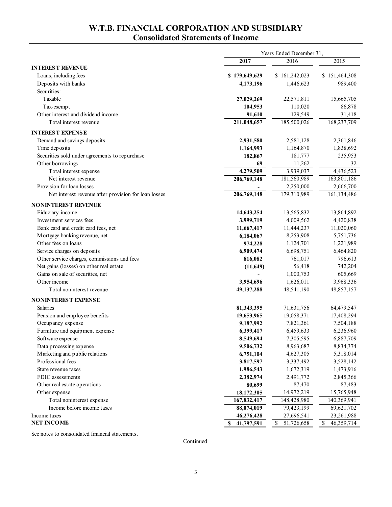# **W.T.B. FINANCIAL CORPORATION AND SUBSIDIARY Consolidated Statements of Income**

| 2017<br>2016<br>2015<br><b>INTEREST REVENUE</b><br>Loans, including fees<br>\$179,649,629<br>\$161,242,023<br>\$151,464,308<br>Deposits with banks<br>989,400<br>4,173,196<br>1,446,623<br>Securities:<br>Taxable<br>27,029,269<br>22,571,811<br>15,665,705<br>110,020<br>Tax-exempt<br>104,953<br>86,878<br>Other interest and dividend income<br>91,610<br>129,549<br>31,418<br>211,048,657<br>Total interest revenue<br>185,500,026<br>168,237,709<br><b>INTEREST EXPENSE</b><br>Demand and savings deposits<br>2,581,128<br>2,361,846<br>2,931,580<br>Time deposits<br>1,164,993<br>1,164,870<br>1,838,692<br>Securities sold under agreements to repurchase<br>182,867<br>181,777<br>235,953<br>Other borrowings<br>11,262<br>32<br>69<br>3,939,037<br>4,279,509<br>4,436,523<br>Total interest expense<br>181,560,989<br>163,801,186<br>Net interest revenue<br>206,769,148<br>Provision for loan losses<br>2,250,000<br>2,666,700<br>179,310,989<br>206,769,148<br>161,134,486<br>Net interest revenue after provision for loan losses<br><b>NONINTEREST REVENUE</b><br>Fiduciary income<br>14,643,254<br>13,565,832<br>13,864,892<br>Investment services fees<br>3,999,719<br>4,009,562<br>4,420,838<br>Bank card and credit card fees, net<br>11,667,417<br>11,444,237<br>11,020,060<br>6,184,067<br>8,253,908<br>Mortgage banking revenue, net<br>5,751,736<br>Other fees on loans<br>974,228<br>1,124,701<br>1,221,989<br>Service charges on deposits<br>6,909,474<br>6,698,751<br>6,464,820<br>Other service charges, commissions and fees<br>816,082<br>761,017<br>796,613<br>Net gains (losses) on other real estate<br>742,204<br>(11, 649)<br>56,418<br>Gains on sale of securities, net<br>1,000,753<br>605,669<br>Other income<br>1,626,011<br>3,968,336<br>3,954,696<br>48,541,190<br>48,857,157<br>Total noninterest revenue<br>49,137,288<br><b>NONINTEREST EXPENSE</b><br>71,631,756<br>64,479,547<br><b>Salaries</b><br>81,343,395<br>Pension and employee benefits<br>19,058,371<br>17,408,294<br>19,653,965<br>Occupancy expense<br>7,821,361<br>7,504,188<br>9,187,992<br>Furniture and equipment expense<br>6,459,633<br>6,236,960<br>6,399,417<br>Software expense<br>8,549,694<br>7,305,595<br>6,887,709<br>Data processing expense<br>9,506,732<br>8,963,687<br>8,834,374<br>4,627,305<br>Marketing and public relations<br>6,751,104<br>5,318,014<br>Professional fees<br>3,817,597<br>3,337,492<br>3,528,142<br>State revenue taxes<br>1,986,543<br>1,672,319<br>1,473,916<br>FDIC assessments<br>2,382,974<br>2,491,772<br>2,845,366<br>80,699<br>Other real estate operations<br>87,470<br>87,483<br>14,972,219<br>18,172,305<br>15,765,948<br>Other expense<br>148,428,980<br>Total noninterest expense<br>167,832,417<br>140,369,941<br>79,423,199<br>Income before income taxes<br>88,074,019<br>69,621,702<br>Income taxes<br>27,696,541<br>23,261,988<br>46,276,428<br><b>NET INCOME</b><br>\$<br>41,797,591<br>\$<br>51,726,658<br>46,359,714<br>\$ | Years Ended December 31, |  |  |  |  |
|---------------------------------------------------------------------------------------------------------------------------------------------------------------------------------------------------------------------------------------------------------------------------------------------------------------------------------------------------------------------------------------------------------------------------------------------------------------------------------------------------------------------------------------------------------------------------------------------------------------------------------------------------------------------------------------------------------------------------------------------------------------------------------------------------------------------------------------------------------------------------------------------------------------------------------------------------------------------------------------------------------------------------------------------------------------------------------------------------------------------------------------------------------------------------------------------------------------------------------------------------------------------------------------------------------------------------------------------------------------------------------------------------------------------------------------------------------------------------------------------------------------------------------------------------------------------------------------------------------------------------------------------------------------------------------------------------------------------------------------------------------------------------------------------------------------------------------------------------------------------------------------------------------------------------------------------------------------------------------------------------------------------------------------------------------------------------------------------------------------------------------------------------------------------------------------------------------------------------------------------------------------------------------------------------------------------------------------------------------------------------------------------------------------------------------------------------------------------------------------------------------------------------------------------------------------------------------------------------------------------------------------------------------------------------------------------------------------------------------------------------------------------------------------------------------------------------------------------------------------------------------------------------------------------------------------------------------------------------------------------|--------------------------|--|--|--|--|
|                                                                                                                                                                                                                                                                                                                                                                                                                                                                                                                                                                                                                                                                                                                                                                                                                                                                                                                                                                                                                                                                                                                                                                                                                                                                                                                                                                                                                                                                                                                                                                                                                                                                                                                                                                                                                                                                                                                                                                                                                                                                                                                                                                                                                                                                                                                                                                                                                                                                                                                                                                                                                                                                                                                                                                                                                                                                                                                                                                                             |                          |  |  |  |  |
|                                                                                                                                                                                                                                                                                                                                                                                                                                                                                                                                                                                                                                                                                                                                                                                                                                                                                                                                                                                                                                                                                                                                                                                                                                                                                                                                                                                                                                                                                                                                                                                                                                                                                                                                                                                                                                                                                                                                                                                                                                                                                                                                                                                                                                                                                                                                                                                                                                                                                                                                                                                                                                                                                                                                                                                                                                                                                                                                                                                             |                          |  |  |  |  |
|                                                                                                                                                                                                                                                                                                                                                                                                                                                                                                                                                                                                                                                                                                                                                                                                                                                                                                                                                                                                                                                                                                                                                                                                                                                                                                                                                                                                                                                                                                                                                                                                                                                                                                                                                                                                                                                                                                                                                                                                                                                                                                                                                                                                                                                                                                                                                                                                                                                                                                                                                                                                                                                                                                                                                                                                                                                                                                                                                                                             |                          |  |  |  |  |
|                                                                                                                                                                                                                                                                                                                                                                                                                                                                                                                                                                                                                                                                                                                                                                                                                                                                                                                                                                                                                                                                                                                                                                                                                                                                                                                                                                                                                                                                                                                                                                                                                                                                                                                                                                                                                                                                                                                                                                                                                                                                                                                                                                                                                                                                                                                                                                                                                                                                                                                                                                                                                                                                                                                                                                                                                                                                                                                                                                                             |                          |  |  |  |  |
|                                                                                                                                                                                                                                                                                                                                                                                                                                                                                                                                                                                                                                                                                                                                                                                                                                                                                                                                                                                                                                                                                                                                                                                                                                                                                                                                                                                                                                                                                                                                                                                                                                                                                                                                                                                                                                                                                                                                                                                                                                                                                                                                                                                                                                                                                                                                                                                                                                                                                                                                                                                                                                                                                                                                                                                                                                                                                                                                                                                             |                          |  |  |  |  |
|                                                                                                                                                                                                                                                                                                                                                                                                                                                                                                                                                                                                                                                                                                                                                                                                                                                                                                                                                                                                                                                                                                                                                                                                                                                                                                                                                                                                                                                                                                                                                                                                                                                                                                                                                                                                                                                                                                                                                                                                                                                                                                                                                                                                                                                                                                                                                                                                                                                                                                                                                                                                                                                                                                                                                                                                                                                                                                                                                                                             |                          |  |  |  |  |
|                                                                                                                                                                                                                                                                                                                                                                                                                                                                                                                                                                                                                                                                                                                                                                                                                                                                                                                                                                                                                                                                                                                                                                                                                                                                                                                                                                                                                                                                                                                                                                                                                                                                                                                                                                                                                                                                                                                                                                                                                                                                                                                                                                                                                                                                                                                                                                                                                                                                                                                                                                                                                                                                                                                                                                                                                                                                                                                                                                                             |                          |  |  |  |  |
|                                                                                                                                                                                                                                                                                                                                                                                                                                                                                                                                                                                                                                                                                                                                                                                                                                                                                                                                                                                                                                                                                                                                                                                                                                                                                                                                                                                                                                                                                                                                                                                                                                                                                                                                                                                                                                                                                                                                                                                                                                                                                                                                                                                                                                                                                                                                                                                                                                                                                                                                                                                                                                                                                                                                                                                                                                                                                                                                                                                             |                          |  |  |  |  |
|                                                                                                                                                                                                                                                                                                                                                                                                                                                                                                                                                                                                                                                                                                                                                                                                                                                                                                                                                                                                                                                                                                                                                                                                                                                                                                                                                                                                                                                                                                                                                                                                                                                                                                                                                                                                                                                                                                                                                                                                                                                                                                                                                                                                                                                                                                                                                                                                                                                                                                                                                                                                                                                                                                                                                                                                                                                                                                                                                                                             |                          |  |  |  |  |
|                                                                                                                                                                                                                                                                                                                                                                                                                                                                                                                                                                                                                                                                                                                                                                                                                                                                                                                                                                                                                                                                                                                                                                                                                                                                                                                                                                                                                                                                                                                                                                                                                                                                                                                                                                                                                                                                                                                                                                                                                                                                                                                                                                                                                                                                                                                                                                                                                                                                                                                                                                                                                                                                                                                                                                                                                                                                                                                                                                                             |                          |  |  |  |  |
|                                                                                                                                                                                                                                                                                                                                                                                                                                                                                                                                                                                                                                                                                                                                                                                                                                                                                                                                                                                                                                                                                                                                                                                                                                                                                                                                                                                                                                                                                                                                                                                                                                                                                                                                                                                                                                                                                                                                                                                                                                                                                                                                                                                                                                                                                                                                                                                                                                                                                                                                                                                                                                                                                                                                                                                                                                                                                                                                                                                             |                          |  |  |  |  |
|                                                                                                                                                                                                                                                                                                                                                                                                                                                                                                                                                                                                                                                                                                                                                                                                                                                                                                                                                                                                                                                                                                                                                                                                                                                                                                                                                                                                                                                                                                                                                                                                                                                                                                                                                                                                                                                                                                                                                                                                                                                                                                                                                                                                                                                                                                                                                                                                                                                                                                                                                                                                                                                                                                                                                                                                                                                                                                                                                                                             |                          |  |  |  |  |
|                                                                                                                                                                                                                                                                                                                                                                                                                                                                                                                                                                                                                                                                                                                                                                                                                                                                                                                                                                                                                                                                                                                                                                                                                                                                                                                                                                                                                                                                                                                                                                                                                                                                                                                                                                                                                                                                                                                                                                                                                                                                                                                                                                                                                                                                                                                                                                                                                                                                                                                                                                                                                                                                                                                                                                                                                                                                                                                                                                                             |                          |  |  |  |  |
|                                                                                                                                                                                                                                                                                                                                                                                                                                                                                                                                                                                                                                                                                                                                                                                                                                                                                                                                                                                                                                                                                                                                                                                                                                                                                                                                                                                                                                                                                                                                                                                                                                                                                                                                                                                                                                                                                                                                                                                                                                                                                                                                                                                                                                                                                                                                                                                                                                                                                                                                                                                                                                                                                                                                                                                                                                                                                                                                                                                             |                          |  |  |  |  |
|                                                                                                                                                                                                                                                                                                                                                                                                                                                                                                                                                                                                                                                                                                                                                                                                                                                                                                                                                                                                                                                                                                                                                                                                                                                                                                                                                                                                                                                                                                                                                                                                                                                                                                                                                                                                                                                                                                                                                                                                                                                                                                                                                                                                                                                                                                                                                                                                                                                                                                                                                                                                                                                                                                                                                                                                                                                                                                                                                                                             |                          |  |  |  |  |
|                                                                                                                                                                                                                                                                                                                                                                                                                                                                                                                                                                                                                                                                                                                                                                                                                                                                                                                                                                                                                                                                                                                                                                                                                                                                                                                                                                                                                                                                                                                                                                                                                                                                                                                                                                                                                                                                                                                                                                                                                                                                                                                                                                                                                                                                                                                                                                                                                                                                                                                                                                                                                                                                                                                                                                                                                                                                                                                                                                                             |                          |  |  |  |  |
|                                                                                                                                                                                                                                                                                                                                                                                                                                                                                                                                                                                                                                                                                                                                                                                                                                                                                                                                                                                                                                                                                                                                                                                                                                                                                                                                                                                                                                                                                                                                                                                                                                                                                                                                                                                                                                                                                                                                                                                                                                                                                                                                                                                                                                                                                                                                                                                                                                                                                                                                                                                                                                                                                                                                                                                                                                                                                                                                                                                             |                          |  |  |  |  |
|                                                                                                                                                                                                                                                                                                                                                                                                                                                                                                                                                                                                                                                                                                                                                                                                                                                                                                                                                                                                                                                                                                                                                                                                                                                                                                                                                                                                                                                                                                                                                                                                                                                                                                                                                                                                                                                                                                                                                                                                                                                                                                                                                                                                                                                                                                                                                                                                                                                                                                                                                                                                                                                                                                                                                                                                                                                                                                                                                                                             |                          |  |  |  |  |
|                                                                                                                                                                                                                                                                                                                                                                                                                                                                                                                                                                                                                                                                                                                                                                                                                                                                                                                                                                                                                                                                                                                                                                                                                                                                                                                                                                                                                                                                                                                                                                                                                                                                                                                                                                                                                                                                                                                                                                                                                                                                                                                                                                                                                                                                                                                                                                                                                                                                                                                                                                                                                                                                                                                                                                                                                                                                                                                                                                                             |                          |  |  |  |  |
|                                                                                                                                                                                                                                                                                                                                                                                                                                                                                                                                                                                                                                                                                                                                                                                                                                                                                                                                                                                                                                                                                                                                                                                                                                                                                                                                                                                                                                                                                                                                                                                                                                                                                                                                                                                                                                                                                                                                                                                                                                                                                                                                                                                                                                                                                                                                                                                                                                                                                                                                                                                                                                                                                                                                                                                                                                                                                                                                                                                             |                          |  |  |  |  |
|                                                                                                                                                                                                                                                                                                                                                                                                                                                                                                                                                                                                                                                                                                                                                                                                                                                                                                                                                                                                                                                                                                                                                                                                                                                                                                                                                                                                                                                                                                                                                                                                                                                                                                                                                                                                                                                                                                                                                                                                                                                                                                                                                                                                                                                                                                                                                                                                                                                                                                                                                                                                                                                                                                                                                                                                                                                                                                                                                                                             |                          |  |  |  |  |
|                                                                                                                                                                                                                                                                                                                                                                                                                                                                                                                                                                                                                                                                                                                                                                                                                                                                                                                                                                                                                                                                                                                                                                                                                                                                                                                                                                                                                                                                                                                                                                                                                                                                                                                                                                                                                                                                                                                                                                                                                                                                                                                                                                                                                                                                                                                                                                                                                                                                                                                                                                                                                                                                                                                                                                                                                                                                                                                                                                                             |                          |  |  |  |  |
|                                                                                                                                                                                                                                                                                                                                                                                                                                                                                                                                                                                                                                                                                                                                                                                                                                                                                                                                                                                                                                                                                                                                                                                                                                                                                                                                                                                                                                                                                                                                                                                                                                                                                                                                                                                                                                                                                                                                                                                                                                                                                                                                                                                                                                                                                                                                                                                                                                                                                                                                                                                                                                                                                                                                                                                                                                                                                                                                                                                             |                          |  |  |  |  |
|                                                                                                                                                                                                                                                                                                                                                                                                                                                                                                                                                                                                                                                                                                                                                                                                                                                                                                                                                                                                                                                                                                                                                                                                                                                                                                                                                                                                                                                                                                                                                                                                                                                                                                                                                                                                                                                                                                                                                                                                                                                                                                                                                                                                                                                                                                                                                                                                                                                                                                                                                                                                                                                                                                                                                                                                                                                                                                                                                                                             |                          |  |  |  |  |
|                                                                                                                                                                                                                                                                                                                                                                                                                                                                                                                                                                                                                                                                                                                                                                                                                                                                                                                                                                                                                                                                                                                                                                                                                                                                                                                                                                                                                                                                                                                                                                                                                                                                                                                                                                                                                                                                                                                                                                                                                                                                                                                                                                                                                                                                                                                                                                                                                                                                                                                                                                                                                                                                                                                                                                                                                                                                                                                                                                                             |                          |  |  |  |  |
|                                                                                                                                                                                                                                                                                                                                                                                                                                                                                                                                                                                                                                                                                                                                                                                                                                                                                                                                                                                                                                                                                                                                                                                                                                                                                                                                                                                                                                                                                                                                                                                                                                                                                                                                                                                                                                                                                                                                                                                                                                                                                                                                                                                                                                                                                                                                                                                                                                                                                                                                                                                                                                                                                                                                                                                                                                                                                                                                                                                             |                          |  |  |  |  |
|                                                                                                                                                                                                                                                                                                                                                                                                                                                                                                                                                                                                                                                                                                                                                                                                                                                                                                                                                                                                                                                                                                                                                                                                                                                                                                                                                                                                                                                                                                                                                                                                                                                                                                                                                                                                                                                                                                                                                                                                                                                                                                                                                                                                                                                                                                                                                                                                                                                                                                                                                                                                                                                                                                                                                                                                                                                                                                                                                                                             |                          |  |  |  |  |
|                                                                                                                                                                                                                                                                                                                                                                                                                                                                                                                                                                                                                                                                                                                                                                                                                                                                                                                                                                                                                                                                                                                                                                                                                                                                                                                                                                                                                                                                                                                                                                                                                                                                                                                                                                                                                                                                                                                                                                                                                                                                                                                                                                                                                                                                                                                                                                                                                                                                                                                                                                                                                                                                                                                                                                                                                                                                                                                                                                                             |                          |  |  |  |  |
|                                                                                                                                                                                                                                                                                                                                                                                                                                                                                                                                                                                                                                                                                                                                                                                                                                                                                                                                                                                                                                                                                                                                                                                                                                                                                                                                                                                                                                                                                                                                                                                                                                                                                                                                                                                                                                                                                                                                                                                                                                                                                                                                                                                                                                                                                                                                                                                                                                                                                                                                                                                                                                                                                                                                                                                                                                                                                                                                                                                             |                          |  |  |  |  |
|                                                                                                                                                                                                                                                                                                                                                                                                                                                                                                                                                                                                                                                                                                                                                                                                                                                                                                                                                                                                                                                                                                                                                                                                                                                                                                                                                                                                                                                                                                                                                                                                                                                                                                                                                                                                                                                                                                                                                                                                                                                                                                                                                                                                                                                                                                                                                                                                                                                                                                                                                                                                                                                                                                                                                                                                                                                                                                                                                                                             |                          |  |  |  |  |
|                                                                                                                                                                                                                                                                                                                                                                                                                                                                                                                                                                                                                                                                                                                                                                                                                                                                                                                                                                                                                                                                                                                                                                                                                                                                                                                                                                                                                                                                                                                                                                                                                                                                                                                                                                                                                                                                                                                                                                                                                                                                                                                                                                                                                                                                                                                                                                                                                                                                                                                                                                                                                                                                                                                                                                                                                                                                                                                                                                                             |                          |  |  |  |  |
|                                                                                                                                                                                                                                                                                                                                                                                                                                                                                                                                                                                                                                                                                                                                                                                                                                                                                                                                                                                                                                                                                                                                                                                                                                                                                                                                                                                                                                                                                                                                                                                                                                                                                                                                                                                                                                                                                                                                                                                                                                                                                                                                                                                                                                                                                                                                                                                                                                                                                                                                                                                                                                                                                                                                                                                                                                                                                                                                                                                             |                          |  |  |  |  |
|                                                                                                                                                                                                                                                                                                                                                                                                                                                                                                                                                                                                                                                                                                                                                                                                                                                                                                                                                                                                                                                                                                                                                                                                                                                                                                                                                                                                                                                                                                                                                                                                                                                                                                                                                                                                                                                                                                                                                                                                                                                                                                                                                                                                                                                                                                                                                                                                                                                                                                                                                                                                                                                                                                                                                                                                                                                                                                                                                                                             |                          |  |  |  |  |
|                                                                                                                                                                                                                                                                                                                                                                                                                                                                                                                                                                                                                                                                                                                                                                                                                                                                                                                                                                                                                                                                                                                                                                                                                                                                                                                                                                                                                                                                                                                                                                                                                                                                                                                                                                                                                                                                                                                                                                                                                                                                                                                                                                                                                                                                                                                                                                                                                                                                                                                                                                                                                                                                                                                                                                                                                                                                                                                                                                                             |                          |  |  |  |  |
|                                                                                                                                                                                                                                                                                                                                                                                                                                                                                                                                                                                                                                                                                                                                                                                                                                                                                                                                                                                                                                                                                                                                                                                                                                                                                                                                                                                                                                                                                                                                                                                                                                                                                                                                                                                                                                                                                                                                                                                                                                                                                                                                                                                                                                                                                                                                                                                                                                                                                                                                                                                                                                                                                                                                                                                                                                                                                                                                                                                             |                          |  |  |  |  |
|                                                                                                                                                                                                                                                                                                                                                                                                                                                                                                                                                                                                                                                                                                                                                                                                                                                                                                                                                                                                                                                                                                                                                                                                                                                                                                                                                                                                                                                                                                                                                                                                                                                                                                                                                                                                                                                                                                                                                                                                                                                                                                                                                                                                                                                                                                                                                                                                                                                                                                                                                                                                                                                                                                                                                                                                                                                                                                                                                                                             |                          |  |  |  |  |
|                                                                                                                                                                                                                                                                                                                                                                                                                                                                                                                                                                                                                                                                                                                                                                                                                                                                                                                                                                                                                                                                                                                                                                                                                                                                                                                                                                                                                                                                                                                                                                                                                                                                                                                                                                                                                                                                                                                                                                                                                                                                                                                                                                                                                                                                                                                                                                                                                                                                                                                                                                                                                                                                                                                                                                                                                                                                                                                                                                                             |                          |  |  |  |  |
|                                                                                                                                                                                                                                                                                                                                                                                                                                                                                                                                                                                                                                                                                                                                                                                                                                                                                                                                                                                                                                                                                                                                                                                                                                                                                                                                                                                                                                                                                                                                                                                                                                                                                                                                                                                                                                                                                                                                                                                                                                                                                                                                                                                                                                                                                                                                                                                                                                                                                                                                                                                                                                                                                                                                                                                                                                                                                                                                                                                             |                          |  |  |  |  |
|                                                                                                                                                                                                                                                                                                                                                                                                                                                                                                                                                                                                                                                                                                                                                                                                                                                                                                                                                                                                                                                                                                                                                                                                                                                                                                                                                                                                                                                                                                                                                                                                                                                                                                                                                                                                                                                                                                                                                                                                                                                                                                                                                                                                                                                                                                                                                                                                                                                                                                                                                                                                                                                                                                                                                                                                                                                                                                                                                                                             |                          |  |  |  |  |
|                                                                                                                                                                                                                                                                                                                                                                                                                                                                                                                                                                                                                                                                                                                                                                                                                                                                                                                                                                                                                                                                                                                                                                                                                                                                                                                                                                                                                                                                                                                                                                                                                                                                                                                                                                                                                                                                                                                                                                                                                                                                                                                                                                                                                                                                                                                                                                                                                                                                                                                                                                                                                                                                                                                                                                                                                                                                                                                                                                                             |                          |  |  |  |  |
|                                                                                                                                                                                                                                                                                                                                                                                                                                                                                                                                                                                                                                                                                                                                                                                                                                                                                                                                                                                                                                                                                                                                                                                                                                                                                                                                                                                                                                                                                                                                                                                                                                                                                                                                                                                                                                                                                                                                                                                                                                                                                                                                                                                                                                                                                                                                                                                                                                                                                                                                                                                                                                                                                                                                                                                                                                                                                                                                                                                             |                          |  |  |  |  |
|                                                                                                                                                                                                                                                                                                                                                                                                                                                                                                                                                                                                                                                                                                                                                                                                                                                                                                                                                                                                                                                                                                                                                                                                                                                                                                                                                                                                                                                                                                                                                                                                                                                                                                                                                                                                                                                                                                                                                                                                                                                                                                                                                                                                                                                                                                                                                                                                                                                                                                                                                                                                                                                                                                                                                                                                                                                                                                                                                                                             |                          |  |  |  |  |
|                                                                                                                                                                                                                                                                                                                                                                                                                                                                                                                                                                                                                                                                                                                                                                                                                                                                                                                                                                                                                                                                                                                                                                                                                                                                                                                                                                                                                                                                                                                                                                                                                                                                                                                                                                                                                                                                                                                                                                                                                                                                                                                                                                                                                                                                                                                                                                                                                                                                                                                                                                                                                                                                                                                                                                                                                                                                                                                                                                                             |                          |  |  |  |  |
|                                                                                                                                                                                                                                                                                                                                                                                                                                                                                                                                                                                                                                                                                                                                                                                                                                                                                                                                                                                                                                                                                                                                                                                                                                                                                                                                                                                                                                                                                                                                                                                                                                                                                                                                                                                                                                                                                                                                                                                                                                                                                                                                                                                                                                                                                                                                                                                                                                                                                                                                                                                                                                                                                                                                                                                                                                                                                                                                                                                             |                          |  |  |  |  |
|                                                                                                                                                                                                                                                                                                                                                                                                                                                                                                                                                                                                                                                                                                                                                                                                                                                                                                                                                                                                                                                                                                                                                                                                                                                                                                                                                                                                                                                                                                                                                                                                                                                                                                                                                                                                                                                                                                                                                                                                                                                                                                                                                                                                                                                                                                                                                                                                                                                                                                                                                                                                                                                                                                                                                                                                                                                                                                                                                                                             |                          |  |  |  |  |
|                                                                                                                                                                                                                                                                                                                                                                                                                                                                                                                                                                                                                                                                                                                                                                                                                                                                                                                                                                                                                                                                                                                                                                                                                                                                                                                                                                                                                                                                                                                                                                                                                                                                                                                                                                                                                                                                                                                                                                                                                                                                                                                                                                                                                                                                                                                                                                                                                                                                                                                                                                                                                                                                                                                                                                                                                                                                                                                                                                                             |                          |  |  |  |  |
|                                                                                                                                                                                                                                                                                                                                                                                                                                                                                                                                                                                                                                                                                                                                                                                                                                                                                                                                                                                                                                                                                                                                                                                                                                                                                                                                                                                                                                                                                                                                                                                                                                                                                                                                                                                                                                                                                                                                                                                                                                                                                                                                                                                                                                                                                                                                                                                                                                                                                                                                                                                                                                                                                                                                                                                                                                                                                                                                                                                             |                          |  |  |  |  |

See notes to consolidated financial statements.

Continued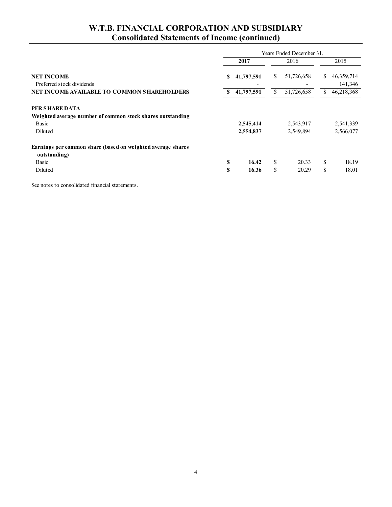# **W.T.B. FINANCIAL CORPORATION AND SUBSIDIARY Consolidated Statements of Income (continued)**

|                                                                             |     |            |    | Years Ended December 31. |               |            |
|-----------------------------------------------------------------------------|-----|------------|----|--------------------------|---------------|------------|
|                                                                             |     | 2017       |    | 2016                     |               | 2015       |
| <b>NET INCOME</b>                                                           | S   | 41,797,591 | S  | 51,726,658               | S.            | 46,359,714 |
| Preferred stock dividends                                                   |     |            |    |                          |               | 141,346    |
| NET INCOME AVAILABLE TO COMMON SHAREHOLDERS                                 |     | 41,797,591 | \$ | 51,726,658               | \$.           | 46,218,368 |
| PER SHARE DATA                                                              |     |            |    |                          |               |            |
| Weighted average number of common stock shares outstanding                  |     |            |    |                          |               |            |
| <b>Basic</b>                                                                |     | 2,545,414  |    | 2,543,917                |               | 2,541,339  |
| Diluted                                                                     |     | 2,554,837  |    | 2,549,894                |               | 2,566,077  |
| Earnings per common share (based on weighted average shares<br>outstanding) |     |            |    |                          |               |            |
| <b>Basic</b>                                                                | S   | 16.42      | S  | 20.33                    | S             | 18.19      |
| Diluted                                                                     | \$. | 16.36      | \$ | 20.29                    | <sup>\$</sup> | 18.01      |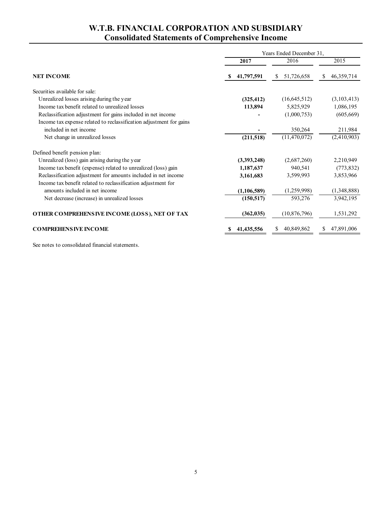# **W.T.B. FINANCIAL CORPORATION AND SUBSIDIARY Consolidated Statements of Comprehensive Income**

|                                                                     | Years Ended December 31, |                   |                  |  |  |  |  |
|---------------------------------------------------------------------|--------------------------|-------------------|------------------|--|--|--|--|
|                                                                     | 2017                     | 2016              | 2015             |  |  |  |  |
| <b>NET INCOME</b>                                                   | 41,797,591<br>S.         | 51,726,658<br>\$. | 46,359,714<br>S. |  |  |  |  |
| Securities available for sale:                                      |                          |                   |                  |  |  |  |  |
| Unrealized losses arising during the year                           | (325, 412)               | (16,645,512)      | (3,103,413)      |  |  |  |  |
| Income tax benefit related to unrealized losses                     | 113,894                  | 5,825,929         | 1,086,195        |  |  |  |  |
| Reclassification adjustment for gains included in net income        |                          | (1,000,753)       | (605, 669)       |  |  |  |  |
| Income tax expense related to reclassification adjustment for gains |                          |                   |                  |  |  |  |  |
| included in net income                                              |                          | 350,264           | 211,984          |  |  |  |  |
| Net change in unrealized losses                                     | (211, 518)               | (11, 470, 072)    | (2,410,903)      |  |  |  |  |
| Defined benefit pension plan:                                       |                          |                   |                  |  |  |  |  |
| Unrealized (loss) gain arising during the year                      | (3,393,248)              | (2,687,260)       | 2,210,949        |  |  |  |  |
| Income tax benefit (expense) related to unrealized (loss) gain      | 1,187,637                | 940,541           | (773, 832)       |  |  |  |  |
| Reclassification adjustment for amounts included in net income      | 3,161,683                | 3,599,993         | 3,853,966        |  |  |  |  |
| Income tax benefit related to reclassification adjustment for       |                          |                   |                  |  |  |  |  |
| amounts included in net income                                      | (1, 106, 589)            | (1,259,998)       | (1,348,888)      |  |  |  |  |
| Net decrease (increase) in unrealized losses                        | (150, 517)               | 593,276           | 3,942,195        |  |  |  |  |
| OTHER COMPREHENSIVE INCOME (LOSS), NET OF TAX                       | (362, 035)               | (10, 876, 796)    | 1,531,292        |  |  |  |  |
| <b>COMPREHENSIVE INCOME</b>                                         | 41,435,556               | 40,849,862        | 47,891,006       |  |  |  |  |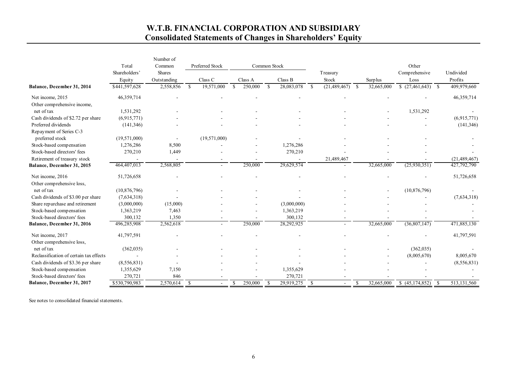# **W.T.B. FINANCIAL CORPORATION AND SUBSIDIARY Consolidated Statements of Changes in Shareholders' Equity**

| Common Stock<br>Shareholders'<br>Shares<br>Undivided<br>Treasury<br>Comprehensive<br>Class B<br>Profits<br>Outstanding<br>Class C<br>Class A<br>Stock<br>Surplus<br>Equity<br>Loss<br>409,979,660<br>\$441,597,628<br>2,558,856<br><sup>S</sup><br>19,571,000<br>250,000<br>28,083,078<br>(21, 489, 467)<br>\$<br>-S<br><sup>\$</sup><br>- S<br>32,665,000<br>Balance, December 31, 2014<br>46,359,714<br>46,359,714<br>Net income, 2015<br>Other comprehensive income,<br>net of tax<br>1,531,292<br>1,531,292<br>Cash dividends of \$2.72 per share<br>(6,915,771)<br>(6,915,771)<br>Preferred dividends<br>(141, 346)<br>(141, 346)<br>Repayment of Series C-3<br>preferred stock<br>(19, 571, 000)<br>(19,571,000)<br>Stock-based compensation<br>8,500<br>1,276,286<br>1,276,286<br>Stock-based directors' fees<br>270,210<br>1,449<br>270,210<br>(21, 489, 467)<br>Retirement of treasury stock<br>21,489,467<br>29,629,574<br>464,407,013<br>2,568,805<br>250,000<br>(25,930,351)<br>32,665,000<br>427,792,790<br>Balance, December 31, 2015<br>51,726,658<br>51,726,658<br>Net income, 2016<br>Other comprehensive loss,<br>net of tax<br>(10, 876, 796)<br>(10, 876, 796)<br>Cash dividends of \$3.00 per share<br>(7,634,318)<br>(7,634,318)<br>Share repurchase and retirement<br>(3,000,000)<br>(15,000)<br>(3,000,000)<br>Stock-based compensation<br>1,363,219<br>1,363,219<br>7,463<br>Stock-based directors' fees<br>300,132<br>300,132<br>1,350<br>496,285,908<br>28,292,925<br>32,665,000<br>(36,807,147)<br>471,885,130<br>Balance, December 31, 2016<br>2,562,618<br>250,000<br>41,797,591<br>41,797,591<br>Net income, 2017<br>Other comprehensive loss,<br>net of tax<br>(362, 035)<br>(362, 035)<br>Reclassification of certain tax effects<br>(8,005,670)<br>8,005,670<br>Cash dividends of \$3.36 per share<br>(8,556,831)<br>(8,556,831)<br>Stock-based compensation<br>1,355,629<br>7,150<br>1,355,629<br>Stock-based directors' fees<br>846<br>270,721<br>270,721<br>\$ (45,174,852)<br>Balance, December 31, 2017<br>\$530,790,983<br>2,570,614<br><sup>S</sup><br>250,000<br>29,919,275<br><sup>\$</sup><br>32,665,000<br>513,131,560<br>\$<br><sup>\$</sup><br>- S<br>-S |       | Number of |                 |  |  |       |  |
|---------------------------------------------------------------------------------------------------------------------------------------------------------------------------------------------------------------------------------------------------------------------------------------------------------------------------------------------------------------------------------------------------------------------------------------------------------------------------------------------------------------------------------------------------------------------------------------------------------------------------------------------------------------------------------------------------------------------------------------------------------------------------------------------------------------------------------------------------------------------------------------------------------------------------------------------------------------------------------------------------------------------------------------------------------------------------------------------------------------------------------------------------------------------------------------------------------------------------------------------------------------------------------------------------------------------------------------------------------------------------------------------------------------------------------------------------------------------------------------------------------------------------------------------------------------------------------------------------------------------------------------------------------------------------------------------------------------------------------------------------------------------------------------------------------------------------------------------------------------------------------------------------------------------------------------------------------------------------------------------------------------------------------------------------------------------------------------------------------------------------------------------------------------------------------------------------------|-------|-----------|-----------------|--|--|-------|--|
|                                                                                                                                                                                                                                                                                                                                                                                                                                                                                                                                                                                                                                                                                                                                                                                                                                                                                                                                                                                                                                                                                                                                                                                                                                                                                                                                                                                                                                                                                                                                                                                                                                                                                                                                                                                                                                                                                                                                                                                                                                                                                                                                                                                                         | Total | Common    | Preferred Stock |  |  | Other |  |
|                                                                                                                                                                                                                                                                                                                                                                                                                                                                                                                                                                                                                                                                                                                                                                                                                                                                                                                                                                                                                                                                                                                                                                                                                                                                                                                                                                                                                                                                                                                                                                                                                                                                                                                                                                                                                                                                                                                                                                                                                                                                                                                                                                                                         |       |           |                 |  |  |       |  |
|                                                                                                                                                                                                                                                                                                                                                                                                                                                                                                                                                                                                                                                                                                                                                                                                                                                                                                                                                                                                                                                                                                                                                                                                                                                                                                                                                                                                                                                                                                                                                                                                                                                                                                                                                                                                                                                                                                                                                                                                                                                                                                                                                                                                         |       |           |                 |  |  |       |  |
|                                                                                                                                                                                                                                                                                                                                                                                                                                                                                                                                                                                                                                                                                                                                                                                                                                                                                                                                                                                                                                                                                                                                                                                                                                                                                                                                                                                                                                                                                                                                                                                                                                                                                                                                                                                                                                                                                                                                                                                                                                                                                                                                                                                                         |       |           |                 |  |  |       |  |
|                                                                                                                                                                                                                                                                                                                                                                                                                                                                                                                                                                                                                                                                                                                                                                                                                                                                                                                                                                                                                                                                                                                                                                                                                                                                                                                                                                                                                                                                                                                                                                                                                                                                                                                                                                                                                                                                                                                                                                                                                                                                                                                                                                                                         |       |           |                 |  |  |       |  |
|                                                                                                                                                                                                                                                                                                                                                                                                                                                                                                                                                                                                                                                                                                                                                                                                                                                                                                                                                                                                                                                                                                                                                                                                                                                                                                                                                                                                                                                                                                                                                                                                                                                                                                                                                                                                                                                                                                                                                                                                                                                                                                                                                                                                         |       |           |                 |  |  |       |  |
|                                                                                                                                                                                                                                                                                                                                                                                                                                                                                                                                                                                                                                                                                                                                                                                                                                                                                                                                                                                                                                                                                                                                                                                                                                                                                                                                                                                                                                                                                                                                                                                                                                                                                                                                                                                                                                                                                                                                                                                                                                                                                                                                                                                                         |       |           |                 |  |  |       |  |
|                                                                                                                                                                                                                                                                                                                                                                                                                                                                                                                                                                                                                                                                                                                                                                                                                                                                                                                                                                                                                                                                                                                                                                                                                                                                                                                                                                                                                                                                                                                                                                                                                                                                                                                                                                                                                                                                                                                                                                                                                                                                                                                                                                                                         |       |           |                 |  |  |       |  |
|                                                                                                                                                                                                                                                                                                                                                                                                                                                                                                                                                                                                                                                                                                                                                                                                                                                                                                                                                                                                                                                                                                                                                                                                                                                                                                                                                                                                                                                                                                                                                                                                                                                                                                                                                                                                                                                                                                                                                                                                                                                                                                                                                                                                         |       |           |                 |  |  |       |  |
|                                                                                                                                                                                                                                                                                                                                                                                                                                                                                                                                                                                                                                                                                                                                                                                                                                                                                                                                                                                                                                                                                                                                                                                                                                                                                                                                                                                                                                                                                                                                                                                                                                                                                                                                                                                                                                                                                                                                                                                                                                                                                                                                                                                                         |       |           |                 |  |  |       |  |
|                                                                                                                                                                                                                                                                                                                                                                                                                                                                                                                                                                                                                                                                                                                                                                                                                                                                                                                                                                                                                                                                                                                                                                                                                                                                                                                                                                                                                                                                                                                                                                                                                                                                                                                                                                                                                                                                                                                                                                                                                                                                                                                                                                                                         |       |           |                 |  |  |       |  |
|                                                                                                                                                                                                                                                                                                                                                                                                                                                                                                                                                                                                                                                                                                                                                                                                                                                                                                                                                                                                                                                                                                                                                                                                                                                                                                                                                                                                                                                                                                                                                                                                                                                                                                                                                                                                                                                                                                                                                                                                                                                                                                                                                                                                         |       |           |                 |  |  |       |  |
|                                                                                                                                                                                                                                                                                                                                                                                                                                                                                                                                                                                                                                                                                                                                                                                                                                                                                                                                                                                                                                                                                                                                                                                                                                                                                                                                                                                                                                                                                                                                                                                                                                                                                                                                                                                                                                                                                                                                                                                                                                                                                                                                                                                                         |       |           |                 |  |  |       |  |
|                                                                                                                                                                                                                                                                                                                                                                                                                                                                                                                                                                                                                                                                                                                                                                                                                                                                                                                                                                                                                                                                                                                                                                                                                                                                                                                                                                                                                                                                                                                                                                                                                                                                                                                                                                                                                                                                                                                                                                                                                                                                                                                                                                                                         |       |           |                 |  |  |       |  |
|                                                                                                                                                                                                                                                                                                                                                                                                                                                                                                                                                                                                                                                                                                                                                                                                                                                                                                                                                                                                                                                                                                                                                                                                                                                                                                                                                                                                                                                                                                                                                                                                                                                                                                                                                                                                                                                                                                                                                                                                                                                                                                                                                                                                         |       |           |                 |  |  |       |  |
|                                                                                                                                                                                                                                                                                                                                                                                                                                                                                                                                                                                                                                                                                                                                                                                                                                                                                                                                                                                                                                                                                                                                                                                                                                                                                                                                                                                                                                                                                                                                                                                                                                                                                                                                                                                                                                                                                                                                                                                                                                                                                                                                                                                                         |       |           |                 |  |  |       |  |
|                                                                                                                                                                                                                                                                                                                                                                                                                                                                                                                                                                                                                                                                                                                                                                                                                                                                                                                                                                                                                                                                                                                                                                                                                                                                                                                                                                                                                                                                                                                                                                                                                                                                                                                                                                                                                                                                                                                                                                                                                                                                                                                                                                                                         |       |           |                 |  |  |       |  |
|                                                                                                                                                                                                                                                                                                                                                                                                                                                                                                                                                                                                                                                                                                                                                                                                                                                                                                                                                                                                                                                                                                                                                                                                                                                                                                                                                                                                                                                                                                                                                                                                                                                                                                                                                                                                                                                                                                                                                                                                                                                                                                                                                                                                         |       |           |                 |  |  |       |  |
|                                                                                                                                                                                                                                                                                                                                                                                                                                                                                                                                                                                                                                                                                                                                                                                                                                                                                                                                                                                                                                                                                                                                                                                                                                                                                                                                                                                                                                                                                                                                                                                                                                                                                                                                                                                                                                                                                                                                                                                                                                                                                                                                                                                                         |       |           |                 |  |  |       |  |
|                                                                                                                                                                                                                                                                                                                                                                                                                                                                                                                                                                                                                                                                                                                                                                                                                                                                                                                                                                                                                                                                                                                                                                                                                                                                                                                                                                                                                                                                                                                                                                                                                                                                                                                                                                                                                                                                                                                                                                                                                                                                                                                                                                                                         |       |           |                 |  |  |       |  |
|                                                                                                                                                                                                                                                                                                                                                                                                                                                                                                                                                                                                                                                                                                                                                                                                                                                                                                                                                                                                                                                                                                                                                                                                                                                                                                                                                                                                                                                                                                                                                                                                                                                                                                                                                                                                                                                                                                                                                                                                                                                                                                                                                                                                         |       |           |                 |  |  |       |  |
|                                                                                                                                                                                                                                                                                                                                                                                                                                                                                                                                                                                                                                                                                                                                                                                                                                                                                                                                                                                                                                                                                                                                                                                                                                                                                                                                                                                                                                                                                                                                                                                                                                                                                                                                                                                                                                                                                                                                                                                                                                                                                                                                                                                                         |       |           |                 |  |  |       |  |
|                                                                                                                                                                                                                                                                                                                                                                                                                                                                                                                                                                                                                                                                                                                                                                                                                                                                                                                                                                                                                                                                                                                                                                                                                                                                                                                                                                                                                                                                                                                                                                                                                                                                                                                                                                                                                                                                                                                                                                                                                                                                                                                                                                                                         |       |           |                 |  |  |       |  |
|                                                                                                                                                                                                                                                                                                                                                                                                                                                                                                                                                                                                                                                                                                                                                                                                                                                                                                                                                                                                                                                                                                                                                                                                                                                                                                                                                                                                                                                                                                                                                                                                                                                                                                                                                                                                                                                                                                                                                                                                                                                                                                                                                                                                         |       |           |                 |  |  |       |  |
|                                                                                                                                                                                                                                                                                                                                                                                                                                                                                                                                                                                                                                                                                                                                                                                                                                                                                                                                                                                                                                                                                                                                                                                                                                                                                                                                                                                                                                                                                                                                                                                                                                                                                                                                                                                                                                                                                                                                                                                                                                                                                                                                                                                                         |       |           |                 |  |  |       |  |
|                                                                                                                                                                                                                                                                                                                                                                                                                                                                                                                                                                                                                                                                                                                                                                                                                                                                                                                                                                                                                                                                                                                                                                                                                                                                                                                                                                                                                                                                                                                                                                                                                                                                                                                                                                                                                                                                                                                                                                                                                                                                                                                                                                                                         |       |           |                 |  |  |       |  |
|                                                                                                                                                                                                                                                                                                                                                                                                                                                                                                                                                                                                                                                                                                                                                                                                                                                                                                                                                                                                                                                                                                                                                                                                                                                                                                                                                                                                                                                                                                                                                                                                                                                                                                                                                                                                                                                                                                                                                                                                                                                                                                                                                                                                         |       |           |                 |  |  |       |  |
|                                                                                                                                                                                                                                                                                                                                                                                                                                                                                                                                                                                                                                                                                                                                                                                                                                                                                                                                                                                                                                                                                                                                                                                                                                                                                                                                                                                                                                                                                                                                                                                                                                                                                                                                                                                                                                                                                                                                                                                                                                                                                                                                                                                                         |       |           |                 |  |  |       |  |
|                                                                                                                                                                                                                                                                                                                                                                                                                                                                                                                                                                                                                                                                                                                                                                                                                                                                                                                                                                                                                                                                                                                                                                                                                                                                                                                                                                                                                                                                                                                                                                                                                                                                                                                                                                                                                                                                                                                                                                                                                                                                                                                                                                                                         |       |           |                 |  |  |       |  |
|                                                                                                                                                                                                                                                                                                                                                                                                                                                                                                                                                                                                                                                                                                                                                                                                                                                                                                                                                                                                                                                                                                                                                                                                                                                                                                                                                                                                                                                                                                                                                                                                                                                                                                                                                                                                                                                                                                                                                                                                                                                                                                                                                                                                         |       |           |                 |  |  |       |  |
|                                                                                                                                                                                                                                                                                                                                                                                                                                                                                                                                                                                                                                                                                                                                                                                                                                                                                                                                                                                                                                                                                                                                                                                                                                                                                                                                                                                                                                                                                                                                                                                                                                                                                                                                                                                                                                                                                                                                                                                                                                                                                                                                                                                                         |       |           |                 |  |  |       |  |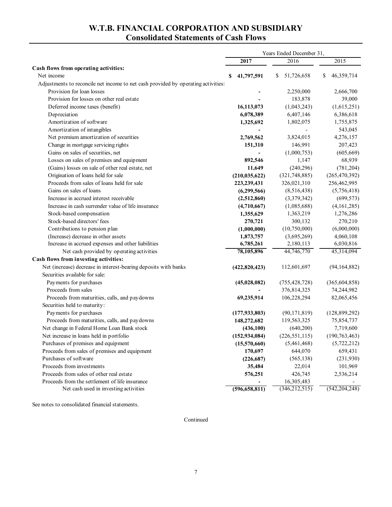# **W.T.B. FINANCIAL CORPORATION AND SUBSIDIARY Consolidated Statements of Cash Flows**

| 2017<br>2016                                                                                      |                 |
|---------------------------------------------------------------------------------------------------|-----------------|
|                                                                                                   | 2015            |
| Cash flows from operating activities:                                                             |                 |
| Net income<br>41,797,591<br>S<br>51,726,658<br>\$<br>S                                            | 46,359,714      |
| Adjustments to reconcile net income to net cash provided by operating activities:                 |                 |
| Provision for loan losses<br>2,250,000                                                            | 2,666,700       |
| Provision for losses on other real estate<br>183,878                                              | 39,000          |
| Deferred income taxes (benefit)<br>16,113,073<br>(1,043,243)                                      | (1,615,251)     |
| Depreciation<br>6,407,146<br>6,078,389                                                            | 6,386,618       |
| Amortization of software<br>1,325,692<br>1,802,075                                                | 1,755,875       |
| Amortization of intangibles                                                                       | 543,045         |
| Net premium amortization of securities<br>2,769,562<br>3,824,015                                  | 4,276,157       |
| Change in mortgage servicing rights<br>151,310<br>146,991                                         | 207,423         |
| Gains on sales of securities, net<br>(1,000,753)                                                  | (605, 669)      |
| Losses on sales of premises and equipment<br>1,147<br>892,546                                     | 68,939          |
| (Gains) losses on sale of other real estate, net<br>(240, 296)<br>11,649                          | (781, 204)      |
| Origination of loans held for sale<br>(210, 035, 622)<br>(321, 748, 885)                          | (265, 470, 392) |
| Proceeds from sales of loans held for sale<br>326,021,310<br>223, 239, 431                        | 256,462,995     |
| Gains on sales of loans<br>(6,299,566)<br>(8,516,438)                                             | (5,756,418)     |
| Increase in accrued interest receivable<br>(3,379,342)<br>(2,512,860)                             | (699, 573)      |
| Increase in cash surrender value of life insurance<br>(1,085,688)<br>(4,710,667)                  | (4,161,285)     |
| Stock-based compensation<br>1,355,629<br>1,363,219                                                | 1,276,286       |
| Stock-based directors' fees<br>300,132<br>270,721                                                 | 270,210         |
| Contributions to pension plan<br>(10,750,000)<br>(1,000,000)                                      | (6,000,000)     |
| (Increase) decrease in other assets<br>1,873,757<br>(3,695,269)                                   | 4,060,108       |
| Increase in accrued expenses and other liabilities<br>2,180,113<br>6,785,261                      | 6,030,816       |
| 78,105,896<br>44,746,770<br>Net cash provided by operating activities                             | 45,314,094      |
| Cash flows from investing activities:                                                             |                 |
| Net (increase) decrease in interest-bearing deposits with banks<br>112,601,697<br>(422, 820, 423) | (94, 164, 882)  |
| Securities available for sale:                                                                    |                 |
| Payments for purchases<br>(755, 428, 728)<br>(45,028,082)                                         | (365, 604, 858) |
| Proceeds from sales<br>376,814,325                                                                | 74,244,982      |
| Proceeds from maturities, calls, and paydowns<br>69,235,914<br>106,228,294                        | 82,065,456      |
| Securities held to maturity:                                                                      |                 |
| Payments for purchases<br>(90, 171, 819)<br>(177, 933, 803)                                       | (128, 899, 292) |
| Proceeds from maturities, calls, and paydowns<br>148,272,682<br>119,563,325                       | 75,854,737      |
| Net change in Federal Home Loan Bank stock<br>(436,100)<br>(640,200)                              | 7,719,600       |
| (152, 934, 084)<br>(226, 551, 115)<br>Net increase in loans held in portfolio                     | (190, 763, 463) |
| (15,570,660)<br>Purchases of premises and equipment<br>(5,461,468)                                | (5,722,212)     |
| 644,070<br>Proceeds from sales of premises and equipment<br>170,697                               | 659,431         |
| Purchases of software<br>(565, 138)<br>(226, 687)                                                 | (231,930)       |
| Proceeds from investments<br>35,484<br>22,014                                                     | 101,969         |
| Proceeds from sales of other real estate<br>576,251<br>426,745                                    | 2,536,214       |
| Proceeds from the settlement of life insurance<br>16,305,483                                      |                 |
| (346, 212, 515)<br>Net cash used in investing activities<br>(596, 658, 811)                       | (542, 204, 248) |

See notes to consolidated financial statements.

Continued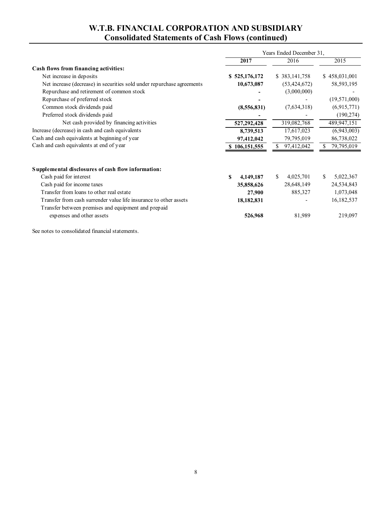# **W.T.B. FINANCIAL CORPORATION AND SUBSIDIARY Consolidated Statements of Cash Flows (continued)**

|                                                                        |                 | Years Ended December 31,  |                  |
|------------------------------------------------------------------------|-----------------|---------------------------|------------------|
|                                                                        | 2017            | 2016                      | 2015             |
| Cash flows from financing activities:                                  |                 |                           |                  |
| Net increase in deposits                                               | \$525,176,172   | \$ 383,141,758            | \$458,031,001    |
| Net increase (decrease) in securities sold under repurchase agreements | 10,673,087      | (53, 424, 672)            | 58, 593, 195     |
| Repurchase and retirement of common stock                              |                 | (3,000,000)               |                  |
| Repurchase of preferred stock                                          |                 |                           | (19,571,000)     |
| Common stock dividends paid                                            | (8,556,831)     | (7,634,318)               | (6,915,771)      |
| Preferred stock dividends paid                                         |                 |                           | (190, 274)       |
| Net cash provided by financing activities                              | 527,292,428     | 319,082,768               | 489,947,151      |
| Increase (decrease) in cash and cash equivalents                       | 8,739,513       | 17,617,023                | (6,943,003)      |
| Cash and cash equivalents at beginning of year                         | 97,412,042      | 79,795,019                | 86,738,022       |
| Cash and cash equivalents at end of year                               | \$106,151,555   | 97,412,042                | 79,795,019       |
| Supplemental disclosures of cash flow information:                     |                 |                           |                  |
| Cash paid for interest                                                 | 4,149,187<br>\$ | <sup>S</sup><br>4,025,701 | \$.<br>5,022,367 |
| Cash paid for income taxes                                             | 35,858,626      | 28,648,149                | 24,534,843       |
| Transfer from loans to other real estate                               | 27,900          | 885,327                   | 1,073,048        |
| Transfer from cash surrender value life insurance to other assets      | 18, 182, 831    |                           | 16,182,537       |
| Transfer between premises and equipment and prepaid                    |                 |                           |                  |
| expenses and other assets                                              | 526,968         | 81,989                    | 219,097          |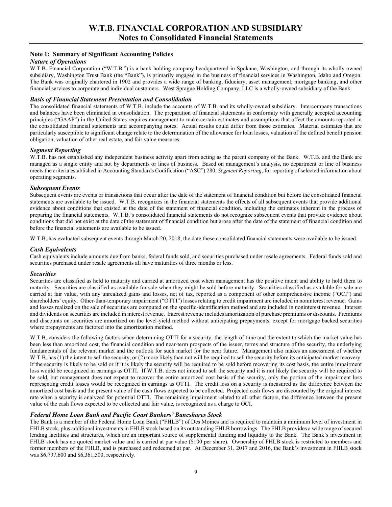### **Note 1: Summary of Significant Accounting Policies**

### *Nature of Operations*

W.T.B. Financial Corporation ("W.T.B.") is a bank holding company headquartered in Spokane, Washington, and through its wholly-owned subsidiary, Washington Trust Bank (the "Bank"), is primarily engaged in the business of financial services in Washington, Idaho and Oregon. The Bank was originally chartered in 1902 and provides a wide range of banking, fiduciary, asset management, mortgage banking, and other financial services to corporate and individual customers. West Sprague Holding Company, LLC is a wholly-owned subsidiary of the Bank.

#### *Basis of Financial Statement Presentation and Consolidation*

The consolidated financial statements of W.T.B. include the accounts of W.T.B. and its wholly-owned subsidiary. Intercompany transactions and balances have been eliminated in consolidation. The preparation of financial statements in conformity with generally accepted accounting principles ("GAAP") in the United States requires management to make certain estimates and assumptions that affect the amounts reported in the consolidated financial statements and accompanying notes. Actual results could differ from those estimates. Material estimates that are particularly susceptible to significant change relate to the determination of the allowance for loan losses, valuation of the defined benefit pension obligation, valuation of other real estate, and fair value measures.

### *Segment Reporting*

W.T.B. has not established any independent business activity apart from acting as the parent company of the Bank. W.T.B. and the Bank are managed as a single entity and not by departments or lines of business. Based on management's analysis, no department or line of business meets the criteria established in Accounting Standards Codification ("ASC") 280, *Segment Reporting*, for reporting of selected information about operating segments.

### *Subsequent Events*

Subsequent events are events or transactions that occur after the date of the statement of financial condition but before the consolidated financial statements are available to be issued. W.T.B. recognizes in the financial statements the effects of all subsequent events that provide additional evidence about conditions that existed at the date of the statement of financial condition, including the estimates inherent in the process of preparing the financial statements. W.T.B.'s consolidated financial statements do not recognize subsequent events that provide evidence about conditions that did not exist at the date of the statement of financial condition but arose after the date of the statement of financial condition and before the financial statements are available to be issued.

W.T.B. has evaluated subsequent events through March 20, 2018, the date these consolidated financial statements were available to be issued.

### *Cash Equivalents*

Cash equivalents include amounts due from banks, federal funds sold, and securities purchased under resale agreements. Federal funds sold and securities purchased under resale agreements all have maturities of three months or less.

#### *Securities*

Securities are classified as held to maturity and carried at amortized cost when management has the positive intent and ability to hold them to maturity. Securities are classified as available for sale when they might be sold before maturity. Securities classified as available for sale are carried at fair value, with any unrealized gains and losses, net of tax, reported as a component of other comprehensive income ("OCI") and shareholders' equity. Other-than-temporary impairment ("OTTI") losses relating to credit impairment are included in noninterest revenue. Gains and losses realized on the sale of securities are computed on the specific-identification method and are included in noninterest revenue. Interest and dividends on securities are included in interest revenue. Interest revenue includes amortization of purchase premiums or discounts. Premiums and discounts on securities are amortized on the level-yield method without anticipating prepayments, except for mortgage backed securities where prepayments are factored into the amortization method.

W.T.B. considers the following factors when determining OTTI for a security: the length of time and the extent to which the market value has been less than amortized cost, the financial condition and near-term prospects of the issuer, terms and structure of the security, the underlying fundamentals of the relevant market and the outlook for such market for the near future. Management also makes an assessment of whether W.T.B. has (1) the intent to sell the security, or (2) more likely than not will be required to sell the security before its anticipated market recovery. If the security is likely to be sold or if it is likely the security will be required to be sold before recovering its cost basis, the entire impairment loss would be recognized in earnings as OTTI. If W.T.B. does not intend to sell the security and it is not likely the security will be required to be sold, but management does not expect to recover the entire amortized cost basis of the security, only the portion of the impairment loss representing credit losses would be recognized in earnings as OTTI. The credit loss on a security is measured as the difference between the amortized cost basis and the present value of the cash flows expected to be collected. Projected cash flows are discounted by the original interest rate when a security is analyzed for potential OTTI. The remaining impairment related to all other factors, the difference between the present value of the cash flows expected to be collected and fair value, is recognized as a charge to OCI.

### *Federal Home Loan Bank and Pacific Coast Bankers' Bancshares Stock*

The Bank is a member of the Federal Home Loan Bank ("FHLB") of Des Moines and is required to maintain a minimum level of investment in FHLB stock, plus additional investments in FHLB stock based on its outstanding FHLB borrowings. The FHLB provides a wide range of secured lending facilities and structures, which are an important source of supplemental funding and liquidity to the Bank. The Bank's investment in FHLB stock has no quoted market value and is carried at par value (\$100 per share). Ownership of FHLB stock is restricted to members and former members of the FHLB, and is purchased and redeemed at par. At December 31, 2017 and 2016, the Bank's investment in FHLB stock was \$6,797,600 and \$6,361,500, respectively.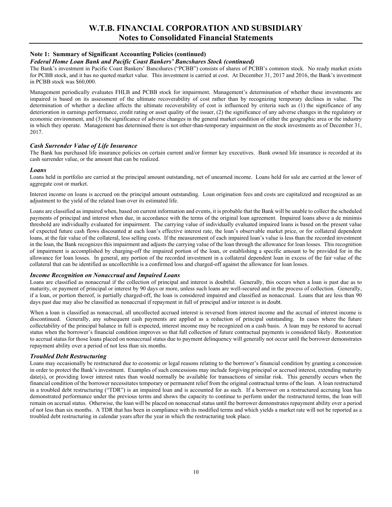#### *Federal Home Loan Bank and Pacific Coast Bankers' Bancshares Stock (continued)*

The Bank's investment in Pacific Coast Bankers' Bancshares ("PCBB") consists of shares of PCBB's common stock. No ready market exists for PCBB stock, and it has no quoted market value. This investment is carried at cost. At December 31, 2017 and 2016, the Bank's investment in PCBB stock was \$60,000.

Management periodically evaluates FHLB and PCBB stock for impairment. Management's determination of whether these investments are impaired is based on its assessment of the ultimate recoverability of cost rather than by recognizing temporary declines in value. The determination of whether a decline affects the ultimate recoverability of cost is influenced by criteria such as (1) the significance of any deterioration in earnings performance, credit rating or asset quality of the issuer, (2) the significance of any adverse changes in the regulatory or economic environment, and (3) the significance of adverse changes in the general market condition of either the geographic area or the industry in which they operate. Management has determined there is not other-than-temporary impairment on the stock investments as of December 31, 2017.

#### *Cash Surrender Value of Life Insurance*

The Bank has purchased life insurance policies on certain current and/or former key executives. Bank owned life insurance is recorded at its cash surrender value, or the amount that can be realized.

#### *Loans*

Loans held in portfolio are carried at the principal amount outstanding, net of unearned income. Loans held for sale are carried at the lower of aggregate cost or market.

Interest income on loans is accrued on the principal amount outstanding. Loan origination fees and costs are capitalized and recognized as an adjustment to the yield of the related loan over its estimated life.

Loans are classified as impaired when, based on current information and events, it is probable that the Bank will be unable to collect the scheduled payments of principal and interest when due, in accordance with the terms of the original loan agreement. Impaired loans above a de minimis threshold are individually evaluated for impairment. The carrying value of individually evaluated impaired loans is based on the present value of expected future cash flows discounted at each loan's effective interest rate, the loan's observable market price, or for collateral dependent loans, at the fair value of the collateral, less selling costs. If the measurement of each impaired loan's value is less than the recorded investment in the loan, the Bank recognizes this impairment and adjusts the carrying value of the loan through the allowance for loan losses. This recognition of impairment is accomplished by charging-off the impaired portion of the loan, or establishing a specific amount to be provided for in the allowance for loan losses. In general, any portion of the recorded investment in a collateral dependent loan in excess of the fair value of the collateral that can be identified as uncollectible is a confirmed loss and charged-off against the allowance for loan losses.

#### *Income Recognition on Nonaccrual and Impaired Loans*

Loans are classified as nonaccrual if the collection of principal and interest is doubtful. Generally, this occurs when a loan is past due as to maturity, or payment of principal or interest by 90 days or more, unless such loans are well-secured and in the process of collection. Generally, if a loan, or portion thereof, is partially charged-off, the loan is considered impaired and classified as nonaccrual. Loans that are less than 90 days past due may also be classified as nonaccrual if repayment in full of principal and/or interest is in doubt.

When a loan is classified as nonaccrual, all uncollected accrued interest is reversed from interest income and the accrual of interest income is discontinued. Generally, any subsequent cash payments are applied as a reduction of principal outstanding. In cases where the future collectability of the principal balance in full is expected, interest income may be recognized on a cash basis. A loan may be restored to accrual status when the borrower's financial condition improves so that full collection of future contractual payments is considered likely. Restoration to accrual status for those loans placed on nonaccrual status due to payment delinquency will generally not occur until the borrower demonstrates repayment ability over a period of not less than six months.

#### *Troubled Debt Restructuring*

Loans may occasionally be restructured due to economic or legal reasons relating to the borrower's financial condition by granting a concession in order to protect the Bank's investment. Examples of such concessions may include forgiving principal or accrued interest, extending maturity date(s), or providing lower interest rates than would normally be available for transactions of similar risk. This generally occurs when the financial condition of the borrower necessitates temporary or permanent relief from the original contractual terms of the loan. A loan restructured in a troubled debt restructuring ("TDR") is an impaired loan and is accounted for as such. If a borrower on a restructured accruing loan has demonstrated performance under the previous terms and shows the capacity to continue to perform under the restructured terms, the loan will remain on accrual status. Otherwise, the loan will be placed on nonaccrual status until the borrower demonstrates repayment ability over a period of not less than six months. A TDR that has been in compliance with its modified terms and which yields a market rate will not be reported as a troubled debt restructuring in calendar years after the year in which the restructuring took place.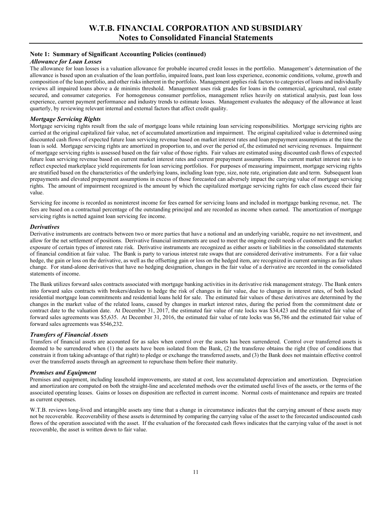### *Allowance for Loan Losses*

The allowance for loan losses is a valuation allowance for probable incurred credit losses in the portfolio. Management's determination of the allowance is based upon an evaluation of the loan portfolio, impaired loans, past loan loss experience, economic conditions, volume, growth and composition of the loan portfolio, and other risks inherent in the portfolio. Management applies risk factors to categories of loans and individually reviews all impaired loans above a de minimis threshold. Management uses risk grades for loans in the commercial, agricultural, real estate secured, and consumer categories. For homogenous consumer portfolios, management relies heavily on statistical analysis, past loan loss experience, current payment performance and industry trends to estimate losses. Management evaluates the adequacy of the allowance at least quarterly, by reviewing relevant internal and external factors that affect credit quality.

### *Mortgage Servicing Rights*

Mortgage servicing rights result from the sale of mortgage loans while retaining loan servicing responsibilities. Mortgage servicing rights are carried at the original capitalized fair value, net of accumulated amortization and impairment. The original capitalized value is determined using discounted cash flows of expected future loan servicing revenue based on market interest rates and loan prepayment assumptions at the time the loan is sold. Mortgage servicing rights are amortized in proportion to, and over the period of, the estimated net servicing revenues. Impairment of mortgage servicing rights is assessed based on the fair value of those rights. Fair values are estimated using discounted cash flows of expected future loan servicing revenue based on current market interest rates and current prepayment assumptions. The current market interest rate is to reflect expected marketplace yield requirements for loan servicing portfolios. For purposes of measuring impairment, mortgage servicing rights are stratified based on the characteristics of the underlying loans, including loan type, size, note rate, origination date and term. Subsequent loan prepayments and elevated prepayment assumptions in excess of those forecasted can adversely impact the carrying value of mortgage servicing rights. The amount of impairment recognized is the amount by which the capitalized mortgage servicing rights for each class exceed their fair value.

Servicing fee income is recorded as noninterest income for fees earned for servicing loans and included in mortgage banking revenue, net. The fees are based on a contractual percentage of the outstanding principal and are recorded as income when earned. The amortization of mortgage servicing rights is netted against loan servicing fee income.

### *Derivatives*

Derivative instruments are contracts between two or more parties that have a notional and an underlying variable, require no net investment, and allow for the net settlement of positions. Derivative financial instruments are used to meet the ongoing credit needs of customers and the market exposure of certain types of interest rate risk. Derivative instruments are recognized as either assets or liabilities in the consolidated statements of financial condition at fair value. The Bank is party to various interest rate swaps that are considered derivative instruments. For a fair value hedge, the gain or loss on the derivative, as well as the offsetting gain or loss on the hedged item, are recognized in current earnings as fair values change. For stand-alone derivatives that have no hedging designation, changes in the fair value of a derivative are recorded in the consolidated statements of income.

The Bank utilizes forward sales contracts associated with mortgage banking activities in its derivative risk management strategy. The Bank enters into forward sales contracts with brokers/dealers to hedge the risk of changes in fair value, due to changes in interest rates, of both locked residential mortgage loan commitments and residential loans held for sale. The estimated fair values of these derivatives are determined by the changes in the market value of the related loans, caused by changes in market interest rates, during the period from the commitment date or contract date to the valuation date. At December 31, 2017, the estimated fair value of rate locks was \$34,423 and the estimated fair value of forward sales agreements was \$5,635. At December 31, 2016, the estimated fair value of rate locks was \$6,786 and the estimated fair value of forward sales agreements was \$546,232.

### *Transfers of Financial Assets*

Transfers of financial assets are accounted for as sales when control over the assets has been surrendered. Control over transferred assets is deemed to be surrendered when (1) the assets have been isolated from the Bank, (2) the transferee obtains the right (free of conditions that constrain it from taking advantage of that right) to pledge or exchange the transferred assets, and (3) the Bank does not maintain effective control over the transferred assets through an agreement to repurchase them before their maturity.

#### *Premises and Equipment*

Premises and equipment, including leasehold improvements, are stated at cost, less accumulated depreciation and amortization. Depreciation and amortization are computed on both the straight-line and accelerated methods over the estimated useful lives of the assets, or the terms of the associated operating leases. Gains or losses on disposition are reflected in current income. Normal costs of maintenance and repairs are treated as current expenses.

W.T.B. reviews long-lived and intangible assets any time that a change in circumstance indicates that the carrying amount of these assets may not be recoverable. Recoverability of these assets is determined by comparing the carrying value of the asset to the forecasted undiscounted cash flows of the operation associated with the asset. If the evaluation of the forecasted cash flows indicates that the carrying value of the asset is not recoverable, the asset is written down to fair value.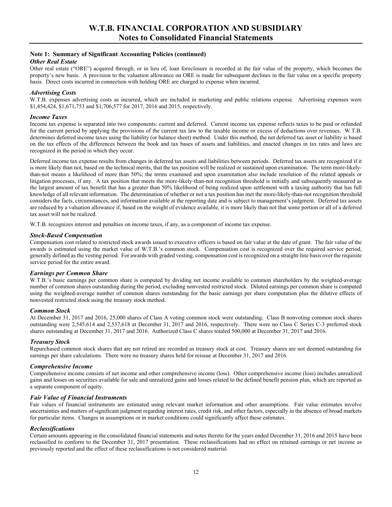#### *Other Real Estate*

Other real estate ("ORE") acquired through, or in lieu of, loan foreclosure is recorded at the fair value of the property, which becomes the property's new basis. A provision to the valuation allowance on ORE is made for subsequent declines in the fair value on a specific property basis. Direct costs incurred in connection with holding ORE are charged to expense when incurred.

#### *Advertising Costs*

W.T.B. expenses advertising costs as incurred, which are included in marketing and public relations expense. Advertising expenses were \$1,454,424, \$1,671,753 and \$1,706,577 for 2017, 2016 and 2015, respectively.

#### *Income Taxes*

Income tax expense is separated into two components: current and deferred. Current income tax expense reflects taxes to be paid or refunded for the current period by applying the provisions of the current tax law to the taxable income or excess of deductions over revenues. W.T.B. determines deferred income taxes using the liability (or balance sheet) method. Under this method, the net deferred tax asset or liability is based on the tax effects of the differences between the book and tax bases of assets and liabilities, and enacted changes in tax rates and laws are recognized in the period in which they occur.

Deferred income tax expense results from changes in deferred tax assets and liabilities between periods. Deferred tax assets are recognized if it is more likely than not, based on the technical merits, that the tax position will be realized or sustained upon examination. The term more-likelythan-not means a likelihood of more than 50%; the terms examined and upon examination also include resolution of the related appeals or litigation processes, if any. A tax position that meets the more-likely-than-not recognition threshold is initially and subsequently measured as the largest amount of tax benefit that has a greater than 50% likelihood of being realized upon settlement with a taxing authority that has full knowledge of all relevant information. The determination of whether or not a tax position has met the more-likely-than-not recognition threshold considers the facts, circumstances, and information available at the reporting date and is subject to management's judgment. Deferred tax assets are reduced by a valuation allowance if, based on the weight of evidence available, it is more likely than not that some portion or all of a deferred tax asset will not be realized.

W.T.B. recognizes interest and penalties on income taxes, if any, as a component of income tax expense.

#### *Stock-Based Compensation*

Compensation cost related to restricted stock awards issued to executive officers is based on fair value at the date of grant. The fair value of the awards is estimated using the market value of W.T.B.'s common stock. Compensation cost is recognized over the required service period, generally defined as the vesting period. For awards with graded vesting, compensation cost is recognized on a straight-line basis over the requisite service period for the entire award.

#### *Earnings per Common Share*

W.T.B.'s basic earnings per common share is computed by dividing net income available to common shareholders by the weighted-average number of common shares outstanding during the period, excluding nonvested restricted stock. Diluted earnings per common share is computed using the weighted-average number of common shares outstanding for the basic earnings per share computation plus the dilutive effects of nonvested restricted stock using the treasury stock method.

#### *Common Stock*

At December 31, 2017 and 2016, 25,000 shares of Class A voting common stock were outstanding. Class B nonvoting common stock shares outstanding were 2,545,614 and 2,537,618 at December 31, 2017 and 2016, respectively. There were no Class C Series C-3 preferred stock shares outstanding at December 31, 2017 and 2016. Authorized Class C shares totaled 500,000 at December 31, 2017 and 2016.

#### *Treasury Stock*

Repurchased common stock shares that are not retired are recorded as treasury stock at cost. Treasury shares are not deemed outstanding for earnings per share calculations. There were no treasury shares held for reissue at December 31, 2017 and 2016.

#### *Comprehensive Income*

Comprehensive income consists of net income and other comprehensive income (loss). Other comprehensive income (loss) includes unrealized gains and losses on securities available for sale and unrealized gains and losses related to the defined benefit pension plan, which are reported as a separate component of equity.

#### *Fair Value of Financial Instruments*

Fair values of financial instruments are estimated using relevant market information and other assumptions. Fair value estimates involve uncertainties and matters of significant judgment regarding interest rates, credit risk, and other factors, especially in the absence of broad markets for particular items. Changes in assumptions or in market conditions could significantly affect these estimates.

#### *Reclassifications*

Certain amounts appearing in the consolidated financial statements and notes thereto for the years ended December 31, 2016 and 2015 have been reclassified to conform to the December 31, 2017 presentation. These reclassifications had no effect on retained earnings or net income as previously reported and the effect of these reclassifications is not considered material.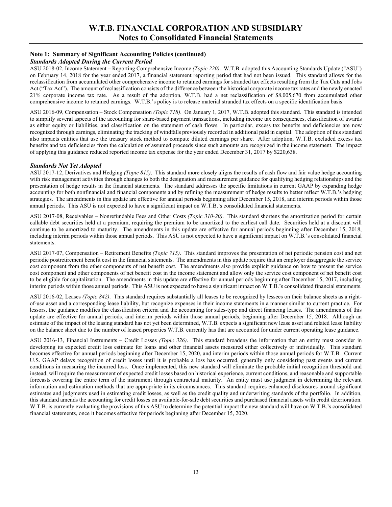### *Standards Adopted During the Current Period*

ASU 2018-02, Income Statement – Reporting Comprehensive Income *(Topic 220)*. W.T.B. adopted this Accounting Standards Update ("ASU") on February 14, 2018 for the year ended 2017, a financial statement reporting period that had not been issued. This standard allows for the reclassification from accumulated other comprehensive income to retained earnings for stranded tax effects resulting from the Tax Cuts and Jobs Act ("Tax Act"). The amount of reclassification consists of the difference between the historical corporate income tax rates and the newly enacted 21% corporate income tax rate. As a result of the adoption, W.T.B. had a net reclassification of \$8,005,670 from accumulated other comprehensive income to retained earnings. W.T.B.'s policy is to release material stranded tax effects on a specific identification basis.

ASU 2016-09, Compensation – Stock Compensation *(Topic 718)*. On January 1, 2017, W.T.B. adopted this standard. This standard is intended to simplify several aspects of the accounting for share-based payment transactions, including income tax consequences, classification of awards as either equity or liabilities, and classification on the statement of cash flows. In particular, excess tax benefits and deficiencies are now recognized through earnings, eliminating the tracking of windfalls previously recorded in additional paid in capital. The adoption of this standard also impacts entities that use the treasury stock method to compute diluted earnings per share. After adoption, W.T.B. excluded excess tax benefits and tax deficiencies from the calculation of assumed proceeds since such amounts are recognized in the income statement. The impact of applying this guidance reduced reported income tax expense for the year ended December 31, 2017 by \$220,638.

### *Standards Not Yet Adopted*

ASU 2017-12, Derivatives and Hedging *(Topic 815)*. This standard more closely aligns the results of cash flow and fair value hedge accounting with risk management activities through changes to both the designation and measurement guidance for qualifying hedging relationships and the presentation of hedge results in the financial statements. The standard addresses the specific limitations in current GAAP by expanding hedge accounting for both nonfinancial and financial components and by refining the measurement of hedge results to better reflect W.T.B.'s hedging strategies. The amendments in this update are effective for annual periods beginning after December 15, 2018, and interim periods within those annual periods. This ASU is not expected to have a significant impact on W.T.B.'s consolidated financial statements.

ASU 2017-08, Receivables – Nonrefundable Fees and Other Costs *(Topic 310-20)*. This standard shortens the amortization period for certain callable debt securities held at a premium, requiring the premium to be amortized to the earliest call date. Securities held at a discount will continue to be amortized to maturity. The amendments in this update are effective for annual periods beginning after December 15, 2018, including interim periods within those annual periods. This ASU is not expected to have a significant impact on W.T.B.'s consolidated financial statements.

ASU 2017-07, Compensation – Retirement Benefits *(Topic 715)*. This standard improves the presentation of net periodic pension cost and net periodic postretirement benefit cost in the financial statements. The amendments in this update require that an employer disaggregate the service cost component from the other components of net benefit cost. The amendments also provide explicit guidance on how to present the service cost component and other components of net benefit cost in the income statement and allow only the service cost component of net benefit cost to be eligible for capitalization. The amendments in this update are effective for annual periods beginning after December 15, 2017, including interim periods within those annual periods. This ASU is not expected to have a significant impact on W.T.B.'s consolidated financial statements.

ASU 2016-02, Leases *(Topic 842)*. This standard requires substantially all leases to be recognized by lessees on their balance sheets as a rightof-use asset and a corresponding lease liability, but recognize expenses in their income statements in a manner similar to current practice. For lessors, the guidance modifies the classification criteria and the accounting for sales-type and direct financing leases. The amendments of this update are effective for annual periods, and interim periods within those annual periods, beginning after December 15, 2018. Although an estimate of the impact of the leasing standard has not yet been determined, W.T.B. expects a significant new lease asset and related lease liability on the balance sheet due to the number of leased properties W.T.B. currently has that are accounted for under current operating lease guidance.

ASU 2016-13, Financial Instruments – Credit Losses *(Topic 326)*. This standard broadens the information that an entity must consider in developing its expected credit loss estimate for loans and other financial assets measured either collectively or individually. This standard becomes effective for annual periods beginning after December 15, 2020, and interim periods within those annual periods for W.T.B. Current U.S. GAAP delays recognition of credit losses until it is probable a loss has occurred, generally only considering past events and current conditions in measuring the incurred loss. Once implemented, this new standard will eliminate the probable initial recognition threshold and instead, will require the measurement of expected credit losses based on historical experience, current conditions, and reasonable and supportable forecasts covering the entire term of the instrument through contractual maturity. An entity must use judgment in determining the relevant information and estimation methods that are appropriate in its circumstances. This standard requires enhanced disclosures around significant estimates and judgments used in estimating credit losses, as well as the credit quality and underwriting standards of the portfolio. In addition, this standard amends the accounting for credit losses on available-for-sale debt securities and purchased financial assets with credit deterioration. W.T.B. is currently evaluating the provisions of this ASU to determine the potential impact the new standard will have on W.T.B.'s consolidated financial statements, once it becomes effective for periods beginning after December 15, 2020.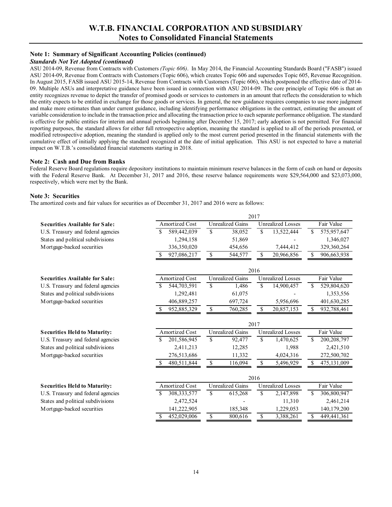### **Note 1: Summary of Significant Accounting Policies (continued)**

#### *Standards Not Yet Adopted (continued)*

 ASU 2014-09, Revenue from Contracts with Customers *(Topic 606)*. In May 2014, the Financial Accounting Standards Board ("FASB") issued 09. Multiple ASUs and interpretative guidance have been issued in connection with ASU 2014-09. The core principle of Topic 606 is that an the entity expects to be entitled in exchange for those goods or services. In general, the new guidance requires companies to use more judgment and make more estimates than under current guidance, including identifying performance obligations in the contract, estimating the amount of variable consideration to include in the transaction price and allocating the transaction price to each separate performance obligation. The standard is effective for public entities for interim and annual periods beginning after December 15, 2017; early adoption is not permitted. For financial reporting purposes, the standard allows for either full retrospective adoption, meaning the standard is applied to all of the periods presented, or modified retrospective adoption, meaning the standard is applied only to the most current period presented in the financial statements with the cumulative effect of initially applying the standard recognized at the date of initial application. This ASU is not expected to have a material ASU 2014-09, Revenue from Contracts with Customers (Topic 606), which creates Topic 606 and supersedes Topic 605, Revenue Recognition. In August 2015, FASB issued ASU 2015-14, Revenue from Contracts with Customers (Topic 606), which postponed the effective date of 2014 entity recognizes revenue to depict the transfer of promised goods or services to customers in an amount that reflects the consideration to which impact on W.T.B.'s consolidated financial statements starting in 2018.

### **Note 2: Cash and Due from Banks**

 Federal Reserve Board regulations require depository institutions to maintain minimum reserve balances in the form of cash on hand or deposits with the Federal Reserve Bank. At December 31, 2017 and 2016, these reserve balance requirements were \$29,564,000 and \$23,073,000, respectively, which were met by the Bank.

#### **Note 3: Securities**

The amortized costs and fair values for securities as of December 31, 2017 and 2016 were as follows:

|                                       |                                   |                         | 2017                     |                      |
|---------------------------------------|-----------------------------------|-------------------------|--------------------------|----------------------|
| <b>Securities Available for Sale:</b> | <b>Amortized Cost</b>             | <b>Unrealized Gains</b> | <b>Unrealized Losses</b> | Fair Value           |
| U.S. Treasury and federal agencies    | 589,442,039<br>\$                 | \$<br>38,052            | \$<br>13,522,444         | \$<br>575,957,647    |
| States and political subdivisions     | 1,294,158                         | 51,869                  |                          | 1,346,027            |
| Mortgage-backed securities            | 336,350,020                       | 454,656                 | 7,444,412                | 329,360,264          |
|                                       | 927,086,217<br>S                  | \$<br>544,577           | 20,966,856<br>\$         | 906,663,938<br>\$    |
|                                       |                                   |                         | 2016                     |                      |
| <b>Securities Available for Sale:</b> | Amortized Cost                    | <b>Unrealized Gains</b> | <b>Unrealized Losses</b> | Fair Value           |
| U.S. Treasury and federal agencies    | 544,703,591                       | \$<br>1,486             | \$<br>14,900,457         | \$.<br>529,804,620   |
| States and political subdivisions     | 1,292,481                         | 61,075                  |                          | 1,353,556            |
| M ortgage-backed securities           | 406,889,257                       | 697,724                 | 5,956,696                | 401,630,285          |
|                                       | 952,885,329<br>S                  | \$<br>760,285           | \$<br>20,857,153         | 932,788,461<br>\$    |
|                                       |                                   |                         | 2017                     |                      |
| <b>Securities Held to Maturity:</b>   | Amortized Cost                    | <b>Unrealized Gains</b> | <b>Unrealized Losses</b> | Fair Value           |
| U.S. Treasury and federal agencies    | 201,586,945                       | \$<br>92,477            | \$<br>1,470,625          | \$.<br>200, 208, 797 |
| States and political subdivisions     | 2,411,213                         | 12,285                  | 1,988                    | 2,421,510            |
| M ortgage-backed securities           | 276,513,686                       | 11,332                  | 4,024,316                | 272,500,702          |
|                                       | 480,511,844<br>S                  | \$<br>116,094           | \$<br>5,496,929          | \$<br>475, 131, 009  |
|                                       |                                   |                         | 2016                     |                      |
| <b>Securities Held to Maturity:</b>   | <b>Amortized Cost</b>             | <b>Unrealized Gains</b> | <b>Unrealized Losses</b> | Fair Value           |
| U.S. Treasury and federal agencies    | 308, 333, 577<br>\$               | \$<br>615,268           | \$<br>2,147,898          | \$<br>306,800,947    |
| States and political subdivisions     | 2,472,524                         |                         | 11,310                   | 2,461,214            |
| M ortgage-backed securities           | 141,222,905                       | 185,348                 | 1,229,053                | 140,179,200          |
|                                       | $\mathbf{\hat{S}}$<br>452,029,006 | \$<br>800,616           | \$<br>3,388,261          | \$<br>449, 441, 361  |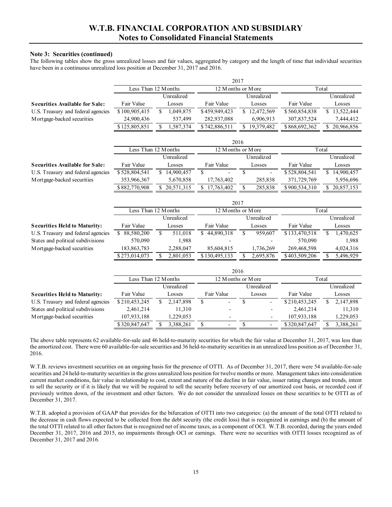### **Note 3: Securities (continued)**

The following tables show the gross unrealized losses and fair values, aggregated by category and the length of time that individual securities have been in a continuous unrealized loss position at December 31, 2017 and 2016.

|                                       |                     |                                          |            |                   | 2017                    |                          |               |             |              |
|---------------------------------------|---------------------|------------------------------------------|------------|-------------------|-------------------------|--------------------------|---------------|-------------|--------------|
|                                       |                     | Less Than 12 Months<br>12 Months or More |            |                   |                         |                          | Total         |             |              |
|                                       |                     |                                          | Unrealized |                   |                         | Unrealized               |               |             | Unrealized   |
| <b>Securities Available for Sale:</b> | Fair Value          |                                          | Losses     | Fair Value        |                         | Losses                   | Fair Value    |             | Losses       |
| U.S. Treasury and federal agencies    | \$100,905,415       | \$                                       | 1,049,875  | \$459,949,423     |                         | $\overline{12,472,569}$  | \$560,854,838 |             | \$13,522,444 |
| Mortgage-backed securities            | 24,900,436          |                                          | 537,499    | 282,937,088       |                         | 6,906,913                | 307,837,524   |             | 7,444,412    |
|                                       | \$125,805,851       | \$                                       | 1,587,374  | \$742,886,511     | $\overline{\mathbb{S}}$ | 19,379,482               | \$868,692,362 |             | \$20,966,856 |
|                                       |                     |                                          |            |                   | 2016                    |                          |               |             |              |
|                                       | Less Than 12 Months |                                          |            | 12 Months or More |                         |                          | Total         |             |              |
|                                       |                     |                                          | Unrealized |                   |                         | Unrealized               |               |             | Unrealized   |
| <b>Securities Available for Sale:</b> | Fair Value          |                                          | Losses     | Fair Value        |                         | Losses                   | Fair Value    |             | Losses       |
| U.S. Treasury and federal agencies    | \$528,804,541       | \$.                                      | 14,900,457 | $\mathbf S$       | \$                      |                          | \$528,804,541 | $\mathbf S$ | 14,900,457   |
| Mortgage-backed securities            | 353,966,367         |                                          | 5,670,858  | 17,763,402        |                         | 285,838                  | 371,729,769   |             | 5,956,696    |
|                                       | \$882,770,908       | S.                                       | 20,571,315 | \$17,763,402      | \$                      | 285,838                  | \$900,534,310 |             | \$20,857,153 |
|                                       |                     |                                          |            |                   | 2017                    |                          |               |             |              |
|                                       | Less Than 12 Months |                                          |            | 12 Months or More |                         |                          | Total         |             |              |
|                                       |                     |                                          | Unrealized |                   |                         | Unrealized               |               |             | Unrealized   |
| <b>Securities Held to Maturity:</b>   | Fair Value          |                                          | Losses     | Fair Value        |                         | Losses                   | Fair Value    |             | Losses       |
| U.S. Treasury and federal agencies    | \$88,580,200        | \$                                       | 511,018    | \$44,890,318      | \$                      | 959,607                  | \$133,470,518 | \$.         | 1,470,625    |
| States and political subdivisions     | 570,090             |                                          | 1,988      |                   |                         |                          | 570,090       |             | 1,988        |
| Mortgage-backed securities            | 183,863,783         |                                          | 2,288,047  | 85,604,815        |                         | 1,736,269                | 269,468,598   |             | 4,024,316    |
|                                       | \$273,014,073       | \$                                       | 2,801,053  | \$130,495,133     | \$                      | 2,695,876                | \$403,509,206 | \$          | 5,496,929    |
|                                       |                     |                                          |            |                   | 2016                    |                          |               |             |              |
|                                       |                     | Less Than 12 Months<br>12 Months or More |            |                   |                         | Total                    |               |             |              |
|                                       |                     |                                          | Unrealized |                   |                         | Unrealized               |               |             | Unrealized   |
| <b>Securities Held to Maturity:</b>   | Fair Value          |                                          | Losses     | Fair Value        |                         | Losses                   | Fair Value    |             | Losses       |
| U.S. Treasury and federal agencies    | \$210,453,245       | \$.                                      | 2,147,898  | \$                | \$                      |                          | \$210,453,245 | \$          | 2,147,898    |
| States and political subdivisions     | 2,461,214           |                                          | 11,310     |                   |                         |                          | 2,461,214     |             | 11,310       |
| Mortgage-backed securities            | 107,933,188         |                                          | 1,229,053  |                   |                         |                          | 107,933,188   |             | 1,229,053    |
|                                       | \$320,847,647       | \$                                       | 3,388,261  | \$                | \$                      | $\overline{\phantom{a}}$ | \$320,847,647 | \$          | 3,388,261    |

The above table represents 62 available-for-sale and 46 held-to-maturity securities for which the fair value at December 31, 2017, was less than the amortized cost. There were 60 available-for-sale securities and 36 held-to-maturity securitiesin an unrealized loss position as of December 31, 2016.

W.T.B. reviews investment securities on an ongoing basis for the presence of OTTI. As of December 31, 2017, there were 54 available-for-sale securities and 24 held-to-maturity securities in the gross unrealized loss position for twelve months or more. Management takes into consideration current market conditions, fair value in relationship to cost, extent and nature of the decline in fair value, issuer rating changes and trends, intent to sell the security or if it is likely that we will be required to sell the security before recovery of our amortized cost basis, or recorded cost if previously written down, of the investment and other factors. We do not consider the unrealized losses on these securities to be OTTI as of December 31, 2017.

W.T.B. adopted a provision of GAAP that provides for the bifurcation of OTTI into two categories: (a) the amount of the total OTTI related to the decrease in cash flows expected to be collected from the debt security (the credit loss) that is recognized in earnings and (b) the amount of the total OTTI related to all other factors that is recognized net of income taxes, as a component of OCI. W.T.B. recorded, during the years ended December 31, 2017, 2016 and 2015, no impairments through OCI or earnings. There were no securities with OTTI losses recognized as of December 31, 2017 and 2016.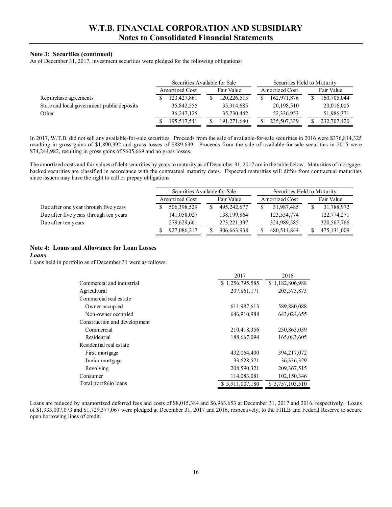### **Note 3: Securities (continued)**

As of December 31, 2017, investment securities were pledged for the following obligations:

|                                            |                       | Securities Available for Sale |  |             | Securities Held to Maturity |             |            |             |  |                       |  |            |
|--------------------------------------------|-----------------------|-------------------------------|--|-------------|-----------------------------|-------------|------------|-------------|--|-----------------------|--|------------|
|                                            | <b>Amortized Cost</b> |                               |  |             |                             |             | Fair Value |             |  | <b>Amortized Cost</b> |  | Fair Value |
| Repurchase agreements                      |                       | 123,427,861                   |  | 120,226,513 |                             | 162,971,876 |            | 160,705,044 |  |                       |  |            |
| State and local government public deposits |                       | 35,842,555                    |  | 35,314,685  |                             | 20,198,510  |            | 20,016,005  |  |                       |  |            |
| Other                                      |                       | 36, 247, 125                  |  | 35,730,442  |                             | 52,336,953  |            | 51,986,371  |  |                       |  |            |
|                                            |                       | 195,517,541                   |  | 191,271,640 |                             | 235,507,339 |            | 232,707,420 |  |                       |  |            |

In 2017, W.T.B. did not sell any available-for-sale securities. Proceeds from the sale of available-for-sale securities in 2016 were \$376,814,325 resulting in gross gains of \$1,890,392 and gross losses of \$889,639. Proceeds from the sale of available-for-sale securities in 2015 were \$74,244,982, resulting in gross gains of \$605,669 and no gross losses.

The amortized costs and fair values of debt securities by years to maturity as of December 31, 2017 are in the table below. Maturities of mortgagebacked securities are classified in accordance with the contractual maturity dates. Expected maturities will differ from contractual maturities since issuers may have the right to call or prepay obligations.

|                                        |                       | Securities Available for Sale | Securities Held to Maturity |               |  |  |
|----------------------------------------|-----------------------|-------------------------------|-----------------------------|---------------|--|--|
|                                        | <b>Amortized Cost</b> | Fair Value                    | <b>Amortized Cost</b>       | Fair Value    |  |  |
| Due after one year through five years  | 506,398,529           | 495,242,677                   | 31,987,485                  | 31,788,972    |  |  |
| Due after five years through ten years | 141,058,027           | 138,199,864                   | 123,534,774                 | 122,774,271   |  |  |
| Due after ten years                    | 279,629,661           | 273, 221, 397                 | 324,989,585                 | 320, 567, 766 |  |  |
|                                        | 927,086,217           | 906,663,938                   | 480,511,844                 | 475,131,009   |  |  |

### **Note 4: Loans and Allowance for Loan Losses**

#### *Loans*

Loans held in portfolio as of December 31 were as follows:

|                              | 2017            | 2016             |
|------------------------------|-----------------|------------------|
| Commercial and industrial    | \$1,256,795,585 | \$1,182,806,988  |
| Agricultural                 | 207,861,171     | 203, 373, 873    |
| Commercial real estate       |                 |                  |
| Owner occupied               | 611,987,613     | 589,880,088      |
| Non-owner occupied           | 646,910,988     | 643,024,655      |
| Construction and development |                 |                  |
| Commercial                   | 210,418,356     | 230,863,039      |
| Residential                  | 188,667,094     | 165,083,605      |
| Residential real estate      |                 |                  |
| First mortgage               | 432,064,400     | 394,217,072      |
| Junior mortgage              | 33,628,571      | 36,336,329       |
| Revolving                    | 208,590,321     | 209, 367, 515    |
| Consumer                     | 114,083,081     | 102,150,346      |
| Total portfolio loans        | \$3.911.007.180 | \$ 3,757,103,510 |

Loans are reduced by unamortized deferred fees and costs of \$8,015,384 and \$6,963,653 at December 31, 2017 and 2016, respectively. Loans of \$1,933,007,073 and \$1,729,377,067 were pledged at December 31, 2017 and 2016, respectively, to the FHLB and Federal Reserve to secure open borrowing lines of credit.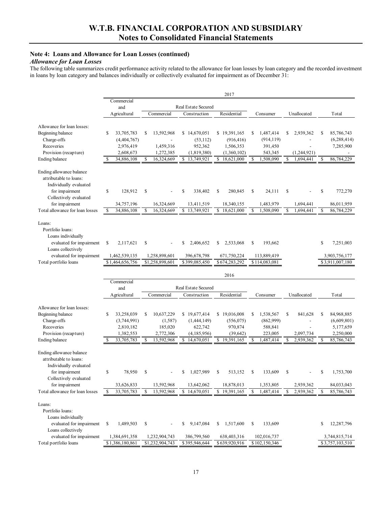# **Note 4: Loans and Allowance for Loan Losses (continued)**

# *Allowance for Loan Losses*

The following table summarizes credit performance activity related to the allowance for loan losses by loan category and the recorded investment in loans by loan category and balances individually or collectively evaluated for impairment as of December 31:

|                                                   |                                  |               |                                  |                              |             | 2017                           |    |                              |               |                        |    |                                  |
|---------------------------------------------------|----------------------------------|---------------|----------------------------------|------------------------------|-------------|--------------------------------|----|------------------------------|---------------|------------------------|----|----------------------------------|
|                                                   | Commercial                       |               |                                  |                              |             |                                |    |                              |               |                        |    |                                  |
|                                                   | and                              |               |                                  | <b>Real Estate Secured</b>   |             |                                |    |                              |               |                        |    |                                  |
|                                                   | Agricultural                     |               | Commercial                       | Construction                 |             | Residential                    |    | Consumer                     |               | Unallocated            |    | Total                            |
| Allowance for loan losses:                        |                                  |               |                                  |                              |             |                                |    |                              |               |                        |    |                                  |
| Beginning balance                                 | \$<br>33,705,783                 | \$            | 13,592,968                       | \$14,670,051                 |             | \$19,391,165                   | \$ | 1,487,414                    | \$            | 2,939,362              | \$ | 85,786,743                       |
| Charge-offs                                       | (4,404,767)                      |               |                                  | (53, 112)                    |             | (916, 416)                     |    | (914, 119)                   |               |                        |    | (6, 288, 414)                    |
| Recoveries                                        | 2,976,419                        |               | 1,459,316                        | 952,362                      |             | 1,506,353                      |    | 391,450                      |               |                        |    | 7,285,900                        |
| Provision (recapture)                             | 2,608,673                        |               | 1,272,385                        | (1,819,380)                  |             | (1,360,102)                    |    | 543,345                      |               | (1,244,921)            |    |                                  |
| Ending balance                                    | 34,886,108                       | \$            | 16,324,669                       | 13,749,921<br>\$             | \$          | 18,621,000                     | \$ | 1,508,090                    | \$            | 1,694,441              | \$ | 86,784,229                       |
| Ending allowance balance                          |                                  |               |                                  |                              |             |                                |    |                              |               |                        |    |                                  |
| attributable to loans:                            |                                  |               |                                  |                              |             |                                |    |                              |               |                        |    |                                  |
| Individually evaluated                            |                                  |               |                                  |                              |             |                                |    |                              |               |                        |    |                                  |
| for impairment                                    | \$<br>128,912                    | S             |                                  | \$<br>338,402                | S           | 280,845                        | \$ | 24,111                       | \$            |                        | \$ | 772,270                          |
| Collectively evaluated                            |                                  |               |                                  |                              |             |                                |    |                              |               |                        |    |                                  |
| for impairment                                    | 34,757,196                       |               | 16,324,669                       | 13,411,519                   |             | 18,340,155                     |    | 1,483,979                    |               | 1,694,441              |    | 86,011,959                       |
| Total allowance for loan losses                   | 34,886,108<br>S                  | S             | 16,324,669                       | \$13,749,921                 | $\mathbf S$ | 18,621,000                     | S  | 1,508,090                    | <sup>\$</sup> | 1,694,441              | \$ | 86,784,229                       |
|                                                   |                                  |               |                                  |                              |             |                                |    |                              |               |                        |    |                                  |
| Loans:                                            |                                  |               |                                  |                              |             |                                |    |                              |               |                        |    |                                  |
| Portfolio loans:                                  |                                  |               |                                  |                              |             |                                |    |                              |               |                        |    |                                  |
| Loans individually                                |                                  |               |                                  |                              |             |                                |    |                              |               |                        |    |                                  |
| evaluated for impairment                          | 2,117,621<br>\$                  | \$            |                                  | 2,406,652<br>S               | \$          | 2,533,068                      | \$ | 193,662                      |               |                        | \$ | 7,251,003                        |
| Loans collectively<br>evaluated for impairment    | 1,462,539,135                    |               | 1,258,898,601                    | 396,678,798                  |             | 671,750,224                    |    | 113,889,419                  |               |                        |    | 3,903,756,177                    |
| Total portfolio loans                             | \$1,464,656,756                  |               | \$1,258,898,601                  | \$399,085,450                |             | \$674,283,292                  |    | \$114,083,081                |               |                        |    | \$3,911,007,180                  |
|                                                   |                                  |               |                                  |                              |             |                                |    |                              |               |                        |    |                                  |
|                                                   |                                  |               |                                  |                              |             | 2016                           |    |                              |               |                        |    |                                  |
|                                                   | Commercial                       |               |                                  |                              |             |                                |    |                              |               |                        |    |                                  |
|                                                   | and                              |               |                                  | <b>Real Estate Secured</b>   |             |                                |    |                              |               |                        |    |                                  |
|                                                   | Agricultural                     |               | Commercial                       | Construction                 |             | Residential                    |    | Consumer                     |               | Unallocated            |    | Total                            |
| Allowance for loan losses:                        |                                  |               |                                  |                              |             |                                |    |                              |               |                        |    |                                  |
| Beginning balance                                 | \$<br>33,258,039                 | S             | 10,637,229                       | \$19,677,414                 |             | \$19,016,008                   | \$ | 1,538,567                    | \$            | 841,628                | \$ | 84,968,885                       |
| Charge-offs                                       | (3,744,991)                      |               | (1, 587)                         | (1,444,149)                  |             | (556, 075)                     |    | (862,999)                    |               | $\overline{a}$         |    | (6,609,801)                      |
| Recoveries                                        | 2,810,182                        |               | 185,020                          | 622,742                      |             | 970,874                        |    | 588,841                      |               |                        |    | 5,177,659                        |
| Provision (recapture)                             | 1,382,553                        |               | 2,772,306                        | (4,185,956)                  |             | (39, 642)                      |    | 223,005                      |               | 2,097,734              |    | 2,250,000                        |
| Ending balance                                    | 33,705,783                       | <sup>\$</sup> | 13,592,968                       | 14,670,051<br>S              |             | $\overline{19,391,165}$        | S  | 1,487,414                    | S             | 2,939,362              | S  | 85,786,743                       |
|                                                   |                                  |               |                                  |                              |             |                                |    |                              |               |                        |    |                                  |
| Ending allowance balance                          |                                  |               |                                  |                              |             |                                |    |                              |               |                        |    |                                  |
| attributable to loans:                            |                                  |               |                                  |                              |             |                                |    |                              |               |                        |    |                                  |
| Individually evaluated                            |                                  |               |                                  |                              |             |                                |    |                              |               |                        |    |                                  |
| for impairment                                    | \$<br>78,950                     | S             |                                  | 1,027,989<br>\$              | \$          | 513,152                        | \$ | 133,609                      | \$            |                        | \$ | 1,753,700                        |
| Collectively evaluated                            |                                  |               |                                  |                              |             |                                |    |                              |               |                        |    |                                  |
| for impairment<br>Total allowance for loan losses | 33,626,833<br>33,705,783         | S             | 13,592,968<br>13,592,968         | 13,642,062<br>\$14,670,051   |             | 18,878,013<br>\$19,391,165     | \$ | 1,353,805<br>1,487,414       | \$            | 2,939,362<br>2,939,362 | \$ | 84,033,043<br>85,786,743         |
|                                                   | S                                |               |                                  |                              |             |                                |    |                              |               |                        |    |                                  |
| Loans:                                            |                                  |               |                                  |                              |             |                                |    |                              |               |                        |    |                                  |
| Portfolio loans:                                  |                                  |               |                                  |                              |             |                                |    |                              |               |                        |    |                                  |
| Loans individually                                |                                  |               |                                  |                              |             |                                |    |                              |               |                        |    |                                  |
| evaluated for impairment                          | 1,489,503<br>\$                  | \$            |                                  | 9,147,084<br>S.              | \$          | 1,517,600                      | \$ | 133,609                      |               |                        | \$ | 12,287,796                       |
| Loans collectively                                |                                  |               |                                  |                              |             |                                |    |                              |               |                        |    |                                  |
| evaluated for impairment                          |                                  |               |                                  |                              |             |                                |    |                              |               |                        |    |                                  |
| Total portfolio loans                             | 1,384,691,358<br>\$1,386,180,861 |               | 1,232,904,743<br>\$1,232,904,743 | 386,799,560<br>\$395,946,644 |             | 638, 403, 316<br>\$639,920,916 |    | 102,016,737<br>\$102,150,346 |               |                        |    | 3,744,815,714<br>\$3,757,103,510 |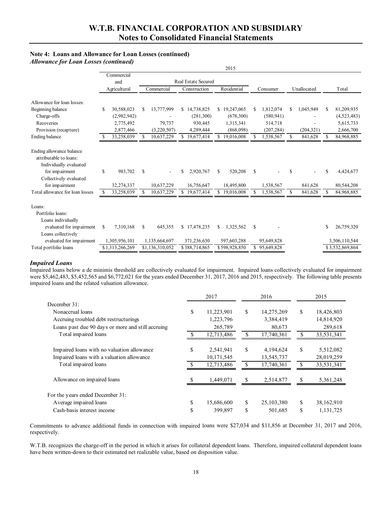# **Note 4: Loans and Allowance for Loan Losses (continued)**

*Allowance for Loan Losses (continued)* 

|                                                                              | 2015 |                 |               |                 |   |                            |     |               |     |              |     |             |    |                 |
|------------------------------------------------------------------------------|------|-----------------|---------------|-----------------|---|----------------------------|-----|---------------|-----|--------------|-----|-------------|----|-----------------|
|                                                                              |      | Commercial      |               |                 |   |                            |     |               |     |              |     |             |    |                 |
|                                                                              |      | and             |               |                 |   | <b>Real Estate Secured</b> |     |               |     |              |     |             |    |                 |
|                                                                              |      | Agricultural    |               | Commercial      |   | Construction               |     | Residential   |     | Consumer     |     | Unallocated |    | Total           |
| Allowance for loan losses:                                                   |      |                 |               |                 |   |                            |     |               |     |              |     |             |    |                 |
| Beginning balance                                                            | \$   | 30,588,023      | S             | 13,777,999      |   | \$14,738,825               |     | \$19,247,065  | S   | 1,812,074    |     | 1,045,949   | S  | 81,209,935      |
| Charge-offs                                                                  |      | (2,982,942)     |               |                 |   | (281,300)                  |     | (678,300)     |     | (580, 941)   |     |             |    | (4, 523, 483)   |
| Recoveries                                                                   |      | 2,775,492       |               | 79,737          |   | 930,445                    |     | 1,315,341     |     | 514,718      |     |             |    | 5,615,733       |
| Provision (recapture)                                                        |      | 2,877,466       |               | (3,220,507)     |   | 4,289,444                  |     | (868,098)     |     | (207, 284)   |     | (204, 321)  |    | 2,666,700       |
| Ending balance                                                               |      | 33,258,039      | S             | 10,637,229      |   | 19,677,414                 |     | \$19,016,008  | S   | 1,538,567    | S.  | 841,628     | S  | 84,968,885      |
| Ending allowance balance<br>attributable to loans:<br>Individually evaluated |      |                 |               |                 |   |                            |     |               |     |              |     |             |    |                 |
| for impairment                                                               | \$   | 983,702         | <sup>\$</sup> |                 | S | 2,920,767                  | \$. | 520,208       | \$. |              | \$. |             | \$ | 4,424,677       |
| Collectively evaluated<br>for impairment                                     |      | 32,274,337      |               | 10,637,229      |   | 16,756,647                 |     | 18,495,800    |     | 1,538,567    |     | 841,628     |    |                 |
| Total allowance for loan losses                                              |      |                 |               |                 |   |                            |     |               | S   |              |     |             |    | 80,544,208      |
|                                                                              | \$   | 33,258,039      | S             | 10,637,229      |   | \$19,677,414               |     | \$19,016,008  |     | 1,538,567    |     | 841,628     | \$ | 84,968,885      |
| Loans:<br>Portfolio loans:                                                   |      |                 |               |                 |   |                            |     |               |     |              |     |             |    |                 |
| Loans individually                                                           |      |                 |               |                 |   |                            |     |               |     |              |     |             |    |                 |
| evaluated for impairment                                                     | \$   | 7,310,168       | \$.           | 645,355         |   | \$17,478,235               | \$. | 1,325,562     | \$. |              |     |             | S  | 26,759,320      |
| Loans collectively                                                           |      |                 |               |                 |   |                            |     |               |     |              |     |             |    |                 |
| evaluated for impairment                                                     |      | 1,305,956,101   |               | 1,135,664,697   |   | 371,236,630                |     | 597,603,288   |     | 95,649,828   |     |             |    | 3,506,110,544   |
| Total portfolio loans                                                        |      | \$1,313,266,269 |               | \$1,136,310,052 |   | \$388,714,865              |     | \$598,928,850 |     | \$95,649,828 |     |             |    | \$3,532,869,864 |

#### *Impaired Loans*

Impaired loans below a de minimis threshold are collectively evaluated for impairment. Impaired loans collectively evaluated for impairment were \$5,462,483, \$5,452,565 and \$6,772,021 for the years ended December 31, 2017, 2016 and 2015, respectively. The following table presents impaired loans and the related valuation allowance.

|                                                   | 2017             |    | 2016       | 2015 |            |  |
|---------------------------------------------------|------------------|----|------------|------|------------|--|
| December 31:                                      |                  |    |            |      |            |  |
| Nonaccrual loans                                  | \$<br>11,223,901 | \$ | 14,275,269 | \$   | 18,426,803 |  |
| Accruing troubled debt restructurings             | 1,223,796        |    | 3,384,419  |      | 14,814,920 |  |
| Loans past due 90 days or more and still accruing | 265,789          |    | 80,673     |      | 289,618    |  |
| Total impaired loans                              | 12,713,486       |    | 17,740,361 |      | 33,531,341 |  |
| Impaired loans with no valuation allowance        | \$<br>2,541,941  | \$ | 4,194,624  | \$   | 5,512,082  |  |
| Impaired loans with a valuation allowance         | 10,171,545       |    | 13,545,737 |      | 28,019,259 |  |
| Total impaired loans                              | 12,713,486       | S. | 17,740,361 |      | 33,531,341 |  |
| Allowance on impaired loans                       | 1,449,071        | £. | 2,514,877  |      | 5,361,248  |  |
| For the years ended December 31:                  |                  |    |            |      |            |  |
| Average impaired loans                            | \$<br>15,686,600 | \$ | 25,103,380 | \$   | 38,162,910 |  |
| Cash-basis interest income                        | \$<br>399,897    | \$ | 501,685    | \$   | 1,131,725  |  |

Commitments to advance additional funds in connection with impaired loans were \$27,034 and \$11,856 at December 31, 2017 and 2016, respectively.

W.T.B. recognizes the charge-off in the period in which it arises for collateral dependent loans. Therefore, impaired collateral dependent loans have been written-down to their estimated net realizable value, based on disposition value.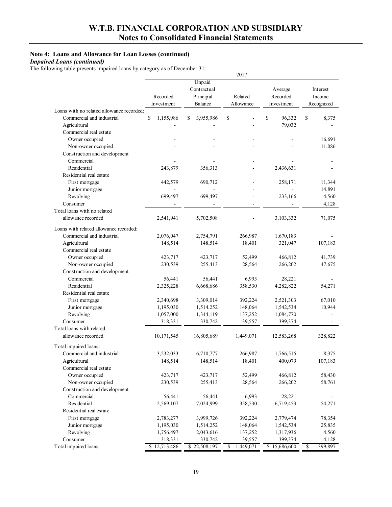# **Note 4: Loans and Allowance for Loan Losses (continued)**

# *Impaired Loans (continued)*

The following table presents impaired loans by category as of December 31:

| able presents impaired toans by early as of Decemb |                 |                 | 2017            |              |               |
|----------------------------------------------------|-----------------|-----------------|-----------------|--------------|---------------|
|                                                    |                 | Unpaid          |                 |              |               |
|                                                    |                 | Contractual     |                 | Average      | Interest      |
|                                                    | Recorded        | Principal       | Related         | Recorded     | Income        |
|                                                    | Investment      | Balance         | Allowance       | Investment   | Recognized    |
| Loans with no related allowance recorded:          |                 |                 |                 |              |               |
| Commercial and industrial                          | \$<br>1,155,986 | 3,955,986<br>\$ | \$              | \$<br>96,332 | \$<br>8,375   |
| Agricultural                                       |                 |                 |                 | 79,032       |               |
| Commercial real estate                             |                 |                 |                 |              |               |
| Owner occupied                                     |                 |                 |                 |              | 16,691        |
| Non-owner occupied                                 |                 |                 |                 |              | 11,086        |
| Construction and development                       |                 |                 |                 |              |               |
| Commercial                                         |                 |                 |                 |              |               |
| Residential                                        | 243,879         | 356,313         |                 | 2,436,631    |               |
| Residential real estate                            |                 |                 |                 |              |               |
| First mortgage                                     | 442,579         | 690,712         |                 | 258,171      | 11,344        |
| Junior mortgage                                    |                 |                 |                 |              | 14,891        |
| Revolving                                          | 699,497         | 699,497         |                 | 233,166      | 4,560         |
| Consumer                                           |                 |                 |                 |              | 4,128         |
| Total loans with no related                        |                 |                 |                 |              |               |
| allowance recorded                                 | 2,541,941       | 5,702,508       |                 | 3,103,332    | 71,075        |
| Loans with related allowance recorded:             |                 |                 |                 |              |               |
| Commercial and industrial                          | 2,076,047       | 2,754,791       | 266,987         | 1,670,183    |               |
| Agricultural                                       | 148,514         | 148,514         | 18,401          | 321,047      | 107,183       |
| Commercial real estate                             |                 |                 |                 |              |               |
| Owner occupied                                     | 423,717         | 423,717         | 52,499          | 466,812      | 41,739        |
| Non-owner occupied                                 | 230,539         | 255,413         | 28,564          | 266,202      | 47,675        |
| Construction and development                       |                 |                 |                 |              |               |
| Commercial                                         | 56,441          | 56,441          | 6,993           | 28,221       |               |
| Residential                                        | 2,325,228       | 6,668,686       | 358,530         | 4,282,822    | 54,271        |
| Residential real estate                            |                 |                 |                 |              |               |
| First mortgage                                     | 2,340,698       | 3,309,014       | 392,224         | 2,521,303    | 67,010        |
| Junior mortgage                                    | 1,195,030       | 1,514,252       | 148,064         | 1,542,534    | 10,944        |
| Revolving                                          | 1,057,000       | 1,344,119       | 137,252         | 1,084,770    |               |
| Consumer                                           | 318,331         | 330,742         | 39,557          | 399,374      |               |
| Total loans with related                           |                 |                 |                 |              |               |
| allowance recorded                                 | 10,171,545      | 16,805,689      | 1,449,071       | 12,583,268   | 328,822       |
| Total impaired loans:                              |                 |                 |                 |              |               |
| Commercial and industrial                          | 3,232,033       | 6,710,777       | 266,987         | 1,766,515    | 8,375         |
| Agricultural                                       | 148,514         | 148,514         | 18,401          | 400,079      | 107,183       |
| Commercial real estate                             |                 |                 |                 |              |               |
| Owner occupied                                     | 423,717         | 423,717         | 52,499          | 466,812      | 58,430        |
| Non-owner occupied                                 | 230,539         | 255,413         | 28,564          | 266,202      | 58,761        |
| Construction and development                       |                 |                 |                 |              |               |
| Commercial                                         | 56,441          | 56,441          | 6,993           | 28,221       |               |
| Residential                                        | 2,569,107       | 7,024,999       | 358,530         | 6,719,453    | 54,271        |
| Residential real estate                            |                 |                 |                 |              |               |
| First mortgage                                     | 2,783,277       | 3,999,726       | 392,224         | 2,779,474    | 78,354        |
| Junior mortgage                                    | 1,195,030       | 1,514,252       | 148,064         | 1,542,534    | 25,835        |
| Revolving                                          | 1,756,497       | 2,043,616       | 137,252         | 1,317,936    | 4,560         |
| Consumer                                           | 318,331         | 330,742         | 39,557          | 399,374      | 4,128         |
| Total impaired loans                               | \$12,713,486    | \$22,508,197    | 1,449,071<br>\$ | \$15,686,600 | \$<br>399,897 |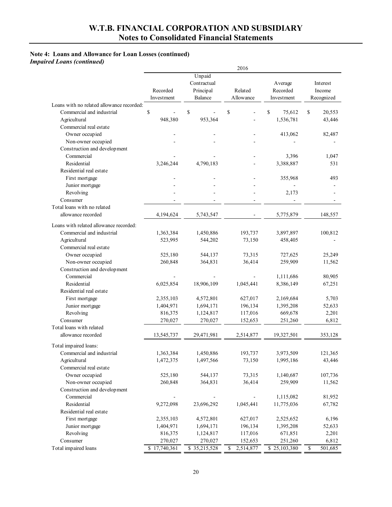# **Note 4: Loans and Allowance for Loan Losses (continued)**

*Impaired Loans (continued)* 

|                                           |                        |                                                      | 2016                 |                                   |                                  |
|-------------------------------------------|------------------------|------------------------------------------------------|----------------------|-----------------------------------|----------------------------------|
|                                           | Recorded<br>Investment | Unpaid<br>Contractual<br>Principal<br><b>Balance</b> | Related<br>Allowance | Average<br>Recorded<br>Investment | Interest<br>Income<br>Recognized |
| Loans with no related allowance recorded: |                        |                                                      |                      |                                   |                                  |
| Commercial and industrial                 | \$                     | \$                                                   | \$                   | \$<br>75,612                      | \$<br>20,553                     |
| Agricultural                              | 948,380                | 953,364                                              |                      | 1,536,781                         | 43,446                           |
| Commercial real estate                    |                        |                                                      |                      |                                   |                                  |
| Owner occupied                            |                        |                                                      |                      | 413,062                           | 82,487                           |
| Non-owner occupied                        |                        |                                                      |                      |                                   |                                  |
| Construction and development              |                        |                                                      |                      |                                   |                                  |
| Commercial                                |                        |                                                      |                      | 3,396                             | 1,047                            |
| Residential                               | 3,246,244              | 4,790,183                                            |                      | 3,388,887                         | 531                              |
| Residential real estate                   |                        |                                                      |                      |                                   |                                  |
| First mortgage                            |                        |                                                      |                      | 355,968                           | 493                              |
| Junior mortgage                           |                        |                                                      |                      |                                   |                                  |
| Revolving                                 |                        |                                                      |                      | 2,173                             |                                  |
| Consumer                                  |                        |                                                      |                      |                                   |                                  |
| Total loans with no related               |                        |                                                      |                      |                                   |                                  |
| allowance recorded                        | 4,194,624              | 5,743,547                                            |                      | 5,775,879                         | 148,557                          |
| Loans with related allowance recorded:    |                        |                                                      |                      |                                   |                                  |
| Commercial and industrial                 | 1,363,384              | 1,450,886                                            | 193,737              | 3,897,897                         | 100,812                          |
| Agricultural                              | 523,995                | 544,202                                              | 73,150               | 458,405                           |                                  |
| Commercial real estate                    |                        |                                                      |                      |                                   |                                  |
| Owner occupied                            | 525,180                | 544,137                                              | 73,315               | 727,625                           | 25,249                           |
| Non-owner occupied                        | 260,848                | 364,831                                              | 36,414               | 259,909                           | 11,562                           |
| Construction and development              |                        |                                                      |                      |                                   |                                  |
| Commercial                                |                        |                                                      |                      | 1,111,686                         | 80,905                           |
| Residential                               | 6,025,854              | 18,906,109                                           | 1,045,441            | 8,386,149                         | 67,251                           |
| Residential real estate                   |                        |                                                      |                      |                                   |                                  |
| First mortgage                            | 2,355,103              | 4,572,801                                            | 627,017              | 2,169,684                         | 5,703                            |
| Junior mortgage                           | 1,404,971              | 1,694,171                                            | 196,134              | 1,395,208                         | 52,633                           |
| Revolving                                 | 816,375                | 1,124,817                                            | 117,016              | 669,678                           | 2,201                            |
| Consumer                                  | 270,027                | 270,027                                              | 152,653              | 251,260                           | 6,812                            |
| Total loans with related                  |                        |                                                      |                      |                                   |                                  |
| allowance recorded                        | 13,545,737             | 29,471,981                                           | 2,514,877            | 19,327,501                        | 353,128                          |
| Total impaired loans:                     |                        |                                                      |                      |                                   |                                  |
| Commercial and industrial                 | 1,363,384              | 1,450,886                                            | 193,737              | 3,973,509                         | 121,365                          |
| Agricultural                              | 1,472,375              | 1,497,566                                            | 73,150               | 1,995,186                         | 43,446                           |
| Commercial real estate                    |                        |                                                      |                      |                                   |                                  |
| Owner occupied                            | 525,180                | 544,137                                              | 73,315               | 1,140,687                         | 107,736                          |
| Non-owner occupied                        | 260,848                | 364,831                                              | 36,414               | 259,909                           | 11,562                           |
| Construction and development              |                        |                                                      |                      |                                   |                                  |
| Commercial                                |                        |                                                      |                      | 1,115,082                         | 81,952                           |
| Residential                               | 9,272,098              | 23,696,292                                           | 1,045,441            | 11,775,036                        | 67,782                           |
| Residential real estate                   |                        |                                                      |                      |                                   |                                  |
| First mortgage                            | 2,355,103              | 4,572,801                                            | 627,017              | 2,525,652                         | 6,196                            |
| Junior mortgage                           | 1,404,971              |                                                      | 196,134              | 1,395,208                         | 52,633                           |
| Revolving                                 | 816,375                | 1,694,171<br>1,124,817                               |                      |                                   |                                  |
| Consumer                                  | 270,027                | 270,027                                              | 117,016<br>152,653   | 671,851<br>251,260                | 2,201<br>6,812                   |
| Total impaired loans                      | \$17,740,361           | \$35,215,528                                         |                      | \$25,103,380                      | $\overline{\mathcal{S}}$         |
|                                           |                        |                                                      | \$<br>2,514,877      |                                   | 501,685                          |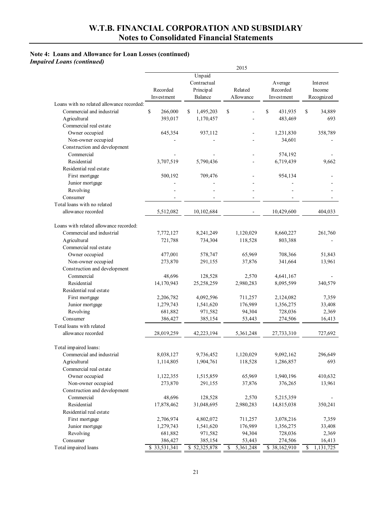# **Note 4: Loans and Allowance for Loan Losses (continued)**

*Impaired Loans (continued)* 

|                                           | 2015                   |                                                      |                      |                                   |                                  |  |  |  |  |  |
|-------------------------------------------|------------------------|------------------------------------------------------|----------------------|-----------------------------------|----------------------------------|--|--|--|--|--|
| Loans with no related allowance recorded: | Recorded<br>Investment | Unpaid<br>Contractual<br>Principal<br><b>Balance</b> | Related<br>Allowance | Average<br>Recorded<br>Investment | Interest<br>Income<br>Recognized |  |  |  |  |  |
| Commercial and industrial                 |                        |                                                      |                      |                                   |                                  |  |  |  |  |  |
|                                           | \$<br>266,000          | 1,495,203<br>\$                                      | \$                   | \$<br>431,935                     | \$<br>34,889                     |  |  |  |  |  |
| Agricultural                              | 393,017                | 1,170,457                                            |                      | 483,469                           | 693                              |  |  |  |  |  |
| Commercial real estate<br>Owner occupied  |                        |                                                      |                      |                                   | 358,789                          |  |  |  |  |  |
| Non-owner occupied                        | 645,354                | 937,112                                              |                      | 1,231,830<br>34,601               |                                  |  |  |  |  |  |
| Construction and development              |                        |                                                      |                      |                                   |                                  |  |  |  |  |  |
| Commercial                                |                        |                                                      |                      | 574,192                           |                                  |  |  |  |  |  |
| Residential                               | 3,707,519              | 5,790,436                                            |                      |                                   | 9,662                            |  |  |  |  |  |
| Residential real estate                   |                        |                                                      |                      | 6,719,439                         |                                  |  |  |  |  |  |
|                                           | 500,192                | 709,476                                              |                      | 954,134                           |                                  |  |  |  |  |  |
| First mortgage<br>Junior mortgage         |                        |                                                      |                      |                                   |                                  |  |  |  |  |  |
|                                           |                        |                                                      |                      |                                   |                                  |  |  |  |  |  |
| Revolving<br>Consumer                     |                        |                                                      |                      |                                   |                                  |  |  |  |  |  |
| Total loans with no related               |                        |                                                      |                      |                                   |                                  |  |  |  |  |  |
| allowance recorded                        | 5,512,082              | 10,102,684                                           |                      | 10,429,600                        | 404,033                          |  |  |  |  |  |
|                                           |                        |                                                      |                      |                                   |                                  |  |  |  |  |  |
| Loans with related allowance recorded:    |                        |                                                      |                      |                                   |                                  |  |  |  |  |  |
| Commercial and industrial                 | 7,772,127              | 8,241,249                                            | 1,120,029            | 8,660,227                         | 261,760                          |  |  |  |  |  |
| Agricultural                              | 721,788                | 734,304                                              | 118,528              | 803,388                           |                                  |  |  |  |  |  |
| Commercial real estate                    |                        |                                                      |                      |                                   |                                  |  |  |  |  |  |
| Owner occupied                            | 477,001                | 578,747                                              | 65,969               | 708,366                           | 51,843                           |  |  |  |  |  |
| Non-owner occupied                        | 273,870                | 291,155                                              | 37,876               | 341,664                           | 13,961                           |  |  |  |  |  |
| Construction and development              |                        |                                                      |                      |                                   |                                  |  |  |  |  |  |
| Commercial                                | 48,696                 | 128,528                                              | 2,570                | 4,641,167                         |                                  |  |  |  |  |  |
| Residential                               | 14,170,943             | 25,258,259                                           | 2,980,283            | 8,095,599                         | 340,579                          |  |  |  |  |  |
| Residential real estate                   |                        |                                                      |                      |                                   |                                  |  |  |  |  |  |
| First mortgage                            | 2,206,782              | 4,092,596                                            | 711,257              | 2,124,082                         | 7,359                            |  |  |  |  |  |
| Junior mortgage                           | 1,279,743              | 1,541,620                                            | 176,989              | 1,356,275                         | 33,408                           |  |  |  |  |  |
| Revolving                                 | 681,882                | 971,582                                              | 94,304               | 728,036                           | 2,369                            |  |  |  |  |  |
| Consumer                                  | 386,427                | 385,154                                              | 53,443               | 274,506                           | 16,413                           |  |  |  |  |  |
| Total loans with related                  |                        |                                                      |                      |                                   |                                  |  |  |  |  |  |
| allowance recorded                        | 28,019,259             | 42,223,194                                           | 5,361,248            | 27,733,310                        | 727,692                          |  |  |  |  |  |
| Total impaired loans:                     |                        |                                                      |                      |                                   |                                  |  |  |  |  |  |
| Commercial and industrial                 | 8,038,127              | 9,736,452                                            | 1,120,029            | 9,092,162                         | 296,649                          |  |  |  |  |  |
| Agricultural                              | 1,114,805              | 1,904,761                                            | 118,528              | 1,286,857                         | 693                              |  |  |  |  |  |
| Commercial real estate                    |                        |                                                      |                      |                                   |                                  |  |  |  |  |  |
| Owner occupied                            | 1,122,355              | 1,515,859                                            | 65,969               | 1,940,196                         | 410,632                          |  |  |  |  |  |
| Non-owner occupied                        | 273,870                | 291,155                                              | 37,876               | 376,265                           | 13,961                           |  |  |  |  |  |
| Construction and development              |                        |                                                      |                      |                                   |                                  |  |  |  |  |  |
| Commercial                                | 48,696                 | 128,528                                              | 2,570                | 5,215,359                         |                                  |  |  |  |  |  |
| Residential                               | 17,878,462             | 31,048,695                                           | 2,980,283            | 14,815,038                        | 350,241                          |  |  |  |  |  |
| Residential real estate                   |                        |                                                      |                      |                                   |                                  |  |  |  |  |  |
| First mortgage                            | 2,706,974              | 4,802,072                                            | 711,257              | 3,078,216                         | 7,359                            |  |  |  |  |  |
| Junior mortgage                           | 1,279,743              | 1,541,620                                            | 176,989              | 1,356,275                         | 33,408                           |  |  |  |  |  |
| Revolving                                 | 681,882                | 971,582                                              | 94,304               | 728,036                           | 2,369                            |  |  |  |  |  |
| Consumer                                  | 386,427                | 385,154                                              | 53,443               | 274,506                           | 16,413                           |  |  |  |  |  |
| Total impaired loans                      | \$33,531,341           | \$52,325,878                                         | \$<br>5,361,248      | \$38,162,910                      | \$<br>1,131,725                  |  |  |  |  |  |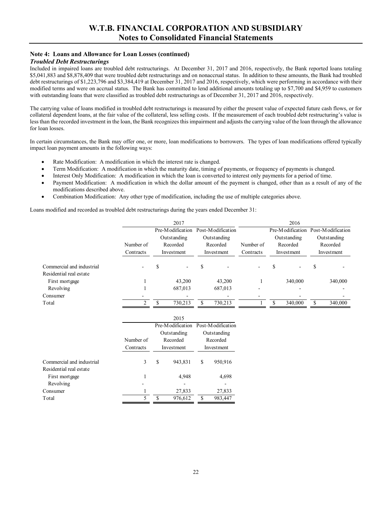# **Note 4: Loans and Allowance for Loan Losses (continued)**

#### *Troubled Debt Restructurings*

Included in impaired loans are troubled debt restructurings. At December 31, 2017 and 2016, respectively, the Bank reported loans totaling \$5,041,883 and \$8,878,409 that were troubled debt restructurings and on nonaccrual status. In addition to these amounts, the Bank had troubled debt restructurings of \$1,223,796 and \$3,384,419 at December 31, 2017 and 2016, respectively, which were performing in accordance with their modified terms and were on accrual status. The Bank has committed to lend additional amounts totaling up to \$7,700 and \$4,959 to customers with outstanding loans that were classified as troubled debt restructurings as of December 31, 2017 and 2016, respectively.

The carrying value of loans modified in troubled debt restructurings is measured by either the present value of expected future cash flows, or for collateral dependent loans, at the fair value of the collateral, less selling costs. If the measurement of each troubled debt restructuring's value is less than the recorded investment in the loan, the Bank recognizes this impairment and adjusts the carrying value of the loan through the allowance for loan losses.

In certain circumstances, the Bank may offer one, or more, loan modifications to borrowers. The types of loan modifications offered typically impact loan payment amounts in the following ways:

- Rate Modification: A modification in which the interest rate is changed.
- Term Modification: A modification in which the maturity date, timing of payments, or frequency of payments is changed.
- Interest Only Modification: A modification in which the loan is converted to interest only payments for a period of time.
- Payment Modification: A modification in which the dollar amount of the payment is changed, other than as a result of any of the modifications described above.
- Combination Modification: Any other type of modification, including the use of multiple categories above.

Loans modified and recorded as troubled debt restructurings during the years ended December 31:

|                           |           | 2017 |                  |   |                   |           |  | 2016                     |   |                                    |  |  |  |
|---------------------------|-----------|------|------------------|---|-------------------|-----------|--|--------------------------|---|------------------------------------|--|--|--|
|                           |           |      | Pre-Modification |   | Post-Modification |           |  |                          |   | Pre-Modification Post-Modification |  |  |  |
|                           |           |      | Outstanding      |   | Outstanding       |           |  | Outstanding              |   | Outstanding                        |  |  |  |
|                           | Number of |      | Recorded         |   | Recorded          | Number of |  | Recorded                 |   | Recorded                           |  |  |  |
|                           | Contracts |      | Investment       |   | Investment        | Contracts |  | Investment               |   | Investment                         |  |  |  |
| Commercial and industrial |           |      |                  | S |                   | ۰         |  | $\overline{\phantom{a}}$ | D |                                    |  |  |  |
| Residential real estate   |           |      |                  |   |                   |           |  |                          |   |                                    |  |  |  |
| First mortgage            |           |      | 43,200           |   | 43,200            |           |  | 340,000                  |   | 340,000                            |  |  |  |
| Revolving                 |           |      | 687,013          |   | 687,013           |           |  |                          |   |                                    |  |  |  |
| Consumer                  |           |      |                  |   |                   |           |  |                          |   |                                    |  |  |  |
| Total                     |           |      | 730.213          |   | 730,213           |           |  | 340,000                  | ¢ | 340,000                            |  |  |  |
|                           |           |      |                  |   |                   |           |  |                          |   |                                    |  |  |  |

|                           |           |    | 2015             |                                       |                   |  |
|---------------------------|-----------|----|------------------|---------------------------------------|-------------------|--|
|                           |           |    | Pre-Modification |                                       | Post-Modification |  |
|                           |           |    | Outstanding      | Outstanding<br>Recorded<br>Investment |                   |  |
|                           | Number of |    | Recorded         |                                       |                   |  |
|                           | Contracts |    | Investment       |                                       |                   |  |
| Commercial and industrial | 3         | S  | 943,831          | S                                     | 950,916           |  |
| Residential real estate   |           |    |                  |                                       |                   |  |
| First mortgage            |           |    | 4,948            |                                       | 4,698             |  |
| Revolving                 |           |    |                  |                                       |                   |  |
| Consumer                  |           |    | 27,833           |                                       | 27,833            |  |
| Total                     | 5         | \$ | 976,612          | \$                                    | 983,447           |  |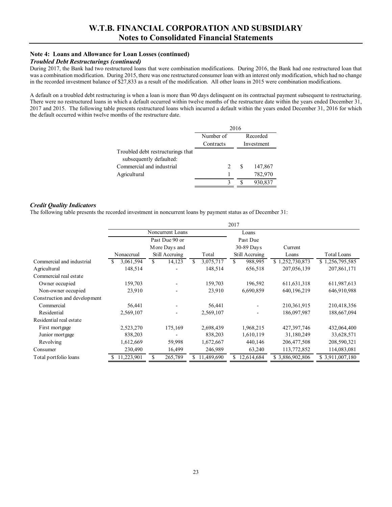### **Note 4: Loans and Allowance for Loan Losses (continued)**

### *Troubled Debt Restructurings (continued)*

During 2017, the Bank had two restructured loans that were combination modifications. During 2016, the Bank had one restructured loan that was a combination modification. During 2015, there was one restructured consumer loan with an interest only modification, which had no change in the recorded investment balance of \$27,833 as a result of the modification. All other loans in 2015 were combination modifications.

A default on a troubled debt restructuring is when a loan is more than 90 days delinquent on its contractual payment subsequent to restructuring. There were no restructured loans in which a default occurred within twelve months of the restructure date within the years ended December 31, 2017 and 2015. The following table presents restructured loans which incurred a default within the years ended December 31, 2016 for which the default occurred within twelve months of the restructure date.

|                                   | 2016      |   |            |  |  |  |  |  |  |
|-----------------------------------|-----------|---|------------|--|--|--|--|--|--|
|                                   | Number of |   | Recorded   |  |  |  |  |  |  |
|                                   | Contracts |   | Investment |  |  |  |  |  |  |
| Troubled debt restructurings that |           |   |            |  |  |  |  |  |  |
| subsequently defaulted:           |           |   |            |  |  |  |  |  |  |
| Commercial and industrial         | 2         | S | 147,867    |  |  |  |  |  |  |
| Agricultural                      |           |   | 782,970    |  |  |  |  |  |  |
|                                   |           |   | 930,837    |  |  |  |  |  |  |

#### *Credit Quality Indicators*

The following table presents the recorded investment in noncurrent loans by payment status as of December 31:

|                              |                  | 2017                     |            |                |                 |                    |  |  |  |  |  |  |  |
|------------------------------|------------------|--------------------------|------------|----------------|-----------------|--------------------|--|--|--|--|--|--|--|
|                              |                  | Noncurrent Loans         |            | Loans          |                 |                    |  |  |  |  |  |  |  |
|                              |                  | Past Due 90 or           |            | Past Due       |                 |                    |  |  |  |  |  |  |  |
|                              |                  | M ore Days and           |            | 30-89 Days     | Current         |                    |  |  |  |  |  |  |  |
|                              | Nonaccrual       | Still Accruing           | Total      | Still Accruing | Loans           | <b>Total Loans</b> |  |  |  |  |  |  |  |
| Commercial and industrial    | 3,061,594        | $\overline{S}$<br>14,123 | 3,075,717  | 988,995<br>\$  | \$1,252,730,873 | \$1,256,795,585    |  |  |  |  |  |  |  |
| Agricultural                 | 148,514          |                          | 148,514    | 656,518        | 207,056,139     | 207,861,171        |  |  |  |  |  |  |  |
| Commercial real estate       |                  |                          |            |                |                 |                    |  |  |  |  |  |  |  |
| Owner occupied               | 159,703          |                          | 159,703    | 196,592        | 611, 631, 318   | 611,987,613        |  |  |  |  |  |  |  |
| Non-owner occupied           | 23,910           |                          | 23,910     | 6,690,859      | 640,196,219     | 646,910,988        |  |  |  |  |  |  |  |
| Construction and development |                  |                          |            |                |                 |                    |  |  |  |  |  |  |  |
| Commercial                   | 56,441           |                          | 56,441     |                | 210,361,915     | 210,418,356        |  |  |  |  |  |  |  |
| Residential                  | 2,569,107        |                          | 2,569,107  | -              | 186,097,987     | 188,667,094        |  |  |  |  |  |  |  |
| Residential real estate      |                  |                          |            |                |                 |                    |  |  |  |  |  |  |  |
| First mortgage               | 2,523,270        | 175,169                  | 2,698,439  | 1,968,215      | 427,397,746     | 432,064,400        |  |  |  |  |  |  |  |
| Junior mortgage              | 838,203          |                          | 838,203    | 1,610,119      | 31,180,249      | 33,628,571         |  |  |  |  |  |  |  |
| Revolving                    | 1,612,669        | 59,998                   | 1,672,667  | 440,146        | 206,477,508     | 208,590,321        |  |  |  |  |  |  |  |
| Consumer                     | 230,490          | 16,499                   | 246,989    | 63,240         | 113,772,852     | 114,083,081        |  |  |  |  |  |  |  |
| Total portfolio loans        | 11,223,901<br>S. | 265,789                  | 11,489,690 | 12,614,684     | \$3,886,902,806 | \$3,911,007,180    |  |  |  |  |  |  |  |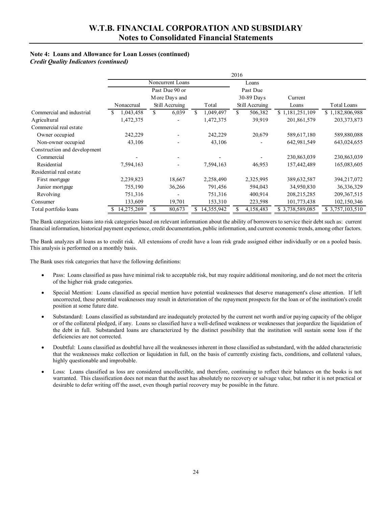# **Note 4: Loans and Allowance for Loan Losses (continued)**

*Credit Quality Indicators (continued)* 

|                              |            |                  |                 | 2016           |                 |                    |
|------------------------------|------------|------------------|-----------------|----------------|-----------------|--------------------|
|                              |            | Noncurrent Loans |                 | Loans          |                 |                    |
|                              |            | Past Due 90 or   |                 | Past Due       |                 |                    |
|                              |            | More Days and    |                 | 30-89 Days     | Current         |                    |
|                              | Nonaccrual | Still Accruing   | Total           | Still Accruing | Loans           | <b>Total Loans</b> |
| Commercial and industrial    | 1,043,458  | 6,039<br>\$.     | \$<br>1,049,497 | S.<br>506,382  | \$1,181,251,109 | \$1,182,806,988    |
| Agricultural                 | 1,472,375  |                  | 1,472,375       | 39,919         | 201,861,579     | 203, 373, 873      |
| Commercial real estate       |            |                  |                 |                |                 |                    |
| Owner occupied               | 242,229    |                  | 242,229         | 20,679         | 589,617,180     | 589,880,088        |
| Non-owner occupied           | 43,106     |                  | 43,106          |                | 642,981,549     | 643,024,655        |
| Construction and development |            |                  |                 |                |                 |                    |
| Commercial                   |            |                  |                 |                | 230,863,039     | 230,863,039        |
| Residential                  | 7,594,163  |                  | 7,594,163       | 46,953         | 157,442,489     | 165,083,605        |
| Residential real estate      |            |                  |                 |                |                 |                    |
| First mortgage               | 2,239,823  | 18,667           | 2,258,490       | 2,325,995      | 389,632,587     | 394,217,072        |
| Junior mortgage              | 755,190    | 36,266           | 791,456         | 594,043        | 34,950,830      | 36, 336, 329       |
| Revolving                    | 751,316    |                  | 751,316         | 400,914        | 208, 215, 285   | 209, 367, 515      |
| Consumer                     | 133,609    | 19,701           | 153,310         | 223,598        | 101,773,438     | 102,150,346        |
| Total portfolio loans        | 14,275,269 | 80,673           | 14,355,942      | 4,158,483      | \$3,738,589,085 | \$3,757,103,510    |

The Bank categorizes loans into risk categories based on relevant information about the ability of borrowers to service their debt such as: current financial information, historical payment experience, credit documentation, public information, and current economic trends, among other factors.

The Bank analyzes all loans as to credit risk. All extensions of credit have a loan risk grade assigned either individually or on a pooled basis. This analysis is performed on a monthly basis.

The Bank uses risk categories that have the following definitions:

- Pass: Loans classified as pass have minimal risk to acceptable risk, but may require additional monitoring, and do not meet the criteria of the higher risk grade categories.
- Special Mention: Loans classified as special mention have potential weaknesses that deserve management's close attention. If left uncorrected, these potential weaknesses may result in deterioration of the repayment prospects for the loan or of the institution's credit position at some future date.
- Substandard: Loans classified as substandard are inadequately protected by the current net worth and/or paying capacity of the obligor or of the collateral pledged, if any. Loans so classified have a well-defined weakness or weaknesses that jeopardize the liquidation of the debt in full. Substandard loans are characterized by the distinct possibility that the institution will sustain some loss if the deficiencies are not corrected.
- Doubtful: Loans classified as doubtful have all the weaknesses inherent in those classified as substandard, with the added characteristic that the weaknesses make collection or liquidation in full, on the basis of currently existing facts, conditions, and collateral values, highly questionable and improbable.
- Loss: Loans classified as loss are considered uncollectible, and therefore, continuing to reflect their balances on the books is not warranted. This classification does not mean that the asset has absolutely no recovery or salvage value, but rather it is not practical or desirable to defer writing off the asset, even though partial recovery may be possible in the future.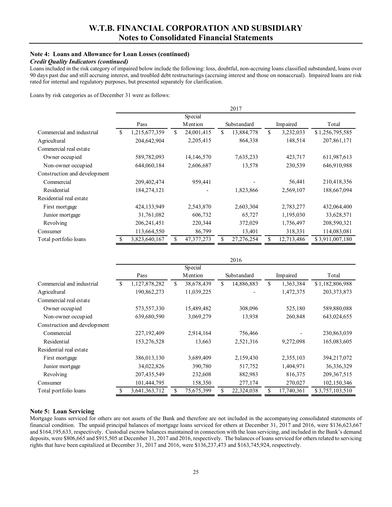### **Note 4: Loans and Allowance for Loan Losses (continued)**

### *Credit Quality Indicators (continued)*

Loans included in the risk category of impaired below include the following: loss, doubtful, non-accruing loans classified substandard, loans over 90 days past due and still accruing interest, and troubled debt restructurings (accruing interest and those on nonaccrual). Impaired loans are risk rated for internal and regulatory purposes, but presented separately for clarification.

Loans by risk categories as of December 31 were as follows:

|                              | 2017          |               |    |                 |    |             |              |            |                 |
|------------------------------|---------------|---------------|----|-----------------|----|-------------|--------------|------------|-----------------|
|                              |               |               |    | Special         |    |             |              |            |                 |
|                              |               | Pass          |    | <b>M</b> ention |    | Substandard |              | Impaired   | Total           |
| Commercial and industrial    | <sup>\$</sup> | 1,215,677,359 | S. | 24,001,415      | \$ | 13,884,778  | $\mathbb{S}$ | 3,232,033  | \$1,256,795,585 |
| Agricultural                 |               | 204,642,904   |    | 2,205,415       |    | 864,338     |              | 148,514    | 207,861,171     |
| Commercial real estate       |               |               |    |                 |    |             |              |            |                 |
| Owner occupied               |               | 589,782,093   |    | 14,146,570      |    | 7,635,233   |              | 423,717    | 611,987,613     |
| Non-owner occupied           |               | 644,060,184   |    | 2,606,687       |    | 13,578      |              | 230,539    | 646,910,988     |
| Construction and development |               |               |    |                 |    |             |              |            |                 |
| Commercial                   |               | 209,402,474   |    | 959,441         |    |             |              | 56,441     | 210,418,356     |
| Residential                  |               | 184,274,121   |    |                 |    | 1,823,866   |              | 2,569,107  | 188,667,094     |
| Residential real estate      |               |               |    |                 |    |             |              |            |                 |
| First mortgage               |               | 424,133,949   |    | 2,543,870       |    | 2,603,304   |              | 2,783,277  | 432,064,400     |
| Junior mortgage              |               | 31,761,082    |    | 606,732         |    | 65,727      |              | 1,195,030  | 33,628,571      |
| Revolving                    |               | 206, 241, 451 |    | 220,344         |    | 372,029     |              | 1,756,497  | 208,590,321     |
| Consumer                     |               | 113,664,550   |    | 86,799          |    | 13,401      |              | 318,331    | 114,083,081     |
| Total portfolio loans        |               | 3,823,640,167 |    | 47, 377, 273    |    | 27,276,254  | \$           | 12,713,486 | \$3,911,007,180 |

|                              | 2016 |               |    |                 |    |             |    |            |                 |
|------------------------------|------|---------------|----|-----------------|----|-------------|----|------------|-----------------|
|                              |      |               |    | Special         |    |             |    |            |                 |
|                              |      | Pass          |    | <b>M</b> ention |    | Substandard |    | Impaired   | Total           |
| Commercial and industrial    | S    | 1,127,878,282 | \$ | 38,678,439      | \$ | 14,886,883  | \$ | 1,363,384  | \$1,182,806,988 |
| Agricultural                 |      | 190,862,273   |    | 11,039,225      |    |             |    | 1,472,375  | 203, 373, 873   |
| Commercial real estate       |      |               |    |                 |    |             |    |            |                 |
| Owner occupied               |      | 573,557,330   |    | 15,489,482      |    | 308,096     |    | 525,180    | 589,880,088     |
| Non-owner occupied           |      | 639,680,590   |    | 3,069,279       |    | 13,938      |    | 260,848    | 643,024,655     |
| Construction and development |      |               |    |                 |    |             |    |            |                 |
| Commercial                   |      | 227,192,409   |    | 2,914,164       |    | 756,466     |    |            | 230,863,039     |
| Residential                  |      | 153,276,528   |    | 13,663          |    | 2,521,316   |    | 9,272,098  | 165,083,605     |
| Residential real estate      |      |               |    |                 |    |             |    |            |                 |
| First mortgage               |      | 386,013,130   |    | 3,689,409       |    | 2,159,430   |    | 2,355,103  | 394,217,072     |
| Junior mortgage              |      | 34,022,826    |    | 390,780         |    | 517,752     |    | 1,404,971  | 36, 336, 329    |
| Revolving                    |      | 207,435,549   |    | 232,608         |    | 882,983     |    | 816,375    | 209, 367, 515   |
| Consumer                     |      | 101,444,795   |    | 158,350         |    | 277,174     |    | 270,027    | 102,150,346     |
| Total portfolio loans        | S    | 3,641,363,712 | \$ | 75,675,399      | \$ | 22,324,038  | \$ | 17,740,361 | \$3,757,103,510 |

### **Note 5: Loan Servicing**

Mortgage loans serviced for others are not assets of the Bank and therefore are not included in the accompanying consolidated statements of financial condition. The unpaid principal balances of mortgage loans serviced for others at December 31, 2017 and 2016, were \$136,623,667 and \$164,195,633, respectively. Custodial escrow balances maintained in connection with the loan servicing, and included in the Bank's demand deposits, were \$806,665 and \$915,505 at December 31, 2017 and 2016, respectively. The balances of loans serviced for others related to servicing rights that have been capitalized at December 31, 2017 and 2016, were \$136,237,473 and \$163,745,924, respectively.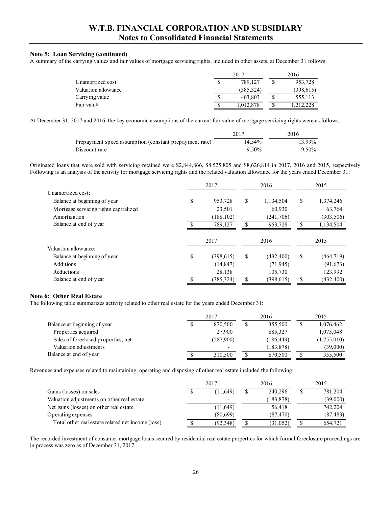### **Note 5: Loan Servicing (continued)**

A summary of the carrying values and fair values of mortgage servicing rights, included in other assets, at December 31 follows:

|                     | 2017 |            |  | 2016       |  |  |
|---------------------|------|------------|--|------------|--|--|
| Unamortized cost    |      | 789.127    |  | 953,728    |  |  |
| Valuation allowance |      | (385, 324) |  | (398, 615) |  |  |
| Carry ing value     |      | 403.803    |  | 555,113    |  |  |
| Fair value          |      | .012.878   |  |            |  |  |

At December 31, 2017 and 2016, the key economic assumptions of the current fair value of mortgage servicing rights were as follows:

|                                                        | 2017   | 2016   |
|--------------------------------------------------------|--------|--------|
| Prepayment speed assumption (constant prepayment rate) | 14.54% | 13.99% |
| Discount rate                                          | 9.50%  | 9.50%  |

Originated loans that were sold with servicing retained were \$2,844,866, \$8,525,805 and \$8,626,814 in 2017, 2016 and 2015, respectively. Following is an analysis of the activity for mortgage servicing rights and the related valuation allowance for the years ended December 31:

|                                       | 2017             | 2016             | 2015             |
|---------------------------------------|------------------|------------------|------------------|
| Unamortized cost:                     |                  |                  |                  |
| Balance at beginning of year          | \$<br>953,728    | \$<br>1,134,504  | \$<br>1,374,246  |
| Mortgage servicing rights capitalized | 23,501           | 60,930           | 63,764           |
| Amortization                          | (188, 102)       | (241,706)        | (303, 506)       |
| Balance at end of year                | 789,127          | 953,728          | 1,134,504        |
|                                       | 2017             | 2016             | 2015             |
| Valuation allowance:                  |                  |                  |                  |
| Balance at beginning of year          | \$<br>(398, 615) | \$<br>(432, 400) | \$<br>(464, 719) |
| <b>Additions</b>                      | (14, 847)        | (71, 945)        | (91, 673)        |
| Reductions                            | 28,138           | 105,730          | 123,992          |
| Balance at end of year                | (385, 324)       | (398, 615)       | (432, 400)       |

# **Note 6: Other Real Estate**

The following table summarizes activity related to other real estate for the years ended December 31:

|                                     | 2017                     | 2016       | 2015        |
|-------------------------------------|--------------------------|------------|-------------|
| Balance at beginning of year        | 870.500                  | 355,500    | 1,076,462   |
| Properties acquired                 | 27,900                   | 885,327    | 1,073,048   |
| Sales of foreclosed properties, net | (587,900)                | (186, 449) | (1,755,010) |
| Valuation adjustments               | $\overline{\phantom{a}}$ | (183, 878) | (39,000)    |
| Balance at end of year              | 310.500                  | 870.500    | 355,500     |

Revenues and expenses related to maintaining, operating and disposing of other real estate included the following:

|                                                   | 2017     |   | 2016       | 2015      |
|---------------------------------------------------|----------|---|------------|-----------|
| Gains (losses) on sales                           | (11.649) | S | 240.296    | 781.204   |
| Valuation adjustments on other real estate        |          |   | (183, 878) | (39,000)  |
| Net gains (losses) on other real estate           | (11,649) |   | 56.418     | 742.204   |
| Operating expenses                                | (80,699) |   | (87, 470)  | (87, 483) |
| Total other real estate related net income (loss) | (92,348) |   | (31,052)   | 654.721   |

The recorded investment of consumer mortgage loans secured by residential real estate properties for which formal foreclosure proceedings are in process was zero as of December 31, 2017.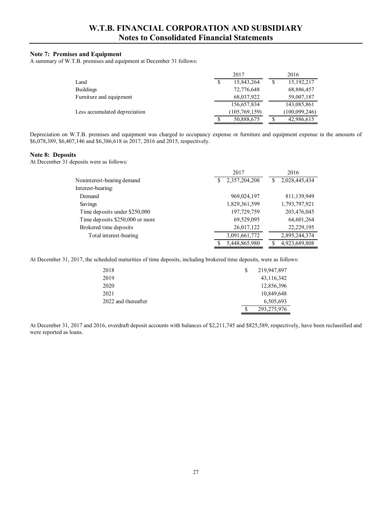# **Note 7: Premises and Equipment**

A summary of W.T.B. premises and equipment at December 31 follows:

|                               | 2017 |                 |    | 2016          |
|-------------------------------|------|-----------------|----|---------------|
| Land                          | S    | 15,843,264      | \$ | 15, 192, 217  |
| <b>Buildings</b>              |      | 72,776,648      |    | 68,886,457    |
| Furniture and equipment       |      | 68,037,922      |    | 59,007,187    |
|                               |      | 156,657,834     |    | 143,085,861   |
| Less accumulated depreciation |      | (105, 769, 159) |    | (100,099,246) |
|                               |      | 50,888,675      |    | 42,986,615    |

Depreciation on W.T.B. premises and equipment was charged to occupancy expense or furniture and equipment expense in the amounts of \$6,078,389, \$6,407,146 and \$6,386,618 in 2017, 2016 and 2015, respectively.

### **Note 8: Deposits**

At December 31 deposits were as follows:

|                                 | 2017               | 2016               |
|---------------------------------|--------------------|--------------------|
| Noninterest-bearing demand      | 2,357,204,208<br>S | 2,028,445,434<br>S |
| Interest-bearing:               |                    |                    |
| Demand                          | 969,024,197        | 811,139,949        |
| Savings                         | 1,829,361,599      | 1,793,797,921      |
| Time deposits under \$250,000   | 197,729,759        | 203,476,045        |
| Time deposits \$250,000 or more | 69,529,095         | 64,601,264         |
| Brokered time deposits          | 26,017,122         | 22,229,195         |
| Total interest-bearing          | 3,091,661,772      | 2,895,244,374      |
|                                 | 5,448,865,980<br>S | 4,923,689,808      |

At December 31, 2017, the scheduled maturities of time deposits, including brokered time deposits, were as follows:

| 2018                | S | 219,947,897 |
|---------------------|---|-------------|
| 2019                |   | 43,116,342  |
| 2020                |   | 12,856,396  |
| 2021                |   | 10,849,648  |
| 2022 and thereafter |   | 6,505,693   |
|                     |   | 293,275,976 |

At December 31, 2017 and 2016, overdraft deposit accounts with balances of \$2,211,745 and \$825,589, respectively, have been reclassified and were reported as loans.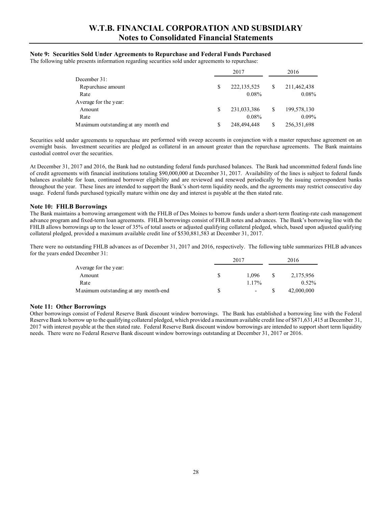### **Note 9: Securities Sold Under Agreements to Repurchase and Federal Funds Purchased**

The following table presents information regarding securities sold under agreements to repurchase:

|                                       | 2017 |               |    | 2016          |  |
|---------------------------------------|------|---------------|----|---------------|--|
| December 31:                          |      |               |    |               |  |
| Repurchase amount                     | S    | 222, 135, 525 | S  | 211,462,438   |  |
| Rate                                  |      | 0.08%         |    | $0.08\%$      |  |
| Average for the year:                 |      |               |    |               |  |
| Amount                                | S    | 231,033,386   | \$ | 199,578,130   |  |
| Rate                                  |      | 0.08%         |    | $0.09\%$      |  |
| Maximum outstanding at any month end. | S    | 248.494.448   | \$ | 256, 351, 698 |  |

Securities sold under agreements to repurchase are performed with sweep accounts in conjunction with a master repurchase agreement on an overnight basis. Investment securities are pledged as collateral in an amount greater than the repurchase agreements. The Bank maintains custodial control over the securities.

At December 31, 2017 and 2016, the Bank had no outstanding federal funds purchased balances. The Bank had uncommitted federal funds line of credit agreements with financial institutions totaling \$90,000,000 at December 31, 2017. Availability of the lines is subject to federal funds balances available for loan, continued borrower eligibility and are reviewed and renewed periodically by the issuing correspondent banks throughout the year. These lines are intended to support the Bank's short-term liquidity needs, and the agreements may restrict consecutive day usage. Federal funds purchased typically mature within one day and interest is payable at the then stated rate.

### **Note 10: FHLB Borrowings**

The Bank maintains a borrowing arrangement with the FHLB of Des Moines to borrow funds under a short-term floating-rate cash management advance program and fixed-term loan agreements. FHLB borrowings consist of FHLB notes and advances. The Bank's borrowing line with the FHLB allows borrowings up to the lesser of 35% of total assets or adjusted qualifying collateral pledged, which, based upon adjusted qualifying collateral pledged, provided a maximum available credit line of \$530,881,583 at December 31, 2017.

There were no outstanding FHLB advances as of December 31, 2017 and 2016, respectively. The following table summarizes FHLB advances for the years ended December 31:

|                                       | 2017 | 2016  |  |            |
|---------------------------------------|------|-------|--|------------|
| Average for the year:                 |      |       |  |            |
| Amount                                |      | 1.096 |  | 2,175,956  |
| Rate                                  |      | 1.17% |  | $0.52\%$   |
| M aximum outstanding at any month-end | S    |       |  | 42,000,000 |

#### **Note 11: Other Borrowings**

Other borrowings consist of Federal Reserve Bank discount window borrowings. The Bank has established a borrowing line with the Federal Reserve Bank to borrow up to the qualifying collateral pledged, which provided a maximum available credit line of \$871,631,415 at December 31, 2017 with interest payable at the then stated rate. Federal Reserve Bank discount window borrowings are intended to support short term liquidity needs. There were no Federal Reserve Bank discount window borrowings outstanding at December 31, 2017 or 2016.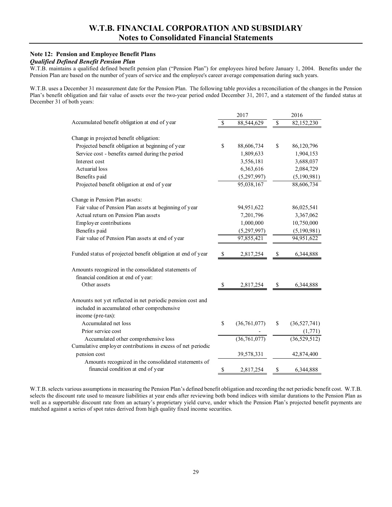# **Note 12: Pension and Employee Benefit Plans**

### *Qualified Defined Benefit Pension Plan*

W.T.B. maintains a qualified defined benefit pension plan ("Pension Plan") for employees hired before January 1, 2004. Benefits under the Pension Plan are based on the number of years of service and the employee's career average compensation during such years.

W.T.B. uses a December 31 measurement date for the Pension Plan. The following table provides a reconciliation of the changes in the Pension Plan's benefit obligation and fair value of assets over the two-year period ended December 31, 2017, and a statement of the funded status at December 31 of both years:

|                                                                                                           |                          | 2017           |                          | 2016           |
|-----------------------------------------------------------------------------------------------------------|--------------------------|----------------|--------------------------|----------------|
| Accumulated benefit obligation at end of year                                                             | $\overline{\mathcal{S}}$ | 88,544,629     | $\overline{\mathcal{S}}$ | 82,152,230     |
|                                                                                                           |                          |                |                          |                |
| Change in projected benefit obligation:                                                                   |                          |                |                          |                |
| Projected benefit obligation at beginning of year                                                         | \$                       | 88,606,734     | \$                       | 86,120,796     |
| Service cost - benefits earned during the period                                                          |                          | 1,809,633      |                          | 1,904,153      |
| Interest cost                                                                                             |                          | 3,556,181      |                          | 3,688,037      |
| <b>Actuarial</b> loss                                                                                     |                          | 6,363,616      |                          | 2,084,729      |
| Benefits paid                                                                                             |                          | (5,297,997)    |                          | (5,190,981)    |
| Projected benefit obligation at end of year                                                               |                          | 95,038,167     |                          | 88,606,734     |
| Change in Pension Plan assets:                                                                            |                          |                |                          |                |
| Fair value of Pension Plan assets at beginning of year                                                    |                          | 94,951,622     |                          | 86,025,541     |
| Actual return on Pension Plan assets                                                                      |                          | 7,201,796      |                          | 3,367,062      |
| Employer contributions                                                                                    |                          | 1,000,000      |                          | 10,750,000     |
| Benefits paid                                                                                             |                          | (5,297,997)    |                          | (5,190,981)    |
| Fair value of Pension Plan assets at end of year                                                          |                          | 97,855,421     |                          | 94,951,622     |
| Funded status of projected benefit obligation at end of year                                              | \$                       | 2,817,254      | \$                       | 6,344,888      |
|                                                                                                           |                          |                |                          |                |
| Amounts recognized in the consolidated statements of                                                      |                          |                |                          |                |
| financial condition at end of year:                                                                       |                          |                |                          |                |
| Other assets                                                                                              | \$                       | 2,817,254      | \$                       | 6,344,888      |
|                                                                                                           |                          |                |                          |                |
| Amounts not yet reflected in net periodic pension cost and<br>included in accumulated other comprehensive |                          |                |                          |                |
|                                                                                                           |                          |                |                          |                |
| income (pre-tax):                                                                                         |                          |                |                          |                |
| Accumulated net loss                                                                                      | \$                       | (36, 761, 077) | \$                       | (36, 527, 741) |
| Prior service cost                                                                                        |                          |                |                          | (1,771)        |
| Accumulated other comprehensive loss                                                                      |                          | (36,761,077)   |                          | (36, 529, 512) |
| Cumulative employer contributions in excess of net periodic                                               |                          |                |                          |                |
| pension cost                                                                                              |                          | 39,578,331     |                          | 42,874,400     |
| Amounts recognized in the consolidated statements of                                                      |                          |                |                          |                |
| financial condition at end of year                                                                        | \$                       | 2,817,254      | \$                       | 6,344,888      |

W.T.B. selects various assumptions in measuring the Pension Plan's defined benefit obligation and recording the net periodic benefit cost. W.T.B. selects the discount rate used to measure liabilities at year ends after reviewing both bond indices with similar durations to the Pension Plan as well as a supportable discount rate from an actuary's proprietary yield curve, under which the Pension Plan's projected benefit payments are matched against a series of spot rates derived from high quality fixed income securities.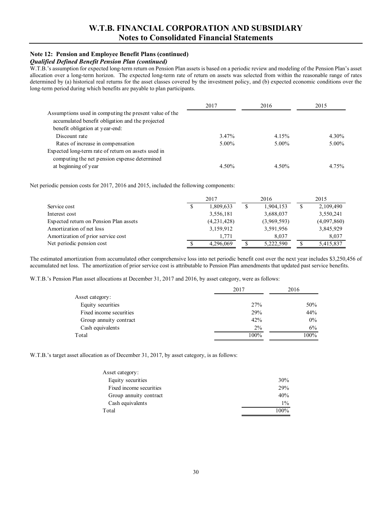# **Note 12: Pension and Employee Benefit Plans (continued)**

### *Qualified Defined Benefit Pension Plan (continued)*

W.T.B.'s assumption for expected long-term return on Pension Plan assets is based on a periodic review and modeling of the Pension Plan's asset allocation over a long-term horizon. The expected long-term rate of return on assets was selected from within the reasonable range of rates determined by (a) historical real returns for the asset classes covered by the investment policy, and (b) expected economic conditions over the long-term period during which benefits are payable to plan participants.

|                                                        | 2017     | 2016     | 2015     |
|--------------------------------------------------------|----------|----------|----------|
| Assumptions used in computing the present value of the |          |          |          |
| accumulated benefit obligation and the projected       |          |          |          |
| benefit obligation at year-end:                        |          |          |          |
| Discount rate                                          | 3.47%    | 4.15%    | $4.30\%$ |
| Rates of increase in compensation                      | $5.00\%$ | $5.00\%$ | $5.00\%$ |
| Expected long-term rate of return on assets used in    |          |          |          |
| computing the net pension expense determined           |          |          |          |
| at beginning of year                                   | $4.50\%$ | $4.50\%$ | 4.75%    |

Net periodic pension costs for 2017, 2016 and 2015, included the following components:

|                                        |   | 2017        | 2016            | 2015 |             |
|----------------------------------------|---|-------------|-----------------|------|-------------|
| Service cost                           | S | 1,809,633   | \$<br>1,904,153 | S    | 2,109,490   |
| Interest cost                          |   | 3,556,181   | 3,688,037       |      | 3,550,241   |
| Expected return on Pension Plan assets |   | (4,231,428) | (3,969,593)     |      | (4,097,860) |
| Amortization of net loss               |   | 3,159,912   | 3,591,956       |      | 3,845,929   |
| Amortization of prior service cost     |   | 1.771       | 8.037           |      | 8,037       |
| Net periodic pension cost              |   | 4.296.069   | 5.222.590       |      | 5,415,837   |

The estimated amortization from accumulated other comprehensive loss into net periodic benefit cost over the next year includes \$3,250,456 of accumulated net loss. The amortization of prior service cost is attributable to Pension Plan amendments that updated past service benefits.

W.T.B.'s Pension Plan asset allocations at December 31, 2017 and 2016, by asset category, were as follows:

|                         | 2017 | 2016  |  |
|-------------------------|------|-------|--|
| Asset category:         |      |       |  |
| Equity securities       | 27%  | 50%   |  |
| Fixed income securities | 29%  | 44%   |  |
| Group annuity contract  | 42%  | $0\%$ |  |
| Cash equivalents        | 2%   | 6%    |  |
| Total                   | 100% | 100%  |  |

W.T.B.'s target asset allocation as of December 31, 2017, by asset category, is as follows:

| Asset category:         |       |
|-------------------------|-------|
| Equity securities       | 30%   |
| Fixed income securities | 29%   |
| Group annuity contract  | 40%   |
| Cash equivalents        | $1\%$ |
| Total                   | 100%  |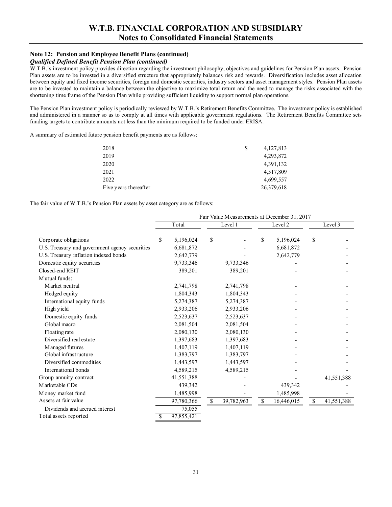# **Note 12: Pension and Employee Benefit Plans (continued)**

### *Qualified Defined Benefit Pension Plan (continued)*

W.T.B.'s investment policy provides direction regarding the investment philosophy, objectives and guidelines for Pension Plan assets. Pension Plan assets are to be invested in a diversified structure that appropriately balances risk and rewards. Diversification includes asset allocation between equity and fixed income securities, foreign and domestic securities, industry sectors and asset management styles. Pension Plan assets are to be invested to maintain a balance between the objective to maximize total return and the need to manage the risks associated with the shortening time frame of the Pension Plan while providing sufficient liquidity to support normal plan operations.

The Pension Plan investment policy is periodically reviewed by W.T.B.'s Retirement Benefits Committee. The investment policy is established and administered in a manner so as to comply at all times with applicable government regulations. The Retirement Benefits Committee sets funding targets to contribute amounts not less than the minimum required to be funded under ERISA.

A summary of estimated future pension benefit payments are as follows:

| 2018                  | \$<br>4,127,813 |
|-----------------------|-----------------|
| 2019                  | 4,293,872       |
| 2020                  | 4,391,132       |
| 2021                  | 4,517,809       |
| 2022                  | 4,699,557       |
| Five years thereafter | 26,379,618      |
|                       |                 |

The fair value of W.T.B.'s Pension Plan assets by asset category are as follows:

|                                                | Fair Value Measurements at December 31, 2017 |            |    |            |    |            |    |            |
|------------------------------------------------|----------------------------------------------|------------|----|------------|----|------------|----|------------|
|                                                |                                              | Total      |    | Level 1    |    | Level 2    |    | Level 3    |
| Corporate obligations                          | \$                                           | 5,196,024  | \$ |            | \$ | 5,196,024  | \$ |            |
| U.S. Treasury and government agency securities |                                              | 6,681,872  |    |            |    | 6,681,872  |    |            |
| U.S. Treasury inflation indexed bonds          |                                              | 2,642,779  |    |            |    | 2,642,779  |    |            |
| Domestic equity securities                     |                                              | 9,733,346  |    | 9,733,346  |    |            |    |            |
| Closed-end REIT                                |                                              | 389,201    |    | 389,201    |    |            |    |            |
| Mutual funds:                                  |                                              |            |    |            |    |            |    |            |
| Market neutral                                 |                                              | 2,741,798  |    | 2,741,798  |    |            |    |            |
| Hedged equity                                  |                                              | 1,804,343  |    | 1,804,343  |    |            |    |            |
| International equity funds                     |                                              | 5,274,387  |    | 5,274,387  |    |            |    |            |
| High yield                                     |                                              | 2,933,206  |    | 2,933,206  |    |            |    |            |
| Domestic equity funds                          |                                              | 2,523,637  |    | 2,523,637  |    |            |    |            |
| Global macro                                   |                                              | 2,081,504  |    | 2,081,504  |    |            |    |            |
| Floating rate                                  |                                              | 2,080,130  |    | 2,080,130  |    |            |    |            |
| Diversified real estate                        |                                              | 1,397,683  |    | 1,397,683  |    |            |    |            |
| M anaged futures                               |                                              | 1,407,119  |    | 1,407,119  |    |            |    |            |
| Global infrastructure                          |                                              | 1,383,797  |    | 1,383,797  |    |            |    |            |
| Diversified commodities                        |                                              | 1,443,597  |    | 1,443,597  |    |            |    |            |
| International bonds                            |                                              | 4,589,215  |    | 4,589,215  |    |            |    |            |
| Group annuity contract                         |                                              | 41,551,388 |    |            |    |            |    | 41,551,388 |
| Marketable CDs                                 |                                              | 439,342    |    |            |    | 439,342    |    |            |
| Money market fund                              |                                              | 1,485,998  |    |            |    | 1,485,998  |    |            |
| Assets at fair value                           |                                              | 97,780,366 | \$ | 39,782,963 | \$ | 16,446,015 | \$ | 41,551,388 |
| Dividends and accrued interest                 |                                              | 75,055     |    |            |    |            |    |            |
| Total assets reported                          | S                                            | 97,855,421 |    |            |    |            |    |            |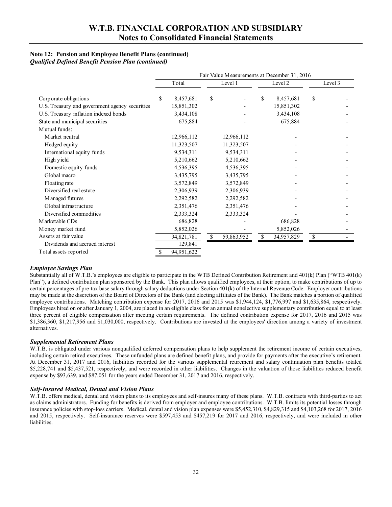#### **Note 12: Pension and Employee Benefit Plans (continued)** *Qualified Defined Benefit Pension Plan (continued)*

|                                                | Fair Value Measurements at December 31, 2016 |            |               |            |         |            |         |  |
|------------------------------------------------|----------------------------------------------|------------|---------------|------------|---------|------------|---------|--|
|                                                |                                              | Total      | Level 1       |            | Level 2 |            | Level 3 |  |
| Corporate obligations                          | \$                                           | 8,457,681  | \$            |            | \$      | 8,457,681  | \$      |  |
| U.S. Treasury and government agency securities |                                              | 15,851,302 |               |            |         | 15,851,302 |         |  |
| U.S. Treasury inflation indexed bonds          |                                              | 3,434,108  |               |            |         | 3,434,108  |         |  |
| State and municipal securities                 |                                              | 675,884    |               |            |         | 675,884    |         |  |
| Mutual funds:                                  |                                              |            |               |            |         |            |         |  |
| Market neutral                                 |                                              | 12,966,112 |               | 12,966,112 |         |            |         |  |
| Hedged equity                                  |                                              | 11,323,507 |               | 11,323,507 |         |            |         |  |
| International equity funds                     |                                              | 9,534,311  |               | 9,534,311  |         |            |         |  |
| High yield                                     |                                              | 5,210,662  |               | 5,210,662  |         |            |         |  |
| Domestic equity funds                          |                                              | 4,536,395  |               | 4,536,395  |         |            |         |  |
| Global macro                                   |                                              | 3,435,795  |               | 3,435,795  |         |            |         |  |
| Floating rate                                  |                                              | 3,572,849  |               | 3,572,849  |         |            |         |  |
| Diversified real estate                        |                                              | 2,306,939  |               | 2,306,939  |         |            |         |  |
| Managed futures                                |                                              | 2,292,582  |               | 2,292,582  |         |            |         |  |
| Global infrastructure                          |                                              | 2,351,476  |               | 2,351,476  |         |            |         |  |
| Diversified commodities                        |                                              | 2,333,324  |               | 2,333,324  |         |            |         |  |
| Marketable CDs                                 |                                              | 686,828    |               |            |         | 686,828    |         |  |
| Money market fund                              |                                              | 5,852,026  |               |            |         | 5,852,026  |         |  |
| Assets at fair value                           |                                              | 94,821,781 | <sup>\$</sup> | 59,863,952 | \$      | 34,957,829 | \$      |  |
| Dividends and accrued interest                 |                                              | 129,841    |               |            |         |            |         |  |
| Total assets reported                          |                                              | 94,951,622 |               |            |         |            |         |  |

### *Employee Savings Plan*

Substantially all of W.T.B.'s employees are eligible to participate in the WTB Defined Contribution Retirement and 401(k) Plan ("WTB 401(k) Plan"), a defined contribution plan sponsored by the Bank. This plan allows qualified employees, at their option, to make contributions of up to certain percentages of pre-tax base salary through salary deductions under Section 401(k) of the Internal Revenue Code. Employer contributions may be made at the discretion of the Board of Directors of the Bank (and electing affiliates of the Bank). The Bank matches a portion of qualified employee contributions. Matching contribution expense for 2017, 2016 and 2015 was \$1,944,124, \$1,776,997 and \$1,635,864, respectively. Employees hired on or after January 1, 2004, are placed in an eligible class for an annual nonelective supplementary contribution equal to at least three percent of eligible compensation after meeting certain requirements. The defined contribution expense for 2017, 2016 and 2015 was \$1,386,360, \$1,217,956 and \$1,030,000, respectively. Contributions are invested at the employees' direction among a variety of investment alternatives.

### *Supplemental Retirement Plans*

W.T.B. is obligated under various nonqualified deferred compensation plans to help supplement the retirement income of certain executives, including certain retired executives. These unfunded plans are defined benefit plans, and provide for payments after the executive's retirement. At December 31, 2017 and 2016, liabilities recorded for the various supplemental retirement and salary continuation plan benefits totaled \$5,228,741 and \$5,437,521, respectively, and were recorded in other liabilities. Changes in the valuation of those liabilities reduced benefit expense by \$93,639, and \$87,051 for the years ended December 31, 2017 and 2016, respectively.

### *Self-Insured Medical, Dental and Vision Plans*

W.T.B. offers medical, dental and vision plans to its employees and self-insures many of these plans. W.T.B. contracts with third-parties to act as claims administrators. Funding for benefits is derived from employer and employee contributions. W.T.B. limits its potential losses through insurance policies with stop-loss carriers. Medical, dental and vision plan expenses were \$5,452,310, \$4,829,315 and \$4,103,268 for 2017, 2016 and 2015, respectively. Self-insurance reserves were \$597,453 and \$457,219 for 2017 and 2016, respectively, and were included in other liabilities.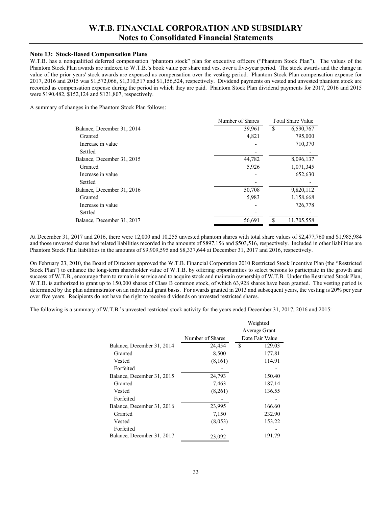#### **Note 13: Stock-Based Compensation Plans**

W.T.B. has a nonqualified deferred compensation "phantom stock" plan for executive officers ("Phantom Stock Plan"). The values of the Phantom Stock Plan awards are indexed to W.T.B.'s book value per share and vest over a five-year period. The stock awards and the change in value of the prior years' stock awards are expensed as compensation over the vesting period. Phantom Stock Plan compensation expense for 2017, 2016 and 2015 was \$1,572,066, \$1,310,517 and \$1,156,524, respectively. Dividend payments on vested and unvested phantom stock are recorded as compensation expense during the period in which they are paid. Phantom Stock Plan dividend payments for 2017, 2016 and 2015 were \$190,482, \$152,124 and \$121,807, respectively.

A summary of changes in the Phantom Stock Plan follows:

|                            | Number of Shares | <b>Total Share Value</b> |
|----------------------------|------------------|--------------------------|
| Balance, December 31, 2014 | 39,961           | \$<br>6,590,767          |
| Granted                    | 4,821            | 795,000                  |
| Increase in value          |                  | 710,370                  |
| Settled                    |                  |                          |
| Balance, December 31, 2015 | 44,782           | 8,096,137                |
| Granted                    | 5,926            | 1,071,345                |
| Increase in value          |                  | 652,630                  |
| Settled                    |                  |                          |
| Balance, December 31, 2016 | 50,708           | 9,820,112                |
| Granted                    | 5,983            | 1,158,668                |
| Increase in value          |                  | 726,778                  |
| Settled                    |                  |                          |
| Balance, December 31, 2017 | 56,691           | 11,705,558               |

At December 31, 2017 and 2016, there were 12,000 and 10,255 unvested phantom shares with total share values of \$2,477,760 and \$1,985,984 and those unvested shares had related liabilities recorded in the amounts of \$897,156 and \$503,516, respectively. Included in other liabilities are Phantom Stock Plan liabilities in the amounts of \$9,909,595 and \$8,337,644 at December 31, 2017 and 2016, respectively.

On February 23, 2010, the Board of Directors approved the W.T.B. Financial Corporation 2010 Restricted Stock Incentive Plan (the "Restricted Stock Plan") to enhance the long-term shareholder value of W.T.B. by offering opportunities to select persons to participate in the growth and success of W.T.B., encourage them to remain in service and to acquire stock and maintain ownership of W.T.B. Under the Restricted Stock Plan, W.T.B. is authorized to grant up to 150,000 shares of Class B common stock, of which 63,928 shares have been granted. The vesting period is determined by the plan administrator on an individual grant basis. For awards granted in 2013 and subsequent years, the vesting is 20% per year over five years. Recipients do not have the right to receive dividends on unvested restricted shares.

The following is a summary of W.T.B.'s unvested restricted stock activity for the years ended December 31, 2017, 2016 and 2015:

|                            |                  | Weighted        |  |  |  |
|----------------------------|------------------|-----------------|--|--|--|
|                            |                  | Average Grant   |  |  |  |
|                            | Number of Shares | Date Fair Value |  |  |  |
| Balance, December 31, 2014 | 24,454           | S<br>129.03     |  |  |  |
| Granted                    | 8,500            | 177.81          |  |  |  |
| Vested                     | (8,161)          | 114.91          |  |  |  |
| Forfeited                  |                  |                 |  |  |  |
| Balance, December 31, 2015 | 24,793           | 150.40          |  |  |  |
| Granted                    | 7,463            | 187.14          |  |  |  |
| Vested                     | (8,261)          | 136.55          |  |  |  |
| Forfeited                  |                  |                 |  |  |  |
| Balance, December 31, 2016 | 23,995           | 166.60          |  |  |  |
| Granted                    | 7,150            | 232.90          |  |  |  |
| Vested                     | (8,053)          | 153.22          |  |  |  |
| Forfeited                  |                  |                 |  |  |  |
| Balance, December 31, 2017 | 23,092           | 191.79          |  |  |  |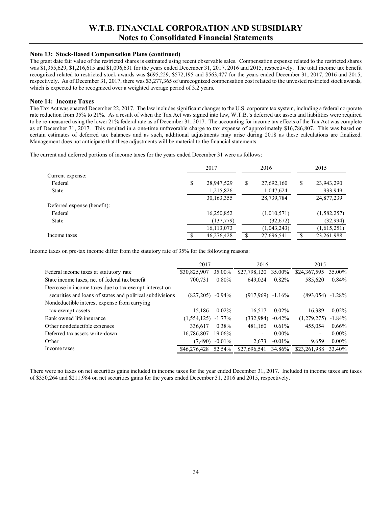#### **Note 13: Stock-Based Compensation Plans (continued)**

The grant date fair value of the restricted shares is estimated using recent observable sales. Compensation expense related to the restricted shares was \$1,355,629, \$1,216,615 and \$1,096,631 for the years ended December 31, 2017, 2016 and 2015, respectively. The total income tax benefit recognized related to restricted stock awards was \$695,229, \$572,195 and \$563,477 for the years ended December 31, 2017, 2016 and 2015, respectively. As of December 31, 2017, there was \$3,277,365 of unrecognized compensation cost related to the unvested restricted stock awards, which is expected to be recognized over a weighted average period of 3.2 years.

### **Note 14: Income Taxes**

The Tax Act was enacted December 22, 2017. The law includes significant changesto the U.S. corporate tax system, including a federal corporate rate reduction from 35% to 21%. As a result of when the Tax Act was signed into law, W.T.B.'s deferred tax assets and liabilities were required to be re-measured using the lower 21% federal rate as of December 31, 2017. The accounting for income tax effects of the Tax Act was complete as of December 31, 2017. This resulted in a one-time unfavorable charge to tax expense of approximately \$16,786,807. This was based on certain estimates of deferred tax balances and as such, additional adjustments may arise during 2018 as these calculations are finalized. Management does not anticipate that these adjustments will be material to the financial statements.

The current and deferred portions of income taxes for the years ended December 31 were as follows:

|                             | 2017             | 2016             | 2015 |              |
|-----------------------------|------------------|------------------|------|--------------|
| Current expense:            |                  |                  |      |              |
| Federal                     | \$<br>28,947,529 | \$<br>27,692,160 | \$   | 23,943,290   |
| State                       | 1,215,826        | 1,047,624        |      | 933,949      |
|                             | 30,163,355       | 28,739,784       |      | 24,877,239   |
| Deferred expense (benefit): |                  |                  |      |              |
| Federal                     | 16,250,852       | (1,010,571)      |      | (1,582,257)  |
| State                       | (137, 779)       | (32,672)         |      | (32,994)     |
|                             | 16,113,073       | (1,043,243)      |      | (1,615,251)  |
| Income taxes                | 46,276,428       | 27,696,541       |      | 23, 261, 988 |

Income taxes on pre-tax income differ from the statutory rate of 35% for the following reasons:

|                                                           | 2017          |           | 2016                     |           | 2015                     |          |
|-----------------------------------------------------------|---------------|-----------|--------------------------|-----------|--------------------------|----------|
| Federal income taxes at statutory rate                    | \$30,825,907  | 35.00%    | \$27,798,120             | 35.00%    | \$24,367,595             | 35.00%   |
| State income taxes, net of federal tax benefit            | 700,731       | 0.80%     | 649.024                  | 0.82%     | 585,620                  | 0.84%    |
| Decrease in income taxes due to tax-exempt interest on    |               |           |                          |           |                          |          |
| securities and loans of states and political subdivisions | (827, 205)    | $-0.94%$  | (917.969)                | $-1.16%$  | (893, 054)               | $-1.28%$ |
| Nondeductible interest expense from carrying              |               |           |                          |           |                          |          |
| tax-exempt assets                                         | 15.186        | $0.02\%$  | 16.517                   | $0.02\%$  | 16.389                   | $0.02\%$ |
| Bank owned life insurance                                 | (1, 554, 125) | $-1.77\%$ | (332,984)                | $-0.42%$  | (1,279,275)              | $-1.84%$ |
| Other nondeductible expenses                              | 336.617       | 0.38%     | 481,160                  | 0.61%     | 455.054                  | $0.66\%$ |
| Deferred tax assets write-down                            | 16,786,807    | 19.06%    | $\overline{\phantom{0}}$ | $0.00\%$  | $\overline{\phantom{0}}$ | $0.00\%$ |
| Other                                                     | (7,490)       | $-0.01\%$ | 2,673                    | $-0.01\%$ | 9,659                    | $0.00\%$ |
| Income taxes                                              | \$46,276,428  | 52.54%    | \$27,696,541             | 34.86%    | \$23,261,988             | 33.40%   |

There were no taxes on net securities gains included in income taxes for the year ended December 31, 2017. Included in income taxes are taxes of \$350,264 and \$211,984 on net securities gains for the years ended December 31, 2016 and 2015, respectively.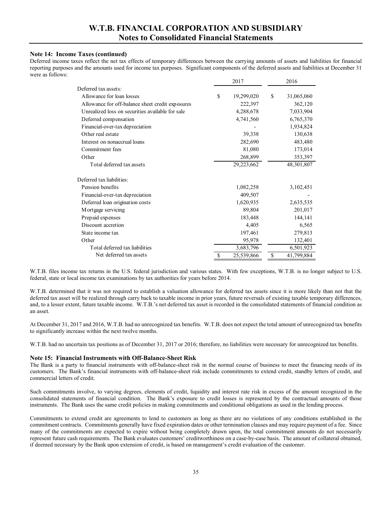### **Note 14: Income Taxes (continued)**

Deferred income taxes reflect the net tax effects of temporary differences between the carrying amounts of assets and liabilities for financial reporting purposes and the amounts used for income tax purposes. Significant components of the deferred assets and liabilities at December 31 were as follows:

|    | 2017       | 2016 |            |  |
|----|------------|------|------------|--|
|    |            |      |            |  |
| \$ | 19,299,020 | \$   | 31,065,060 |  |
|    | 222,397    |      | 362,120    |  |
|    | 4,288,678  |      | 7,033,904  |  |
|    | 4,741,560  |      | 6,765,370  |  |
|    |            |      | 1,934,824  |  |
|    | 39,338     |      | 130,638    |  |
|    | 282,690    |      | 483,480    |  |
|    | 81,080     |      | 173,014    |  |
|    | 268,899    |      | 353,397    |  |
|    | 29,223,662 |      | 48,301,807 |  |
|    |            |      |            |  |
|    | 1,082,258  |      | 3,102,451  |  |
|    | 409,507    |      |            |  |
|    | 1,620,935  |      | 2,635,535  |  |
|    | 89,804     |      | 201,017    |  |
|    | 183,448    |      | 144,141    |  |
|    | 4,405      |      | 6,565      |  |
|    | 197,461    |      | 279,813    |  |
|    | 95,978     |      | 132,401    |  |
|    | 3,683,796  |      | 6,501,923  |  |
| S  | 25,539,866 | \$   | 41,799,884 |  |
|    |            |      |            |  |

W.T.B. files income tax returns in the U.S. federal jurisdiction and various states. With few exceptions, W.T.B. is no longer subject to U.S. federal, state or local income tax examinations by tax authorities for years before 2014.

W.T.B. determined that it was not required to establish a valuation allowance for deferred tax assets since it is more likely than not that the deferred tax asset will be realized through carry back to taxable income in prior years, future reversals of existing taxable temporary differences, and, to a lesser extent, future taxable income. W.T.B.'s net deferred tax asset is recorded in the consolidated statements of financial condition as an asset.

At December 31, 2017 and 2016, W.T.B. had no unrecognized tax benefits. W.T.B. does not expect the total amount of unrecognized tax benefits to significantly increase within the next twelve months.

W.T.B. had no uncertain tax positions as of December 31, 2017 or 2016; therefore, no liabilities were necessary for unrecognized tax benefits.

#### **Note 15: Financial Instruments with Off-Balance-Sheet Risk**

The Bank is a party to financial instruments with off-balance-sheet risk in the normal course of business to meet the financing needs of its customers. The Bank's financial instruments with off-balance-sheet risk include commitments to extend credit, standby letters of credit, and commercial letters of credit.

Such commitments involve, to varying degrees, elements of credit, liquidity and interest rate risk in excess of the amount recognized in the consolidated statements of financial condition. The Bank's exposure to credit losses is represented by the contractual amounts of those instruments. The Bank uses the same credit policies in making commitments and conditional obligations as used in the lending process.

Commitments to extend credit are agreements to lend to customers as long as there are no violations of any conditions established in the commitment contracts. Commitments generally have fixed expiration dates or other termination clauses and may require payment of a fee. Since many of the commitments are expected to expire without being completely drawn upon, the total commitment amounts do not necessarily represent future cash requirements. The Bank evaluates customers' creditworthiness on a case-by-case basis. The amount of collateral obtained, if deemed necessary by the Bank upon extension of credit, is based on management's credit evaluation of the customer.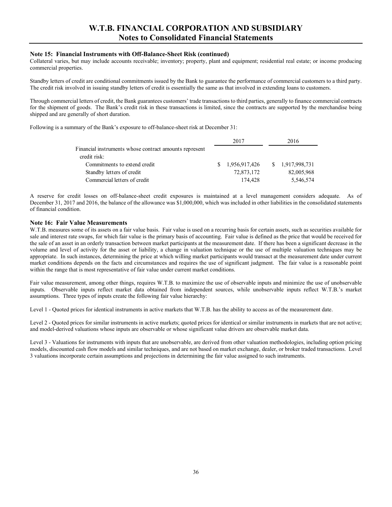#### **Note 15: Financial Instruments with Off-Balance-Sheet Risk (continued)**

Collateral varies, but may include accounts receivable; inventory; property, plant and equipment; residential real estate; or income producing commercial properties.

Standby letters of credit are conditional commitments issued by the Bank to guarantee the performance of commercial customers to a third party. The credit risk involved in issuing standby letters of credit is essentially the same as that involved in extending loans to customers.

Through commercial letters of credit, the Bank guarantees customers' trade transactions to third parties, generally to finance commercial contracts for the shipment of goods. The Bank's credit risk in these transactions is limited, since the contracts are supported by the merchandise being shipped and are generally of short duration.

Following is a summary of the Bank's exposure to off-balance-sheet risk at December 31:

|                                                        | 2017          | 2016             |
|--------------------------------------------------------|---------------|------------------|
| Financial instruments whose contract amounts represent |               |                  |
| credit risk:                                           |               |                  |
| Commitments to extend credit                           | 1,956,917,426 | \$ 1,917,998,731 |
| Standby letters of credit                              | 72,873,172    | 82,005,968       |
| Commercial letters of credit                           | 174.428       | 5,546,574        |

A reserve for credit losses on off-balance-sheet credit exposures is maintained at a level management considers adequate. As of December 31, 2017 and 2016, the balance of the allowance was \$1,000,000, which was included in other liabilities in the consolidated statements of financial condition.

#### **Note 16: Fair Value Measurements**

W.T.B. measures some of its assets on a fair value basis. Fair value is used on a recurring basis for certain assets, such as securities available for sale and interest rate swaps, for which fair value is the primary basis of accounting. Fair value is defined as the price that would be received for the sale of an asset in an orderly transaction between market participants at the measurement date. If there has been a significant decrease in the volume and level of activity for the asset or liability, a change in valuation technique or the use of multiple valuation techniques may be appropriate. In such instances, determining the price at which willing market participants would transact at the measurement date under current market conditions depends on the facts and circumstances and requires the use of significant judgment. The fair value is a reasonable point within the range that is most representative of fair value under current market conditions.

Fair value measurement, among other things, requires W.T.B. to maximize the use of observable inputs and minimize the use of unobservable inputs. Observable inputs reflect market data obtained from independent sources, while unobservable inputs reflect W.T.B.'s market assumptions. Three types of inputs create the following fair value hierarchy:

Level 1 - Quoted prices for identical instruments in active markets that W.T.B. has the ability to access as of the measurement date.

Level 2 - Quoted prices for similar instruments in active markets; quoted prices for identical or similar instruments in markets that are not active; and model-derived valuations whose inputs are observable or whose significant value drivers are observable market data.

Level 3 - Valuations for instruments with inputs that are unobservable, are derived from other valuation methodologies, including option pricing models, discounted cash flow models and similar techniques, and are not based on market exchange, dealer, or broker traded transactions. Level 3 valuations incorporate certain assumptions and projections in determining the fair value assigned to such instruments.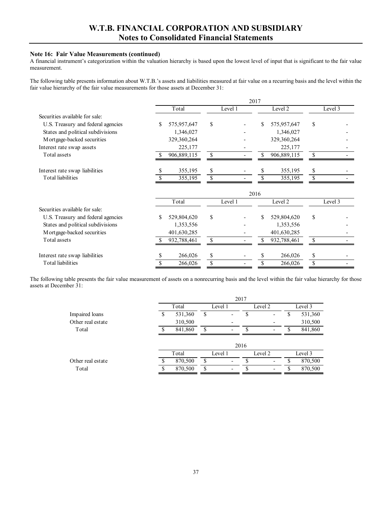### **Note 16: Fair Value Measurements (continued)**

A financial instrument's categorization within the valuation hierarchy is based upon the lowest level of input that is significant to the fair value measurement.

The following table presents information about W.T.B.'s assets and liabilities measured at fair value on a recurring basis and the level within the fair value hierarchy of the fair value measurements for those assets at December 31:

|                                    |                  | 2017    |                   |         |
|------------------------------------|------------------|---------|-------------------|---------|
|                                    | Total            | Level 1 | Level 2           | Level 3 |
| Securities available for sale:     |                  |         |                   |         |
| U.S. Treasury and federal agencies | 575,957,647<br>S | \$      | 575,957,647<br>\$ | \$      |
| States and political subdivisions  | 1,346,027        |         | 1,346,027         |         |
| Mortgage-backed securities         | 329,360,264      |         | 329,360,264       |         |
| Interest rate swap assets          | 225,177          |         | 225,177           |         |
| Total assets                       | 906,889,115      | \$      | 906,889,115       | \$      |
| Interest rate swap liabilities     | 355,195          | \$      | 355,195           | \$      |
| Total liabilities                  | 355,195          | \$      | 355,195           |         |
|                                    |                  | 2016    |                   |         |
|                                    | Total            | Level 1 | Level 2           | Level 3 |
| Securities available for sale:     |                  |         |                   |         |
| U.S. Treasury and federal agencies | 529,804,620<br>S | \$      | 529,804,620<br>\$ | \$      |
| States and political subdivisions  | 1,353,556        |         | 1,353,556         |         |
| M ortgage-backed securities        | 401,630,285      |         | 401,630,285       |         |
| Total assets                       | 932,788,461      | \$      | 932,788,461       | \$      |
| Interest rate swap liabilities     | 266,026          | S       | 266,026           | \$      |
| Total liabilities                  | 266,026          | \$      | 266,026           | \$      |

The following table presents the fair value measurement of assets on a nonrecurring basis and the level within the fair value hierarchy for those assets at December 31:

| Level 3 |
|---------|
| 531,360 |
| 310,500 |
| 841,860 |
|         |
| Level 3 |
| 870,500 |
| 870,500 |
|         |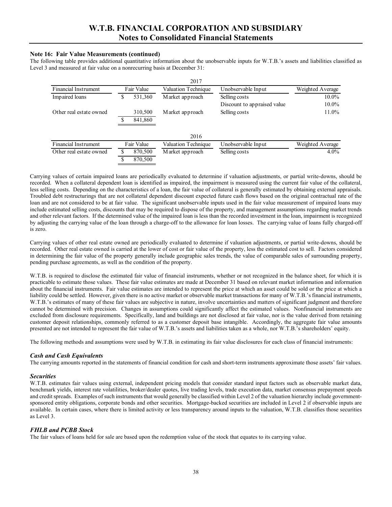### **Note 16: Fair Value Measurements (continued)**

The following table provides additional quantitative information about the unobservable inputs for W.T.B.'s assets and liabilities classified as Level 3 and measured at fair value on a nonrecurring basis at December 31:

|                             |    |            | 2017                |                             |                  |
|-----------------------------|----|------------|---------------------|-----------------------------|------------------|
| <b>Financial Instrument</b> |    | Fair Value | Valuation Technique | Unobservable Input          | Weighted Average |
| Impaired loans              | \$ | 531,360    | Market approach     | Selling costs               | 10.0%            |
|                             |    |            |                     | Discount to appraised value | $10.0\%$         |
| Other real estate owned     |    | 310,500    | Market approach     | Selling costs               | 11.0%            |
|                             |    | 841,860    |                     |                             |                  |
|                             |    |            | 2016                |                             |                  |
| <b>Financial Instrument</b> |    | Fair Value | Valuation Technique | Unobservable Input          | Weighted Average |
| Other real estate owned     | c  | 870,500    | Market approach     | Selling costs               | 4.0%             |
|                             | \$ | 870,500    |                     |                             |                  |

Carrying values of certain impaired loans are periodically evaluated to determine if valuation adjustments, or partial write-downs, should be recorded. When a collateral dependent loan is identified as impaired, the impairment is measured using the current fair value of the collateral, less selling costs. Depending on the characteristics of a loan, the fair value of collateral is generally estimated by obtaining external appraisals. Troubled debt restructurings that are not collateral dependent discount expected future cash flows based on the original contractual rate of the loan and are not considered to be at fair value. The significant unobservable inputs used in the fair value measurement of impaired loans may include estimated selling costs, discounts that may be required to dispose of the property, and management assumptions regarding market trends and other relevant factors. If the determined value of the impaired loan is less than the recorded investment in the loan, impairment is recognized by adjusting the carrying value of the loan through a charge-off to the allowance for loan losses. The carrying value of loans fully charged-off is zero.

Carrying values of other real estate owned are periodically evaluated to determine if valuation adjustments, or partial write-downs, should be recorded. Other real estate owned is carried at the lower of cost or fair value of the property, less the estimated cost to sell. Factors considered in determining the fair value of the property generally include geographic sales trends, the value of comparable sales of surrounding property, pending purchase agreements, as well as the condition of the property.

W.T.B. is required to disclose the estimated fair value of financial instruments, whether or not recognized in the balance sheet, for which it is practicable to estimate those values. These fair value estimates are made at December 31 based on relevant market information and information about the financial instruments. Fair value estimates are intended to represent the price at which an asset could be sold or the price at which a liability could be settled. However, given there is no active market or observable market transactions for many of W.T.B.'s financial instruments, W.T.B.'s estimates of many of these fair values are subjective in nature, involve uncertainties and matters of significant judgment and therefore cannot be determined with precision. Changes in assumptions could significantly affect the estimated values. Nonfinancial instruments are excluded from disclosure requirements. Specifically, land and buildings are not disclosed at fair value, nor is the value derived from retaining customer deposit relationships, commonly referred to as a customer deposit base intangible. Accordingly, the aggregate fair value amounts presented are not intended to represent the fair value of W.T.B.'s assets and liabilities taken as a whole, nor W.T.B.'s shareholders' equity.

The following methods and assumptions were used by W.T.B. in estimating its fair value disclosures for each class of financial instruments:

#### *Cash and Cash Equivalents*

The carrying amounts reported in the statements of financial condition for cash and short-term instruments approximate those assets' fair values.

#### *Securities*

W.T.B. estimates fair values using external, independent pricing models that consider standard input factors such as observable market data, benchmark yields, interest rate volatilities, broker/dealer quotes, live trading levels, trade execution data, market consensus prepayment speeds and credit spreads. Examples of such instruments that would generally be classified within Level 2 of the valuation hierarchy include governmentsponsored entity obligations, corporate bonds and other securities. Mortgage-backed securities are included in Level 2 if observable inputs are available. In certain cases, where there is limited activity or less transparency around inputs to the valuation, W.T.B. classifies those securities as Level 3.

### *FHLB and PCBB Stock*

The fair values of loans held for sale are based upon the redemption value of the stock that equates to its carrying value.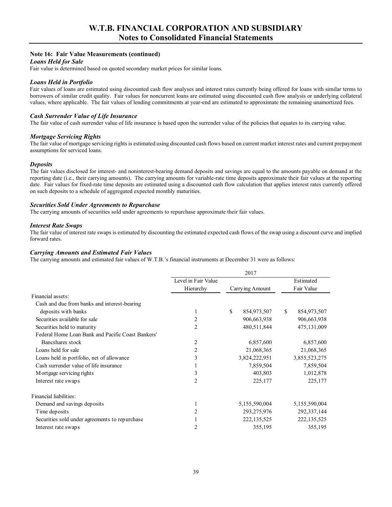### **Note 16: Fair Value Measurements (continued)**

#### *Loans Held for Sale*

Fair value is determined based on quoted secondary market prices for similar loans.

#### *Loans Held in Portfolio*

Fair values of loans are estimated using discounted cash flow analyses and interest rates currently being offered for loans with similar terms to borrowers of similar credit quality. Fair values for noncurrent loans are estimated using discounted cash flow analysis or underlying collateral values, where applicable. The fair values of lending commitments at year-end are estimated to approximate the remaining unamortized fees.

### *Cash Surrender Value of Life Insurance*

The fair value of cash surrender value of life insurance is based upon the surrender value of the policies that equates to its carrying value.

### *Mortgage Servicing Rights*

The fair value of mortgage servicing rights is estimated using discounted cash flows based on current market interest rates and current prepayment assumptions for serviced loans.

### *Deposits*

The fair values disclosed for interest- and noninterest-bearing demand deposits and savings are equal to the amounts payable on demand at the reporting date (i.e., their carrying amounts). The carrying amounts for variable-rate time deposits approximate their fair values at the reporting date. Fair values for fixed-rate time deposits are estimated using a discounted cash flow calculation that applies interest rates currently offered on such deposits to a schedule of aggregated expected monthly maturities.

### *Securities Sold Under Agreements to Repurchase*

The carrying amounts of securities sold under agreements to repurchase approximate their fair values.

### *Interest Rate Swaps*

The fair value of interest rate swaps is estimated by discounting the estimated expected cash flows of the swap using a discount curve and implied forward rates.

### *Carrying Amounts and Estimated Fair Values*

The carrying amounts and estimated fair values of W.T.B.'s financial instruments at December 31 were as follows:

|                                                   |                     | 2017              |                   |
|---------------------------------------------------|---------------------|-------------------|-------------------|
|                                                   | Level in Fair Value |                   | Estimated         |
|                                                   | Hierarchy           | Carrying Amount   | Fair Value        |
| Financial assets:                                 |                     |                   |                   |
| Cash and due from banks and interest-bearing      |                     |                   |                   |
| deposits with banks                               | 1                   | \$<br>854,973,507 | \$<br>854,973,507 |
| Securities available for sale                     | $\overline{2}$      | 906,663,938       | 906,663,938       |
| Securities held to maturity                       | $\overline{c}$      | 480,511,844       | 475, 131, 009     |
| Federal Home Loan Bank and Pacific Coast Bankers' |                     |                   |                   |
| Bancshares stock                                  | $\overline{c}$      | 6,857,600         | 6,857,600         |
| Loans held for sale                               | 2                   | 21,068,365        | 21,068,365        |
| Loans held in portfolio, net of allowance         | 3                   | 3,824,222,951     | 3,855,523,275     |
| Cash surrender value of life insurance            |                     | 7,859,504         | 7,859,504         |
| Mortgage servicing rights                         | 3                   | 403,803           | 1,012,878         |
| Interest rate swaps                               | 2                   | 225,177           | 225,177           |
| Financial liabilities:                            |                     |                   |                   |
| Demand and savings deposits                       |                     | 5,155,590,004     | 5,155,590,004     |
| Time deposits                                     | $\overline{c}$      | 293,275,976       | 292, 337, 144     |
| Securities sold under agreements to repurchase    |                     | 222, 135, 525     | 222, 135, 525     |
| Interest rate swaps                               |                     | 355,195           | 355,195           |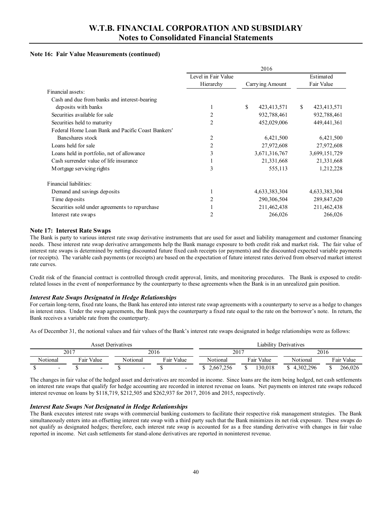### **Note 16: Fair Value Measurements (continued)**

|                                                   |                     | 2016              |            |               |  |
|---------------------------------------------------|---------------------|-------------------|------------|---------------|--|
|                                                   | Level in Fair Value |                   |            | Estimated     |  |
|                                                   | Hierarchy           | Carrying Amount   | Fair Value |               |  |
| Financial assets:                                 |                     |                   |            |               |  |
| Cash and due from banks and interest-bearing      |                     |                   |            |               |  |
| deposits with banks                               |                     | \$<br>423,413,571 | \$.        | 423,413,571   |  |
| Securities available for sale                     | 2                   | 932,788,461       |            | 932,788,461   |  |
| Securities held to maturity                       | 2                   | 452,029,006       |            | 449,441,361   |  |
| Federal Home Loan Bank and Pacific Coast Bankers' |                     |                   |            |               |  |
| Bancshares stock                                  | 2                   | 6,421,500         |            | 6,421,500     |  |
| Loans held for sale                               | 2                   | 27,972,608        |            | 27,972,608    |  |
| Loans held in portfolio, net of allowance         | 3                   | 3,671,316,767     |            | 3,699,151,729 |  |
| Cash surrender value of life insurance            |                     | 21,331,668        |            | 21,331,668    |  |
| M ortgage servicing rights                        | 3                   | 555,113           |            | 1,212,228     |  |
| Financial liabilities:                            |                     |                   |            |               |  |
| Demand and savings deposits                       |                     | 4,633,383,304     |            | 4,633,383,304 |  |
| Time deposits                                     | 2                   | 290,306,504       |            | 289,847,620   |  |
| Securities sold under agreements to repurchase    |                     | 211,462,438       |            | 211,462,438   |  |
| Interest rate swaps                               | 2                   | 266,026           |            | 266,026       |  |

#### **Note 17: Interest Rate Swaps**

The Bank is party to various interest rate swap derivative instruments that are used for asset and liability management and customer financing needs. These interest rate swap derivative arrangements help the Bank manage exposure to both credit risk and market risk. The fair value of interest rate swaps is determined by netting discounted future fixed cash receipts (or payments) and the discounted expected variable payments (or receipts). The variable cash payments (or receipts) are based on the expectation of future interest rates derived from observed market interest rate curves.

Credit risk of the financial contract is controlled through credit approval, limits, and monitoring procedures. The Bank is exposed to creditrelated losses in the event of nonperformance by the counterparty to these agreements when the Bank is in an unrealized gain position.

#### *Interest Rate Swaps Designated in Hedge Relationships*

For certain long-term, fixed rate loans, the Bank has entered into interest rate swap agreements with a counterparty to serve as a hedge to changes in interest rates. Under the swap agreements, the Bank pays the counterparty a fixed rate equal to the rate on the borrower's note. In return, the Bank receives a variable rate from the counterparty.

As of December 31, the notional values and fair values of the Bank's interest rate swaps designated in hedge relationships were as follows:

|                          |      | <b>Asset Derivatives</b> |          |      |                          |           |      |            | Liability Derivatives |           |  |            |  |
|--------------------------|------|--------------------------|----------|------|--------------------------|-----------|------|------------|-----------------------|-----------|--|------------|--|
|                          | 2017 |                          |          | 2016 |                          |           | 2017 |            |                       | 2016      |  |            |  |
| Notional                 |      | Fair Value               | Notional |      | Fair Value               | Notional  |      | Fair Value |                       | Notional  |  | Fair Value |  |
| $\overline{\phantom{0}}$ |      | $\overline{\phantom{0}}$ |          |      | $\overline{\phantom{0}}$ | 2,667,256 |      | 130.018    |                       | 4.302.296 |  | 266,026    |  |

The changes in fair value of the hedged asset and derivatives are recorded in income. Since loans are the item being hedged, net cash settlements on interest rate swaps that qualify for hedge accounting are recorded in interest revenue on loans. Net payments on interest rate swaps reduced interest revenue on loans by \$118,719, \$212,505 and \$262,937 for 2017, 2016 and 2015, respectively.

#### *Interest Rate Swaps Not Designated in Hedge Relationships*

The Bank executes interest rate swaps with commercial banking customers to facilitate their respective risk management strategies. The Bank simultaneously enters into an offsetting interest rate swap with a third party such that the Bank minimizes its net risk exposure. These swaps do not qualify as designated hedges; therefore, each interest rate swap is accounted for as a free standing derivative with changes in fair value reported in income. Net cash settlements for stand-alone derivatives are reported in noninterest revenue.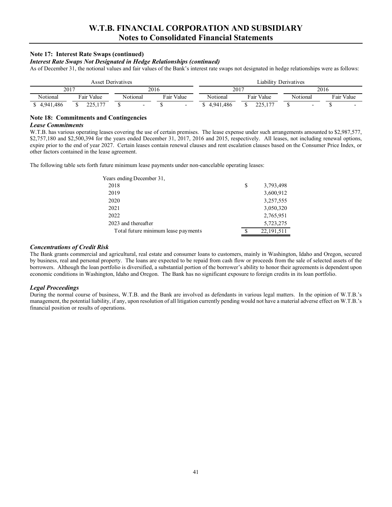# **Note 17: Interest Rate Swaps (continued)**

#### *Interest Rate Swaps Not Designated in Hedge Relationships (continued)*

As of December 31, the notional values and fair values of the Bank's interest rate swaps not designated in hedge relationships were as follows:

|           |            | <b>Asset Derivatives</b> |          |      |            |           | <b>Liability Derivatives</b> |            |  |                          |      |            |
|-----------|------------|--------------------------|----------|------|------------|-----------|------------------------------|------------|--|--------------------------|------|------------|
|           | 2017       |                          |          | 2016 |            | 2017      |                              |            |  |                          | 2016 |            |
| Notional  | Fair Value |                          | Notional |      | Fair Value | Notional  |                              | Fair Value |  | Notional                 |      | Fair Value |
| 4,941,486 | 225177     |                          |          |      |            | 4,941,486 |                              | 225 177    |  | $\overline{\phantom{0}}$ |      |            |

#### **Note 18: Commitments and Contingencies**

#### *Lease Commitments*

W.T.B. has various operating leases covering the use of certain premises. The lease expense under such arrangements amounted to \$2,987,577, \$2,757,180 and \$2,500,394 for the years ended December 31, 2017, 2016 and 2015, respectively. All leases, not including renewal options, expire prior to the end of year 2027. Certain leases contain renewal clauses and rent escalation clauses based on the Consumer Price Index, or other factors contained in the lease agreement.

The following table sets forth future minimum lease payments under non-cancelable operating leases:

| 2018<br>3,793,498<br>S                            |  |
|---------------------------------------------------|--|
| 3,600,912<br>2019                                 |  |
| 2020<br>3,257,555                                 |  |
| 3,050,320<br>2021                                 |  |
| 2,765,951<br>2022                                 |  |
| 2023 and thereafter<br>5,723,275                  |  |
| Total future minimum lease payments<br>22,191,511 |  |

# *Concentrations of Credit Risk*

The Bank grants commercial and agricultural, real estate and consumer loans to customers, mainly in Washington, Idaho and Oregon, secured by business, real and personal property. The loans are expected to be repaid from cash flow or proceeds from the sale of selected assets of the borrowers. Although the loan portfolio is diversified, a substantial portion of the borrower's ability to honor their agreements is dependent upon economic conditions in Washington, Idaho and Oregon. The Bank has no significant exposure to foreign credits in its loan portfolio.

#### *Legal Proceedings*

During the normal course of business, W.T.B. and the Bank are involved as defendants in various legal matters. In the opinion of W.T.B.'s management, the potential liability, if any, upon resolution of all litigation currently pending would not have a material adverse effect on W.T.B.'s financial position or results of operations.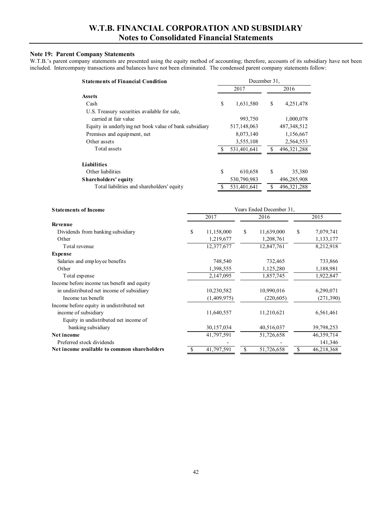### **Note 19: Parent Company Statements**

W.T.B.'s parent company statements are presented using the equity method of accounting; therefore, accounts of its subsidiary have not been included. Intercompany transactions and balances have not been eliminated. The condensed parent company statements follow:

| <b>Statements of Financial Condition</b>               | December 31. |             |    |               |  |  |  |  |
|--------------------------------------------------------|--------------|-------------|----|---------------|--|--|--|--|
|                                                        |              | 2017        |    | 2016          |  |  |  |  |
| <b>Assets</b>                                          |              |             |    |               |  |  |  |  |
| Cash                                                   | \$           | 1,631,580   | \$ | 4,251,478     |  |  |  |  |
| U.S. Treasury securities available for sale,           |              |             |    |               |  |  |  |  |
| carried at fair value                                  |              | 993,750     |    | 1,000,078     |  |  |  |  |
| Equity in underlying net book value of bank subsidiary |              | 517,148,063 |    | 487, 348, 512 |  |  |  |  |
| Premises and equipment, net                            |              | 8,073,140   |    | 1,156,667     |  |  |  |  |
| Other assets                                           |              | 3,555,108   |    | 2,564,553     |  |  |  |  |
| Total assets                                           |              | 531,401,641 | S  | 496, 321, 288 |  |  |  |  |
|                                                        |              |             |    |               |  |  |  |  |
| <b>Liabilities</b>                                     |              |             |    |               |  |  |  |  |
| Other liabilities                                      | \$           | 610,658     | \$ | 35,380        |  |  |  |  |
| Shareholders' equity                                   |              | 530,790,983 |    | 496,285,908   |  |  |  |  |
| Total liabilities and shareholders' equity             | S            | 531,401,641 | \$ | 496,321,288   |  |  |  |  |

| <b>Statements of Income</b>                 | Years Ended December 31. |             |    |            |      |            |  |  |
|---------------------------------------------|--------------------------|-------------|----|------------|------|------------|--|--|
|                                             | 2017                     |             |    | 2016       | 2015 |            |  |  |
| Revenue                                     |                          |             |    |            |      |            |  |  |
| Dividends from banking subsidiary           | \$                       | 11,158,000  | \$ | 11,639,000 | \$   | 7,079,741  |  |  |
| Other                                       |                          | 1,219,677   |    | 1,208,761  |      | 1,133,177  |  |  |
| Total revenue                               |                          | 12,377,677  |    | 12,847,761 |      | 8,212,918  |  |  |
| <b>Expense</b>                              |                          |             |    |            |      |            |  |  |
| Salaries and employee benefits              |                          | 748,540     |    | 732,465    |      | 733,866    |  |  |
| Other                                       |                          | 1,398,555   |    | 1,125,280  |      | 1,188,981  |  |  |
| Total expense                               |                          | 2,147,095   |    | 1,857,745  |      | 1,922,847  |  |  |
| Income before income tax benefit and equity |                          |             |    |            |      |            |  |  |
| in undistributed net income of subsidiary   |                          | 10,230,582  |    | 10,990,016 |      | 6,290,071  |  |  |
| Income tax benefit                          |                          | (1,409,975) |    | (220, 605) |      | (271, 390) |  |  |
| Income before equity in undistributed net   |                          |             |    |            |      |            |  |  |
| income of subsidiary                        |                          | 11,640,557  |    | 11,210,621 |      | 6,561,461  |  |  |
| Equity in undistributed net income of       |                          |             |    |            |      |            |  |  |
| banking subsidiary                          |                          | 30,157,034  |    | 40,516,037 |      | 39,798,253 |  |  |
| Net income                                  |                          | 41,797,591  |    | 51,726,658 |      | 46,359,714 |  |  |
| Preferred stock dividends                   |                          |             |    |            |      | 141,346    |  |  |
| Net income available to common shareholders | \$                       | 41,797,591  | \$ | 51,726,658 | \$   | 46,218,368 |  |  |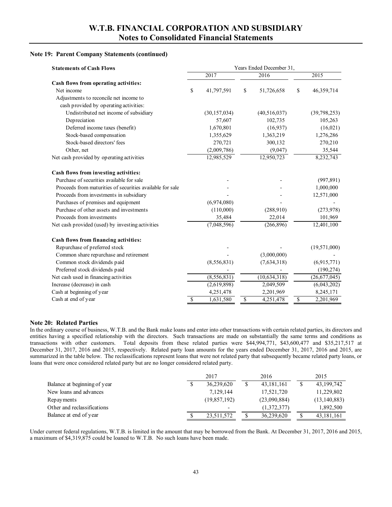### **Note 19: Parent Company Statements (continued)**

| <b>Statements of Cash Flows</b>                           | Years Ended December 31, |                |             |                |      |                |  |  |
|-----------------------------------------------------------|--------------------------|----------------|-------------|----------------|------|----------------|--|--|
|                                                           |                          | 2017           | 2016        |                | 2015 |                |  |  |
| Cash flows from operating activities:                     |                          |                |             |                |      |                |  |  |
| Net income                                                | \$                       | 41,797,591     | \$          | 51,726,658     | \$   | 46,359,714     |  |  |
| Adjustments to reconcile net income to                    |                          |                |             |                |      |                |  |  |
| cash provided by operating activities:                    |                          |                |             |                |      |                |  |  |
| Undistributed net income of subsidiary                    |                          | (30, 157, 034) |             | (40,516,037)   |      | (39,798,253)   |  |  |
| Depreciation                                              |                          | 57,607         |             | 102,735        |      | 105,263        |  |  |
| Deferred income taxes (benefit)                           |                          | 1,670,801      |             | (16,937)       |      | (16, 021)      |  |  |
| Stock-based compensation                                  |                          | 1,355,629      |             | 1,363,219      |      | 1,276,286      |  |  |
| Stock-based directors' fees                               |                          | 270,721        |             | 300,132        |      | 270,210        |  |  |
| Other, net                                                |                          | (2,009,786)    |             | (9,047)        |      | 35,544         |  |  |
| Net cash provided by operating activities                 |                          | 12,985,529     |             | 12,950,723     |      | 8,232,743      |  |  |
| Cash flows from investing activities:                     |                          |                |             |                |      |                |  |  |
| Purchase of securities available for sale                 |                          |                |             |                |      | (997, 891)     |  |  |
| Proceeds from maturities of securities available for sale |                          |                |             |                |      | 1,000,000      |  |  |
| Proceeds from investments in subsidiary                   |                          |                |             |                |      | 12,571,000     |  |  |
| Purchases of premises and equipment                       |                          | (6,974,080)    |             |                |      |                |  |  |
| Purchase of other assets and investments                  |                          | (110,000)      |             | (288,910)      |      | (273, 978)     |  |  |
| Proceeds from investments                                 |                          | 35,484         |             | 22,014         |      | 101,969        |  |  |
| Net cash provided (used) by investing activities          |                          | (7,048,596)    |             | (266, 896)     |      | 12,401,100     |  |  |
| Cash flows from financing activities:                     |                          |                |             |                |      |                |  |  |
| Repurchase of preferred stock                             |                          |                |             |                |      | (19, 571, 000) |  |  |
| Common share repurchase and retirement                    |                          |                |             | (3,000,000)    |      |                |  |  |
| Common stock dividends paid                               |                          | (8,556,831)    |             | (7,634,318)    |      | (6,915,771)    |  |  |
| Preferred stock dividends paid                            |                          |                |             |                |      | (190, 274)     |  |  |
| Net cash used in financing activities                     |                          | (8, 556, 831)  |             | (10, 634, 318) |      | (26, 677, 045) |  |  |
| Increase (decrease) in cash                               |                          | (2,619,898)    |             | 2,049,509      |      | (6,043,202)    |  |  |
| Cash at beginning of year                                 |                          | 4,251,478      |             | 2,201,969      |      | 8,245,171      |  |  |
| Cash at end of year                                       | S                        | 1,631,580      | $\mathbb S$ | 4,251,478      | \$   | 2,201,969      |  |  |

#### **Note 20: Related Parties**

In the ordinary course of business, W.T.B. and the Bank make loans and enter into other transactions with certain related parties, its directors and entities having a specified relationship with the directors. Such transactions are made on substantially the same terms and conditions as transactions with other customers. Total deposits from these related parties were \$44,994,771, \$43,600,477 and \$35,217,517 at December 31, 2017, 2016 and 2015, respectively. Related party loan amounts for the years ended December 31, 2017, 2016 and 2015, are summarized in the table below. The reclassifications represent loans that were not related party that subsequently became related party loans, or loans that were once considered related party but are no longer considered related party.

|                              |   | 2017           | 2016         | 2015 |                |
|------------------------------|---|----------------|--------------|------|----------------|
| Balance at beginning of year | S | 36,239,620     | 43,181,161   |      | 43,199,742     |
| New loans and advances       |   | 7,129,144      | 17,521,720   |      | 11,229,802     |
| Repayments                   |   | (19, 857, 192) | (23,090,884) |      | (13, 140, 883) |
| Other and reclassifications  |   | -              | (1,372,377)  |      | 1,892,500      |
| Balance at end of year       | S | 23,511,572     | 36,239,620   |      | 43, 181, 161   |

Under current federal regulations, W.T.B. is limited in the amount that may be borrowed from the Bank. At December 31, 2017, 2016 and 2015, a maximum of \$4,319,875 could be loaned to W.T.B. No such loans have been made.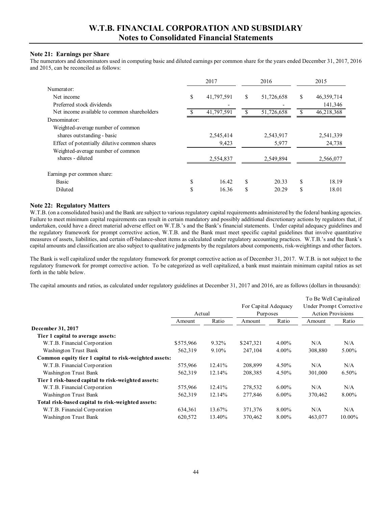### **Note 21: Earnings per Share**

The numerators and denominators used in computing basic and diluted earnings per common share for the years ended December 31, 2017, 2016 and 2015, can be reconciled as follows:

|                                              | 2017<br>2016     |    |            | 2015 |              |
|----------------------------------------------|------------------|----|------------|------|--------------|
| Numerator:                                   |                  |    |            |      |              |
| Net income                                   | \$<br>41,797,591 | \$ | 51,726,658 | \$   | 46, 359, 714 |
| Preferred stock dividends                    |                  |    |            |      | 141,346      |
| Net income available to common shareholders  | 41,797,591       |    | 51,726,658 |      | 46,218,368   |
| Denominator:                                 |                  |    |            |      |              |
| Weighted-average number of common            |                  |    |            |      |              |
| shares outstanding - basic                   | 2,545,414        |    | 2,543,917  |      | 2,541,339    |
| Effect of potentially dilutive common shares | 9,423            |    | 5,977      |      | 24,738       |
| Weighted-average number of common            |                  |    |            |      |              |
| shares - diluted                             | 2,554,837        |    | 2,549,894  |      | 2,566,077    |
| Earnings per common share:                   |                  |    |            |      |              |
| <b>Basic</b>                                 | \$<br>16.42      | \$ | 20.33      | S    | 18.19        |
| Diluted                                      | \$<br>16.36      | \$ | 20.29      | S    | 18.01        |

#### **Note 22: Regulatory Matters**

W.T.B. (on a consolidated basis) and the Bank are subject to various regulatory capital requirements administered by the federal banking agencies. Failure to meet minimum capital requirements can result in certain mandatory and possibly additional discretionary actions by regulators that, if undertaken, could have a direct material adverse effect on W.T.B.'s and the Bank's financial statements. Under capital adequacy guidelines and the regulatory framework for prompt corrective action, W.T.B. and the Bank must meet specific capital guidelines that involve quantitative measures of assets, liabilities, and certain off-balance-sheet items as calculated under regulatory accounting practices. W.T.B.'s and the Bank's capital amounts and classification are also subject to qualitative judgments by the regulators about components, risk-weightings and other factors.

The Bank is well capitalized under the regulatory framework for prompt corrective action as of December 31, 2017. W.T.B. is not subject to the regulatory framework for prompt corrective action. To be categorized as well capitalized, a bank must maintain minimum capital ratios as set forth in the table below.

The capital amounts and ratios, as calculated under regulatory guidelines at December 31, 2017 and 2016, are as follows (dollars in thousands):

|                                                       |           |        |                      |          | To Be Well Capitalized  |                          |  |
|-------------------------------------------------------|-----------|--------|----------------------|----------|-------------------------|--------------------------|--|
|                                                       |           |        | For Capital Adequacy |          | Under Prompt Corrective |                          |  |
|                                                       |           | Actual |                      | Purposes |                         | <b>Action Provisions</b> |  |
|                                                       | Amount    | Ratio  | Amount               | Ratio    | Amount                  | Ratio                    |  |
| December 31, 2017                                     |           |        |                      |          |                         |                          |  |
| Tier 1 capital to average assets:                     |           |        |                      |          |                         |                          |  |
| W.T.B. Financial Corporation                          | \$575,966 | 9.32%  | \$247,321            | $4.00\%$ | N/A                     | N/A                      |  |
| Washington Trust Bank                                 | 562,319   | 9.10%  | 247,104              | 4.00%    | 308,880                 | 5.00%                    |  |
| Common equity tier 1 capital to risk-weighted assets: |           |        |                      |          |                         |                          |  |
| W.T.B. Financial Corporation                          | 575,966   | 12.41% | 208,899              | 4.50%    | N/A                     | N/A                      |  |
| Washington Trust Bank                                 | 562,319   | 12.14% | 208,385              | 4.50%    | 301,000                 | $6.50\%$                 |  |
| Tier 1 risk-based capital to risk-weighted assets:    |           |        |                      |          |                         |                          |  |
| W.T.B. Financial Corporation                          | 575,966   | 12.41% | 278,532              | $6.00\%$ | N/A                     | N/A                      |  |
| Washington Trust Bank                                 | 562,319   | 12.14% | 277,846              | $6.00\%$ | 370,462                 | 8.00%                    |  |
| Total risk-based capital to risk-weighted assets:     |           |        |                      |          |                         |                          |  |
| W.T.B. Financial Corporation                          | 634,361   | 13.67% | 371,376              | 8.00%    | N/A                     | N/A                      |  |
| <b>Washington Trust Bank</b>                          | 620,572   | 13.40% | 370,462              | 8.00%    | 463,077                 | 10.00%                   |  |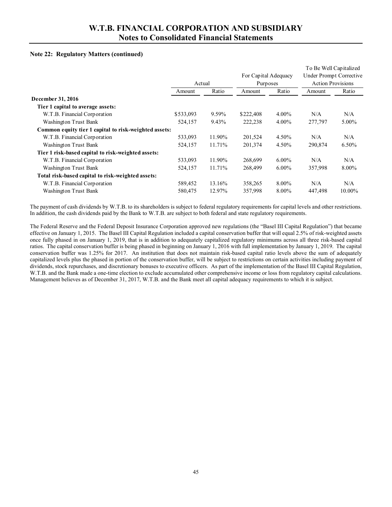### **Note 22: Regulatory Matters (continued)**

|                                                       |           |        |                      |          | To Be Well Capitalized   |          |  |
|-------------------------------------------------------|-----------|--------|----------------------|----------|--------------------------|----------|--|
|                                                       |           |        | For Capital Adequacy |          | Under Prompt Corrective  |          |  |
|                                                       | Actual    |        | Purposes             |          | <b>Action Provisions</b> |          |  |
|                                                       | Amount    | Ratio  | Amount               | Ratio    | Amount                   | Ratio    |  |
| December 31, 2016                                     |           |        |                      |          |                          |          |  |
| Tier 1 capital to average assets:                     |           |        |                      |          |                          |          |  |
| W.T.B. Financial Corporation                          | \$533,093 | 9.59%  | \$222,408            | $4.00\%$ | N/A                      | N/A      |  |
| Washington Trust Bank                                 | 524,157   | 9.43%  | 222,238              | $4.00\%$ | 277,797                  | 5.00%    |  |
| Common equity tier 1 capital to risk-weighted assets: |           |        |                      |          |                          |          |  |
| W.T.B. Financial Corporation                          | 533,093   | 11.90% | 201,524              | $4.50\%$ | N/A                      | N/A      |  |
| <b>Washington Trust Bank</b>                          | 524,157   | 11.71% | 201,374              | 4.50%    | 290,874                  | $6.50\%$ |  |
| Tier 1 risk-based capital to risk-weighted assets:    |           |        |                      |          |                          |          |  |
| W.T.B. Financial Corporation                          | 533,093   | 11.90% | 268,699              | $6.00\%$ | N/A                      | N/A      |  |
| Washington Trust Bank                                 | 524,157   | 11.71% | 268,499              | $6.00\%$ | 357,998                  | 8.00%    |  |
| Total risk-based capital to risk-weighted assets:     |           |        |                      |          |                          |          |  |
| W.T.B. Financial Corporation                          | 589,452   | 13.16% | 358,265              | $8.00\%$ | N/A                      | N/A      |  |
| Washington Trust Bank                                 | 580,475   | 12.97% | 357,998              | 8.00%    | 447,498                  | 10.00%   |  |

The payment of cash dividends by W.T.B. to its shareholders is subject to federal regulatory requirements for capital levels and other restrictions. In addition, the cash dividends paid by the Bank to W.T.B. are subject to both federal and state regulatory requirements.

The Federal Reserve and the Federal Deposit Insurance Corporation approved new regulations (the "Basel III Capital Regulation") that became effective on January 1, 2015. The Basel III Capital Regulation included a capital conservation buffer that will equal 2.5% of risk-weighted assets once fully phased in on January 1, 2019, that is in addition to adequately capitalized regulatory minimums across all three risk-based capital ratios. The capital conservation buffer is being phased in beginning on January 1, 2016 with full implementation by January 1, 2019. The capital conservation buffer was 1.25% for 2017. An institution that does not maintain risk-based capital ratio levels above the sum of adequately capitalized levels plus the phased in portion of the conservation buffer, will be subject to restrictions on certain activities including payment of dividends, stock repurchases, and discretionary bonuses to executive officers. As part of the implementation of the Basel III Capital Regulation, W.T.B. and the Bank made a one-time election to exclude accumulated other comprehensive income or loss from regulatory capital calculations. Management believes as of December 31, 2017, W.T.B. and the Bank meet all capital adequacy requirements to which it is subject.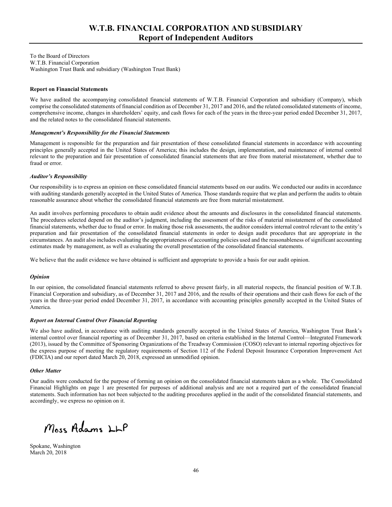To the Board of Directors W.T.B. Financial Corporation Washington Trust Bank and subsidiary (Washington Trust Bank)

#### **Report on Financial Statements**

We have audited the accompanying consolidated financial statements of W.T.B. Financial Corporation and subsidiary (Company), which comprise the consolidated statements of financial condition as of December 31, 2017 and 2016, and the related consolidated statements of income, comprehensive income, changes in shareholders' equity, and cash flows for each of the years in the three-year period ended December 31, 2017, and the related notes to the consolidated financial statements.

#### *Management's Responsibility for the Financial Statements*

Management is responsible for the preparation and fair presentation of these consolidated financial statements in accordance with accounting principles generally accepted in the United States of America; this includes the design, implementation, and maintenance of internal control relevant to the preparation and fair presentation of consolidated financial statements that are free from material misstatement, whether due to fraud or error.

#### *Auditor's Responsibility*

Our responsibility is to express an opinion on these consolidated financial statements based on our audits. We conducted our audits in accordance with auditing standards generally accepted in the United States of America. Those standards require that we plan and perform the audits to obtain reasonable assurance about whether the consolidated financial statements are free from material misstatement.

An audit involves performing procedures to obtain audit evidence about the amounts and disclosures in the consolidated financial statements. The procedures selected depend on the auditor's judgment, including the assessment of the risks of material misstatement of the consolidated financial statements, whether due to fraud or error. In making those risk assessments, the auditor considers internal control relevant to the entity's preparation and fair presentation of the consolidated financial statements in order to design audit procedures that are appropriate in the circumstances. An audit also includes evaluating the appropriateness of accounting policies used and the reasonableness of significant accounting estimates made by management, as well as evaluating the overall presentation of the consolidated financial statements.

We believe that the audit evidence we have obtained is sufficient and appropriate to provide a basis for our audit opinion.

#### *Opinion*

In our opinion, the consolidated financial statements referred to above present fairly, in all material respects, the financial position of W.T.B. Financial Corporation and subsidiary, as of December 31, 2017 and 2016, and the results of their operations and their cash flows for each of the years in the three-year period ended December 31, 2017, in accordance with accounting principles generally accepted in the United States of America.

#### *Report on Internal Control Over Financial Reporting*

We also have audited, in accordance with auditing standards generally accepted in the United States of America, Washington Trust Bank's internal control over financial reporting as of December 31, 2017, based on criteria established in the Internal Control—Integrated Framework (2013), issued by the Committee of Sponsoring Organizations of the Treadway Commission (COSO) relevant to internal reporting objectives for the express purpose of meeting the regulatory requirements of Section 112 of the Federal Deposit Insurance Corporation Improvement Act (FDICIA) and our report dated March 20, 2018, expressed an unmodified opinion.

#### *Other Matter*

Our audits were conducted for the purpose of forming an opinion on the consolidated financial statements taken as a whole. The Consolidated Financial Highlights on page 1 are presented for purposes of additional analysis and are not a required part of the consolidated financial statements. Such information has not been subjected to the auditing procedures applied in the audit of the consolidated financial statements, and accordingly, we express no opinion on it.

Moss Adams LLP

Spokane, Washington March 20, 2018